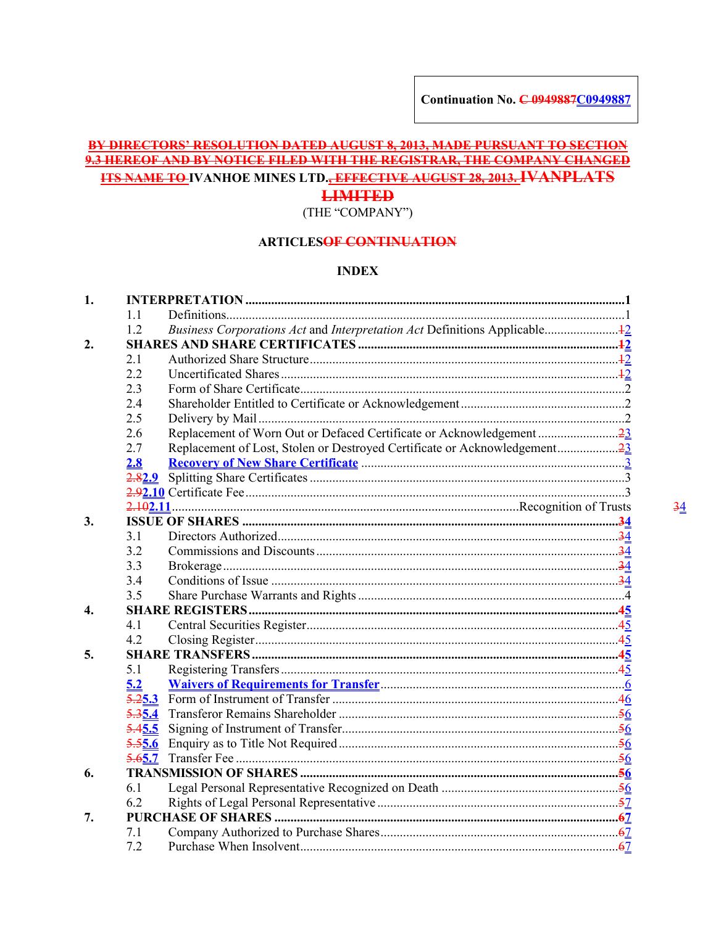# BY DIRECTORS' RESOLUTION DATED AUGUST 8, 2013, MADE PURSUANT TO SECTION 9.3 HEREOF AND BY NOTICE FILED WITH THE REGISTRAR, THE COMPANY CHANGED **ITS NAME TO-IVANHOE MINES LTD., EFFECTIVE AUGUST 28, 2013. IVANPLATS**

# **LIMITED**

(THE "COMPANY")

# **ARTICLESOF CONTINUATION**

#### **INDEX**

| 1. |        |  |
|----|--------|--|
|    | 1.1    |  |
|    | 1.2    |  |
| 2. |        |  |
|    | 2.1    |  |
|    | 2.2    |  |
|    | 2.3    |  |
|    | 2.4    |  |
|    | 2.5    |  |
|    | 2.6    |  |
|    | 2.7    |  |
|    | 2.8    |  |
|    | 2.82.9 |  |
|    |        |  |
|    |        |  |
| 3. |        |  |
|    | 3.1    |  |
|    | 3.2    |  |
|    | 3.3    |  |
|    | 3.4    |  |
|    | 3.5    |  |
| 4. |        |  |
|    | 4.1    |  |
|    | 4.2    |  |
| 5. |        |  |
|    | 5.1    |  |
|    | 5.2    |  |
|    |        |  |
|    | 5.35.4 |  |
|    | 5.45.5 |  |
|    | 5.55.6 |  |
|    | 5.65.7 |  |
| 6. |        |  |
|    | 6.1    |  |
|    | 6.2    |  |
| 7. |        |  |
|    | 7.1    |  |
|    | 7.2    |  |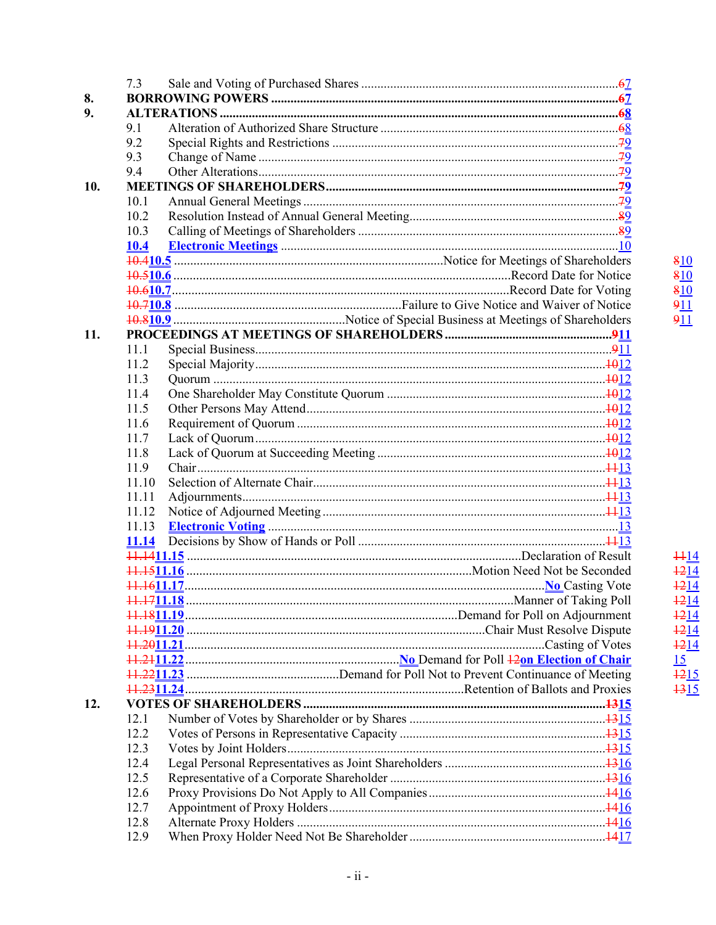|     | 7.3          |  |
|-----|--------------|--|
| 8.  |              |  |
| 9.  |              |  |
|     | 9.1          |  |
|     | 9.2          |  |
|     | 9.3          |  |
|     | 9.4          |  |
| 10. |              |  |
|     | 10.1         |  |
|     | 10.2         |  |
|     | 10.3         |  |
|     | 10.4         |  |
|     |              |  |
|     |              |  |
|     |              |  |
|     |              |  |
|     |              |  |
| 11. |              |  |
|     | 11.1         |  |
|     | 11.2         |  |
|     | 11.3         |  |
|     | 11.4         |  |
|     | 11.5         |  |
|     | 11.6         |  |
|     | 11.7         |  |
|     | 11.8         |  |
|     | 11.9         |  |
|     | 11.10        |  |
|     | 11.11        |  |
|     | 11.12        |  |
|     | 11.13        |  |
|     | <u>11.14</u> |  |
|     |              |  |
|     |              |  |
|     |              |  |
|     |              |  |
|     |              |  |
|     |              |  |
|     |              |  |
|     |              |  |
|     |              |  |
|     |              |  |
| 12. |              |  |
|     | 12.1         |  |
|     | 12.2         |  |
|     | 12.3         |  |
|     | 12.4         |  |
|     | 12.5         |  |
|     | 12.6         |  |
|     | 12.7         |  |
|     | 12.8         |  |
|     | 12.9         |  |
|     |              |  |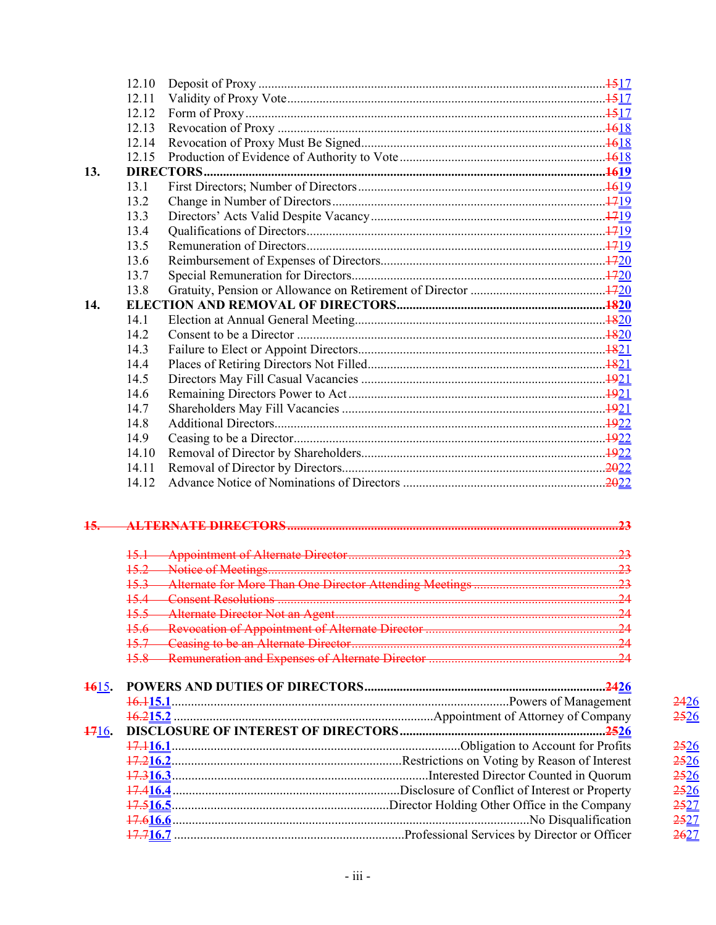|       | 12.10 |  |    |
|-------|-------|--|----|
|       | 12.11 |  |    |
|       | 12.12 |  |    |
|       | 12.13 |  |    |
|       | 12.14 |  |    |
|       | 12.15 |  |    |
| 13.   |       |  |    |
|       | 13.1  |  |    |
|       | 13.2  |  |    |
|       | 13.3  |  |    |
|       | 13.4  |  |    |
|       | 13.5  |  |    |
|       | 13.6  |  |    |
|       | 13.7  |  |    |
|       | 13.8  |  |    |
| 14.   |       |  |    |
|       | 14.1  |  |    |
|       | 14.2  |  |    |
|       | 14.3  |  |    |
|       | 14.4  |  |    |
|       | 14.5  |  |    |
|       | 14.6  |  |    |
|       | 14.7  |  |    |
|       | 14.8  |  |    |
|       | 14.9  |  |    |
|       | 14.10 |  |    |
|       | 14.11 |  |    |
|       | 14.12 |  |    |
| 15.   |       |  |    |
|       |       |  |    |
|       |       |  |    |
|       |       |  |    |
|       |       |  | 24 |
|       |       |  |    |
|       |       |  |    |
|       |       |  |    |
|       |       |  |    |
| 1615. |       |  |    |
| 1716. |       |  |    |
|       |       |  |    |
|       |       |  |    |
|       |       |  |    |
|       |       |  |    |
|       |       |  |    |
|       |       |  |    |
|       |       |  |    |
|       |       |  |    |

 $\frac{2426}{2526}$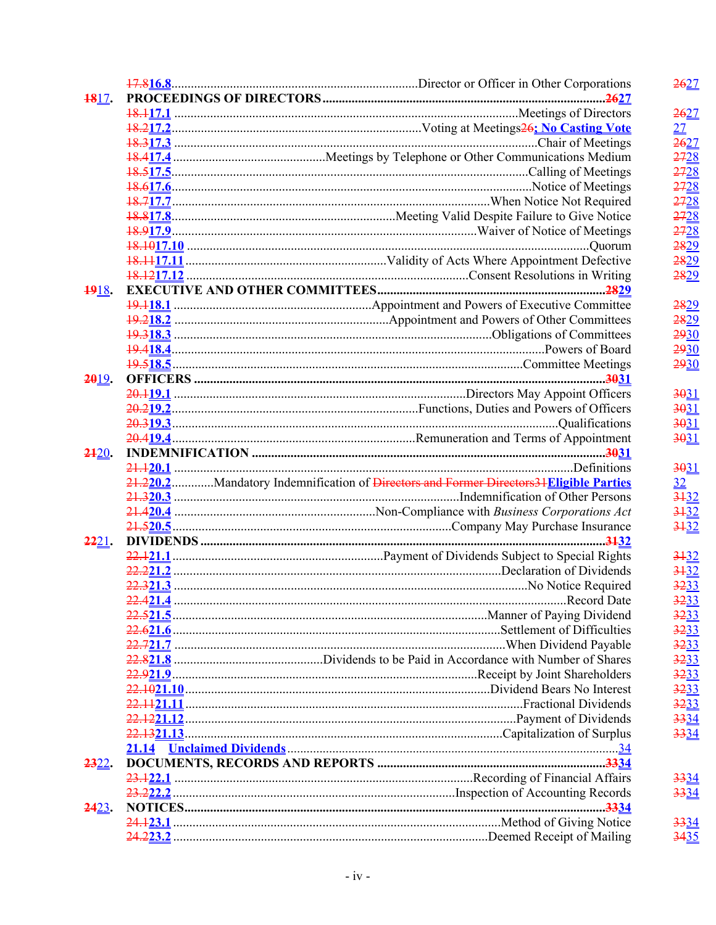|              |  |                                                                                       | 2627     |
|--------------|--|---------------------------------------------------------------------------------------|----------|
| 1817.        |  |                                                                                       |          |
|              |  |                                                                                       | 2627     |
|              |  |                                                                                       | 27       |
|              |  |                                                                                       | 2627     |
|              |  |                                                                                       | 2728     |
|              |  |                                                                                       | 2728     |
|              |  |                                                                                       | 2728     |
|              |  |                                                                                       | 2728     |
|              |  |                                                                                       | 2728     |
|              |  |                                                                                       | 2728     |
|              |  |                                                                                       | 2829     |
|              |  |                                                                                       | 2829     |
|              |  |                                                                                       | 2829     |
|              |  |                                                                                       |          |
| 1918.        |  |                                                                                       |          |
|              |  |                                                                                       | 2829     |
|              |  |                                                                                       | 2829     |
|              |  |                                                                                       | 2930     |
|              |  |                                                                                       | 2930     |
|              |  |                                                                                       | 2930     |
| $2019$ .     |  |                                                                                       |          |
|              |  |                                                                                       | 3031     |
|              |  |                                                                                       | 3031     |
|              |  |                                                                                       | 3031     |
|              |  |                                                                                       | 3031     |
| 2420.        |  |                                                                                       |          |
|              |  |                                                                                       | 3031     |
|              |  | 21.220.2Mandatory Indemnification of Directors and Former Directors31Eligible Parties | 32       |
|              |  |                                                                                       | $3 + 32$ |
|              |  |                                                                                       | 3132     |
|              |  |                                                                                       | 3132     |
| <b>2221.</b> |  |                                                                                       |          |
|              |  |                                                                                       | 3132     |
|              |  |                                                                                       | 3132     |
|              |  |                                                                                       | 3233     |
|              |  |                                                                                       | 3233     |
|              |  |                                                                                       | 3233     |
|              |  |                                                                                       | 3233     |
|              |  |                                                                                       | 3233     |
|              |  |                                                                                       | 3233     |
|              |  |                                                                                       | 3233     |
|              |  |                                                                                       | 3233     |
|              |  |                                                                                       | 3233     |
|              |  |                                                                                       | 3334     |
|              |  |                                                                                       | 3334     |
|              |  |                                                                                       |          |
| <u>2322.</u> |  |                                                                                       |          |
|              |  |                                                                                       | 3334     |
|              |  |                                                                                       | 3334     |
| <b>2423.</b> |  |                                                                                       |          |
|              |  |                                                                                       | 3334     |
|              |  |                                                                                       | 3435     |
|              |  |                                                                                       |          |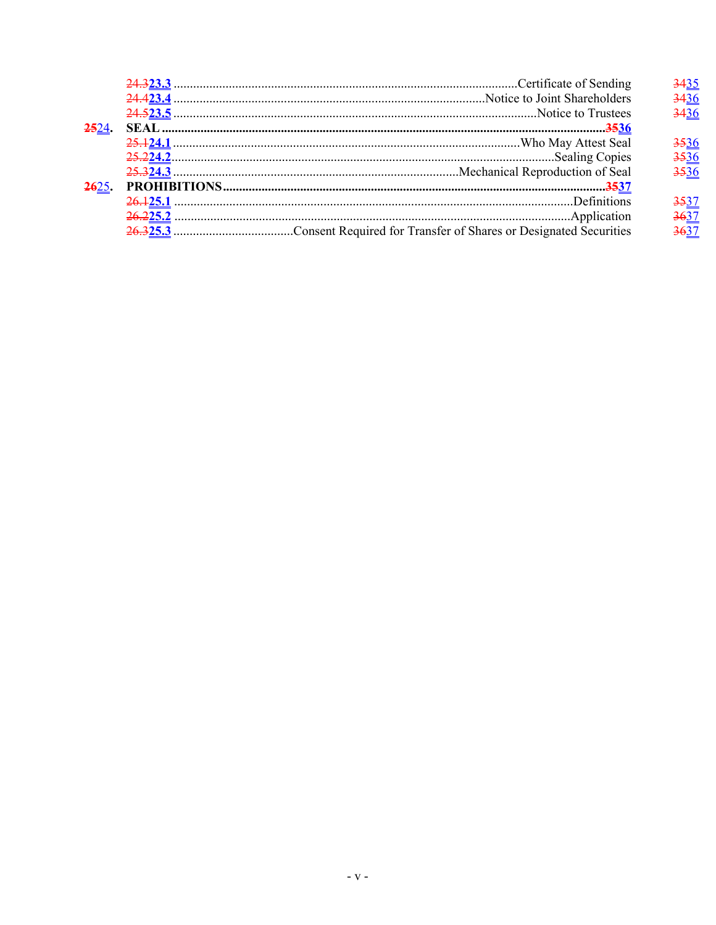|  | 3436             |
|--|------------------|
|  | 3436             |
|  |                  |
|  | <del>5</del> 36  |
|  | 3536             |
|  | <del>35</del> 36 |
|  |                  |
|  |                  |
|  | 3637             |
|  |                  |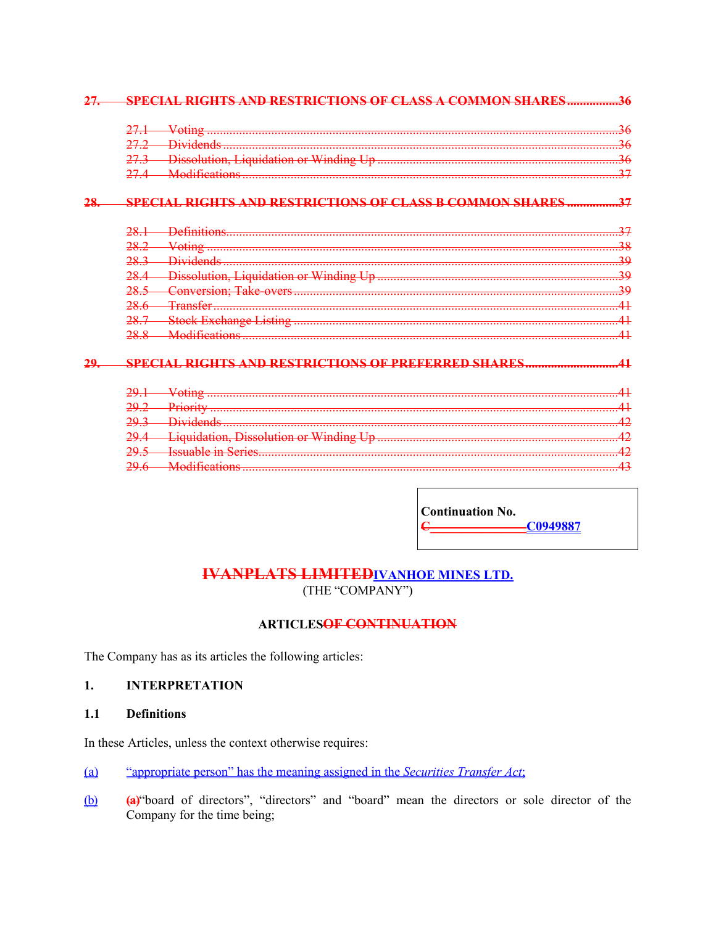#### 27. SPECIAL RIGHTS AND RESTRICTIONS OF CLASS A COMMON SHARES.................36

### 28. SPECIAL RIGHTS AND RESTRICTIONS OF CLASS B COMMON SHARES................37

| 28                    |  |
|-----------------------|--|
| 283                   |  |
| 28 <sub>4</sub>       |  |
|                       |  |
|                       |  |
| 287<br>$\pm \delta$ . |  |
|                       |  |

# 29. SPECIAL RIGHTS AND RESTRICTIONS OF PREFERRED SHARES...........................41

**Continuation No.**  $\epsilon$  $-C0949887$ 

# **IVANPLATS LIMITED IVANHOE MINES LTD.** (THE "COMPANY")

# **ARTICLES<del>OF CONTINUATION</del>**

The Company has as its articles the following articles:

#### <span id="page-5-0"></span> $1.$ **INTERPRETATION**

#### <span id="page-5-1"></span> $1.1$ **Definitions**

In these Articles, unless the context otherwise requires:

- "appropriate person" has the meaning assigned in the Securities Transfer Act;  $(a)$
- (a) "board of directors", "directors" and "board" mean the directors or sole director of the  $\underline{\omega}$ Company for the time being;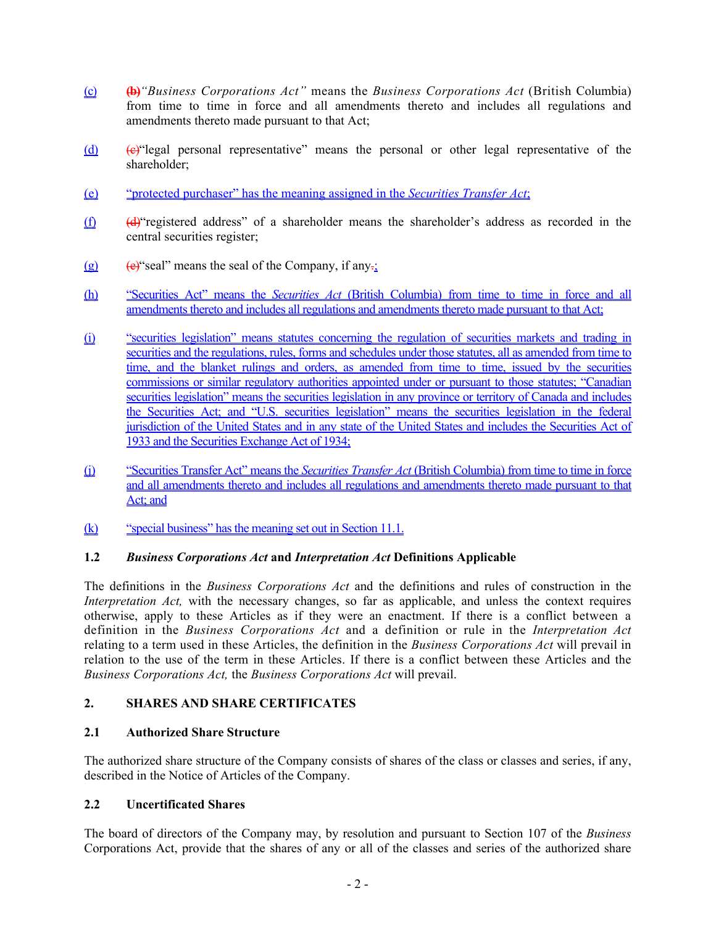- (c) **(b)***"Business Corporations Act"* means the *Business Corporations Act* (British Columbia) from time to time in force and all amendments thereto and includes all regulations and amendments thereto made pursuant to that Act;
- (d)  $(e)$  "legal personal representative" means the personal or other legal representative of the shareholder;
- (e) "protected purchaser" has the meaning assigned in the *Securities Transfer Act*;
- $(f)$  (d) "registered address" of a shareholder means the shareholder's address as recorded in the central securities register;
- (g) (e) "seal" means the seal of the Company, if any $\frac{1}{2}$ "
- (h) "Securities Act" means the *Securities Act* (British Columbia) from time to time in force and all amendments thereto and includes all regulations and amendments thereto made pursuant to that Act;
- (i) "securities legislation" means statutes concerning the regulation of securities markets and trading in securities and the regulations, rules, forms and schedules under those statutes, all as amended from time to time, and the blanket rulings and orders, as amended from time to time, issued by the securities commissions or similar regulatory authorities appointed under or pursuant to those statutes; "Canadian securities legislation" means the securities legislation in any province or territory of Canada and includes the Securities Act; and "U.S. securities legislation" means the securities legislation in the federal jurisdiction of the United States and in any state of the United States and includes the Securities Act of 1933 and the Securities Exchange Act of 1934;
- (j) "Securities Transfer Act" means the *Securities Transfer Act* (British Columbia) from time to time in force and all amendments thereto and includes all regulations and amendments thereto made pursuant to that Act; and
- (k) "special business" has the meaning set out in Section [11.1](#page-16-1).

# <span id="page-6-0"></span>**1.2** *Business Corporations Act* **and** *Interpretation Act* **Definitions Applicable**

The definitions in the *Business Corporations Act* and the definitions and rules of construction in the *Interpretation Act*, with the necessary changes, so far as applicable, and unless the context requires otherwise, apply to these Articles as if they were an enactment. If there is a conflict between a definition in the *Business Corporations Act* and a definition or rule in the *Interpretation Act*  relating to a term used in these Articles, the definition in the *Business Corporations Act* will prevail in relation to the use of the term in these Articles. If there is a conflict between these Articles and the *Business Corporations Act,* the *Business Corporations Act* will prevail.

# <span id="page-6-1"></span>**2. SHARES AND SHARE CERTIFICATES**

# <span id="page-6-2"></span>**2.1 Authorized Share Structure**

The authorized share structure of the Company consists of shares of the class or classes and series, if any, described in the Notice of Articles of the Company.

# <span id="page-6-3"></span>**2.2 Uncertificated Shares**

The board of directors of the Company may, by resolution and pursuant to Section 107 of the *Business*  Corporations Act, provide that the shares of any or all of the classes and series of the authorized share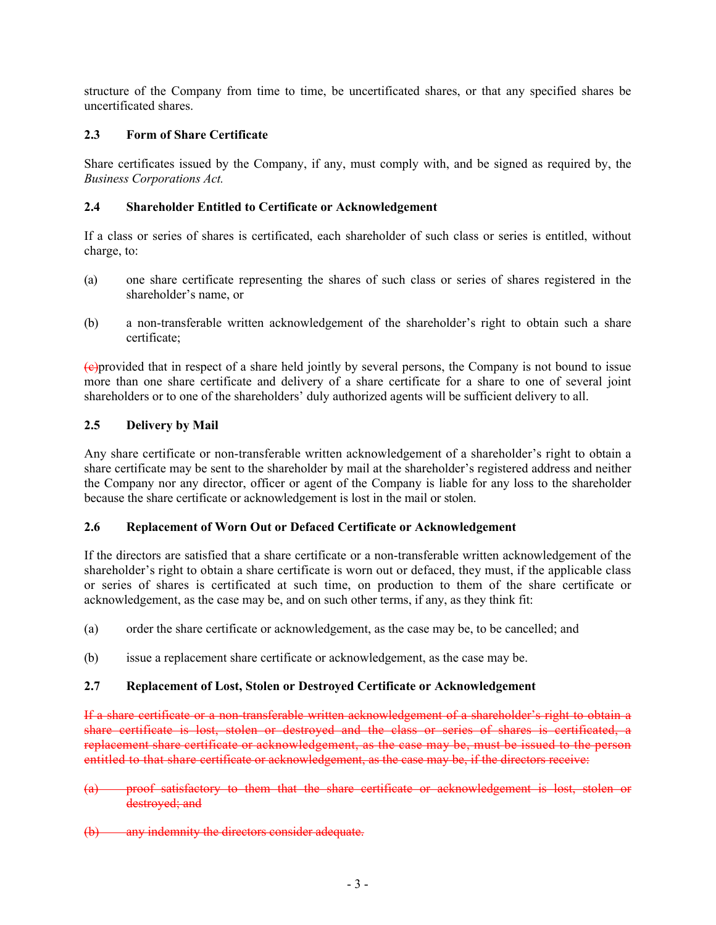structure of the Company from time to time, be uncertificated shares, or that any specified shares be uncertificated shares.

# <span id="page-7-0"></span>**2.3 Form of Share Certificate**

Share certificates issued by the Company, if any, must comply with, and be signed as required by, the *Business Corporations Act.*

### <span id="page-7-1"></span>**2.4 Shareholder Entitled to Certificate or Acknowledgement**

If a class or series of shares is certificated, each shareholder of such class or series is entitled, without charge, to:

- (a) one share certificate representing the shares of such class or series of shares registered in the shareholder's name, or
- (b) a non-transferable written acknowledgement of the shareholder's right to obtain such a share certificate;

(c)provided that in respect of a share held jointly by several persons, the Company is not bound to issue more than one share certificate and delivery of a share certificate for a share to one of several joint shareholders or to one of the shareholders' duly authorized agents will be sufficient delivery to all.

# <span id="page-7-2"></span>**2.5 Delivery by Mail**

Any share certificate or non-transferable written acknowledgement of a shareholder's right to obtain a share certificate may be sent to the shareholder by mail at the shareholder's registered address and neither the Company nor any director, officer or agent of the Company is liable for any loss to the shareholder because the share certificate or acknowledgement is lost in the mail or stolen.

### <span id="page-7-3"></span>**2.6 Replacement of Worn Out or Defaced Certificate or Acknowledgement**

If the directors are satisfied that a share certificate or a non-transferable written acknowledgement of the shareholder's right to obtain a share certificate is worn out or defaced, they must, if the applicable class or series of shares is certificated at such time, on production to them of the share certificate or acknowledgement, as the case may be, and on such other terms, if any, as they think fit:

- (a) order the share certificate or acknowledgement, as the case may be, to be cancelled; and
- (b) issue a replacement share certificate or acknowledgement, as the case may be.

### <span id="page-7-4"></span>**2.7 Replacement of Lost, Stolen or Destroyed Certificate or Acknowledgement**

If a share certificate or a non-transferable written acknowledgement of a shareholder's right to obtain a share certificate is lost, stolen or destroyed and the class or series of shares is certificated, a replacement share certificate or acknowledgement, as the case may be, must be issued to the person entitled to that share certificate or acknowledgement, as the case may be, if the directors receive:

- (a) proof satisfactory to them that the share certificate or acknowledgement is lost, stolen or destroyed; and
- (b) any indemnity the directors consider adequate.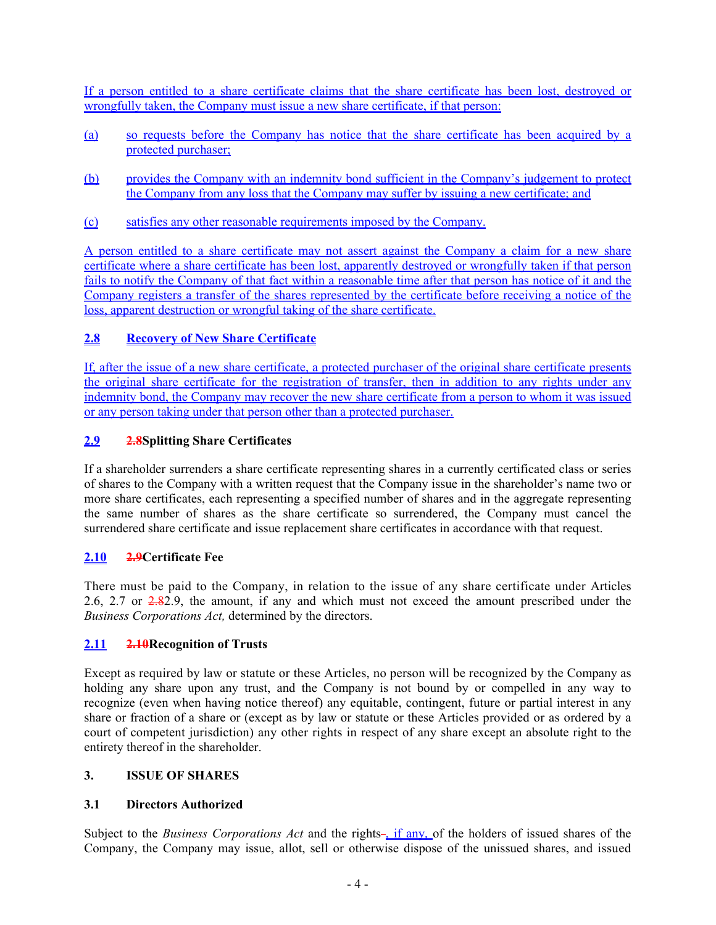If a person entitled to a share certificate claims that the share certificate has been lost, destroyed or wrongfully taken, the Company must issue a new share certificate, if that person:

- (a) so requests before the Company has notice that the share certificate has been acquired by a protected purchaser;
- (b) provides the Company with an indemnity bond sufficient in the Company's judgement to protect the Company from any loss that the Company may suffer by issuing a new certificate; and
- (c) satisfies any other reasonable requirements imposed by the Company.

A person entitled to a share certificate may not assert against the Company a claim for a new share certificate where a share certificate has been lost, apparently destroyed or wrongfully taken if that person fails to notify the Company of that fact within a reasonable time after that person has notice of it and the Company registers a transfer of the shares represented by the certificate before receiving a notice of the loss, apparent destruction or wrongful taking of the share certificate.

# <span id="page-8-0"></span>**2.8 Recovery of New Share Certificate**

If, after the issue of a new share certificate, a protected purchaser of the original share certificate presents the original share certificate for the registration of transfer, then in addition to any rights under any indemnity bond, the Company may recover the new share certificate from a person to whom it was issued or any person taking under that person other than a protected purchaser.

# <span id="page-8-1"></span>**2.9 2.8Splitting Share Certificates**

If a shareholder surrenders a share certificate representing shares in a currently certificated class or series of shares to the Company with a written request that the Company issue in the shareholder's name two or more share certificates, each representing a specified number of shares and in the aggregate representing the same number of shares as the share certificate so surrendered, the Company must cancel the surrendered share certificate and issue replacement share certificates in accordance with that request.

# <span id="page-8-2"></span>**2.10 2.9Certificate Fee**

There must be paid to the Company, in relation to the issue of any share certificate under Articles [2.6,](#page-7-3) [2.7](#page-7-4) or 2.8[2.9](#page-8-1), the amount, if any and which must not exceed the amount prescribed under the *Business Corporations Act,* determined by the directors.

# <span id="page-8-3"></span>**2.11 2.10Recognition of Trusts**

Except as required by law or statute or these Articles, no person will be recognized by the Company as holding any share upon any trust, and the Company is not bound by or compelled in any way to recognize (even when having notice thereof) any equitable, contingent, future or partial interest in any share or fraction of a share or (except as by law or statute or these Articles provided or as ordered by a court of competent jurisdiction) any other rights in respect of any share except an absolute right to the entirety thereof in the shareholder.

### <span id="page-8-4"></span>**3. ISSUE OF SHARES**

# <span id="page-8-5"></span>**3.1 Directors Authorized**

Subject to the *Business Corporations Act* and the rights-, if any, of the holders of issued shares of the Company, the Company may issue, allot, sell or otherwise dispose of the unissued shares, and issued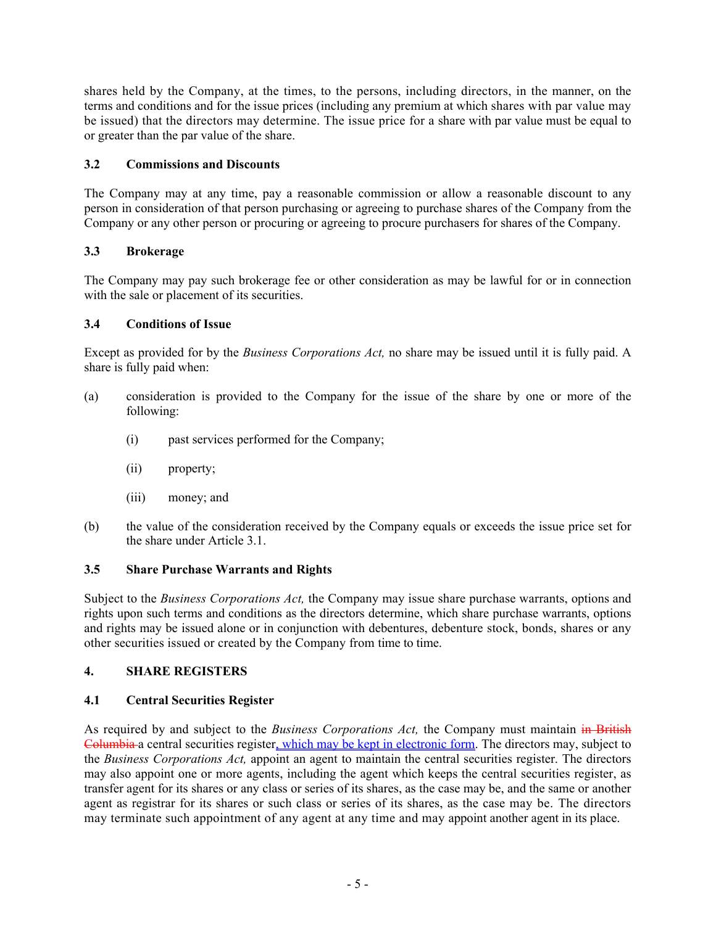shares held by the Company, at the times, to the persons, including directors, in the manner, on the terms and conditions and for the issue prices (including any premium at which shares with par value may be issued) that the directors may determine. The issue price for a share with par value must be equal to or greater than the par value of the share.

# <span id="page-9-0"></span>**3.2 Commissions and Discounts**

The Company may at any time, pay a reasonable commission or allow a reasonable discount to any person in consideration of that person purchasing or agreeing to purchase shares of the Company from the Company or any other person or procuring or agreeing to procure purchasers for shares of the Company.

# <span id="page-9-1"></span>**3.3 Brokerage**

The Company may pay such brokerage fee or other consideration as may be lawful for or in connection with the sale or placement of its securities.

# <span id="page-9-2"></span>**3.4 Conditions of Issue**

Except as provided for by the *Business Corporations Act,* no share may be issued until it is fully paid. A share is fully paid when:

- (a) consideration is provided to the Company for the issue of the share by one or more of the following:
	- (i) past services performed for the Company;
	- (ii) property;
	- (iii) money; and
- (b) the value of the consideration received by the Company equals or exceeds the issue price set for the share under Article [3.1.](#page-8-5)

# <span id="page-9-3"></span>**3.5 Share Purchase Warrants and Rights**

Subject to the *Business Corporations Act,* the Company may issue share purchase warrants, options and rights upon such terms and conditions as the directors determine, which share purchase warrants, options and rights may be issued alone or in conjunction with debentures, debenture stock, bonds, shares or any other securities issued or created by the Company from time to time.

# <span id="page-9-4"></span>**4. SHARE REGISTERS**

# <span id="page-9-5"></span>**4.1 Central Securities Register**

As required by and subject to the *Business Corporations Act,* the Company must maintain in British Columbia a central securities register, which may be kept in electronic form. The directors may, subject to the *Business Corporations Act,* appoint an agent to maintain the central securities register. The directors may also appoint one or more agents, including the agent which keeps the central securities register, as transfer agent for its shares or any class or series of its shares, as the case may be, and the same or another agent as registrar for its shares or such class or series of its shares, as the case may be. The directors may terminate such appointment of any agent at any time and may appoint another agent in its place.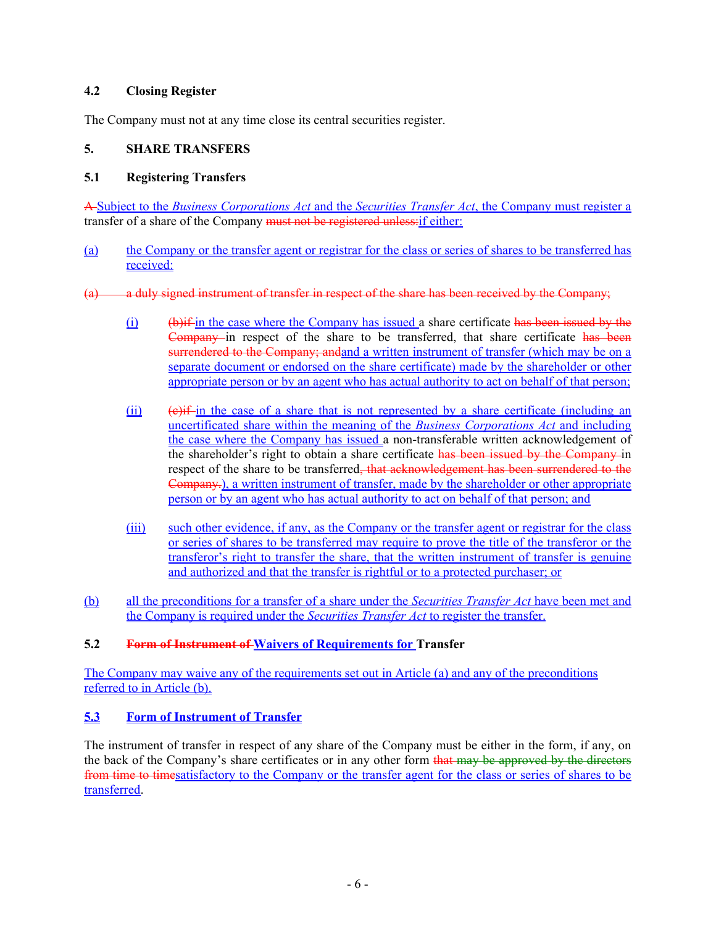### <span id="page-10-0"></span>**4.2 Closing Register**

The Company must not at any time close its central securities register.

# <span id="page-10-1"></span>**5. SHARE TRANSFERS**

### <span id="page-10-2"></span>**5.1 Registering Transfers**

A Subject to the *Business Corporations Act* and the *Securities Transfer Act*, the Company must register a transfer of a share of the Company must not be registered unless: if either:

- <span id="page-10-5"></span>(a) the Company or the transfer agent or registrar for the class or series of shares to be transferred has received:
- (a) a duly signed instrument of transfer in respect of the share has been received by the Company;
	- (i) (b)if in the case where the Company has issued a share certificate has been issued by the Company in respect of the share to be transferred, that share certificate has been surrendered to the Company; andand a written instrument of transfer (which may be on a separate document or endorsed on the share certificate) made by the shareholder or other appropriate person or by an agent who has actual authority to act on behalf of that person;
	- $(iii)$  (e)if-in the case of a share that is not represented by a share certificate (including an uncertificated share within the meaning of the *Business Corporations Act* and including the case where the Company has issued a non-transferable written acknowledgement of the shareholder's right to obtain a share certificate has been issued by the Company in respect of the share to be transferred<del>, that acknowledgement has been surrendered to the</del> Company.), a written instrument of transfer, made by the shareholder or other appropriate person or by an agent who has actual authority to act on behalf of that person; and
	- (iii) such other evidence, if any, as the Company or the transfer agent or registrar for the class or series of shares to be transferred may require to prove the title of the transferor or the transferor's right to transfer the share, that the written instrument of transfer is genuine and authorized and that the transfer is rightful or to a protected purchaser; or
- <span id="page-10-6"></span>(b) all the preconditions for a transfer of a share under the *Securities Transfer Act* have been met and the Company is required under the *Securities Transfer Act* to register the transfer.

### <span id="page-10-3"></span>**5.2 Form of Instrument of Waivers of Requirements for Transfer**

The Company may waive any of the requirements set out in Article [\(a\)](#page-10-5) and any of the preconditions referred to in Article [\(b\)](#page-10-6).

# <span id="page-10-4"></span>**5.3 Form of Instrument of Transfer**

The instrument of transfer in respect of any share of the Company must be either in the form, if any, on the back of the Company's share certificates or in any other form that may be approved by the directors from time to timesatisfactory to the Company or the transfer agent for the class or series of shares to be transferred.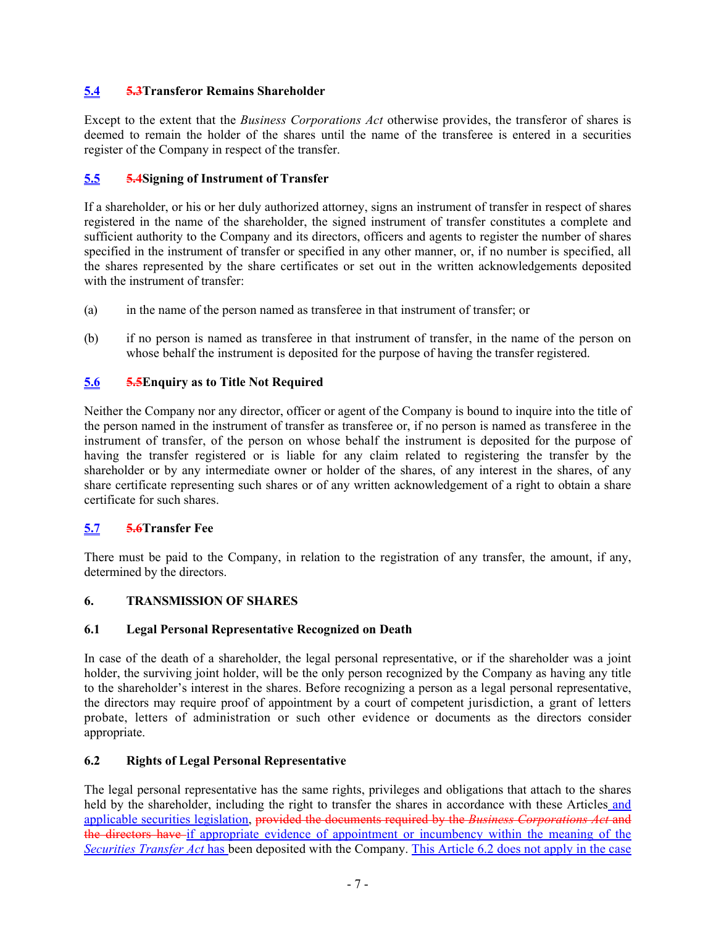# <span id="page-11-0"></span>**5.4 5.3Transferor Remains Shareholder**

Except to the extent that the *Business Corporations Act* otherwise provides, the transferor of shares is deemed to remain the holder of the shares until the name of the transferee is entered in a securities register of the Company in respect of the transfer.

# <span id="page-11-1"></span>**5.5 5.4Signing of Instrument of Transfer**

If a shareholder, or his or her duly authorized attorney, signs an instrument of transfer in respect of shares registered in the name of the shareholder, the signed instrument of transfer constitutes a complete and sufficient authority to the Company and its directors, officers and agents to register the number of shares specified in the instrument of transfer or specified in any other manner, or, if no number is specified, all the shares represented by the share certificates or set out in the written acknowledgements deposited with the instrument of transfer:

- (a) in the name of the person named as transferee in that instrument of transfer; or
- (b) if no person is named as transferee in that instrument of transfer, in the name of the person on whose behalf the instrument is deposited for the purpose of having the transfer registered.

# <span id="page-11-2"></span>**5.6 5.5Enquiry as to Title Not Required**

Neither the Company nor any director, officer or agent of the Company is bound to inquire into the title of the person named in the instrument of transfer as transferee or, if no person is named as transferee in the instrument of transfer, of the person on whose behalf the instrument is deposited for the purpose of having the transfer registered or is liable for any claim related to registering the transfer by the shareholder or by any intermediate owner or holder of the shares, of any interest in the shares, of any share certificate representing such shares or of any written acknowledgement of a right to obtain a share certificate for such shares.

# <span id="page-11-3"></span>**5.7 5.6Transfer Fee**

There must be paid to the Company, in relation to the registration of any transfer, the amount, if any, determined by the directors.

# <span id="page-11-4"></span>**6. TRANSMISSION OF SHARES**

### <span id="page-11-5"></span>**6.1 Legal Personal Representative Recognized on Death**

In case of the death of a shareholder, the legal personal representative, or if the shareholder was a joint holder, the surviving joint holder, will be the only person recognized by the Company as having any title to the shareholder's interest in the shares. Before recognizing a person as a legal personal representative, the directors may require proof of appointment by a court of competent jurisdiction, a grant of letters probate, letters of administration or such other evidence or documents as the directors consider appropriate.

# <span id="page-11-6"></span>**6.2 Rights of Legal Personal Representative**

The legal personal representative has the same rights, privileges and obligations that attach to the shares held by the shareholder, including the right to transfer the shares in accordance with these Articles and applicable securities legislation, provided the documents required by the *Business Corporations Act* and the directors have if appropriate evidence of appointment or incumbency within the meaning of the *Securities Transfer Act* has been deposited with the Company. This Article [6.2](#page-11-6) does not apply in the case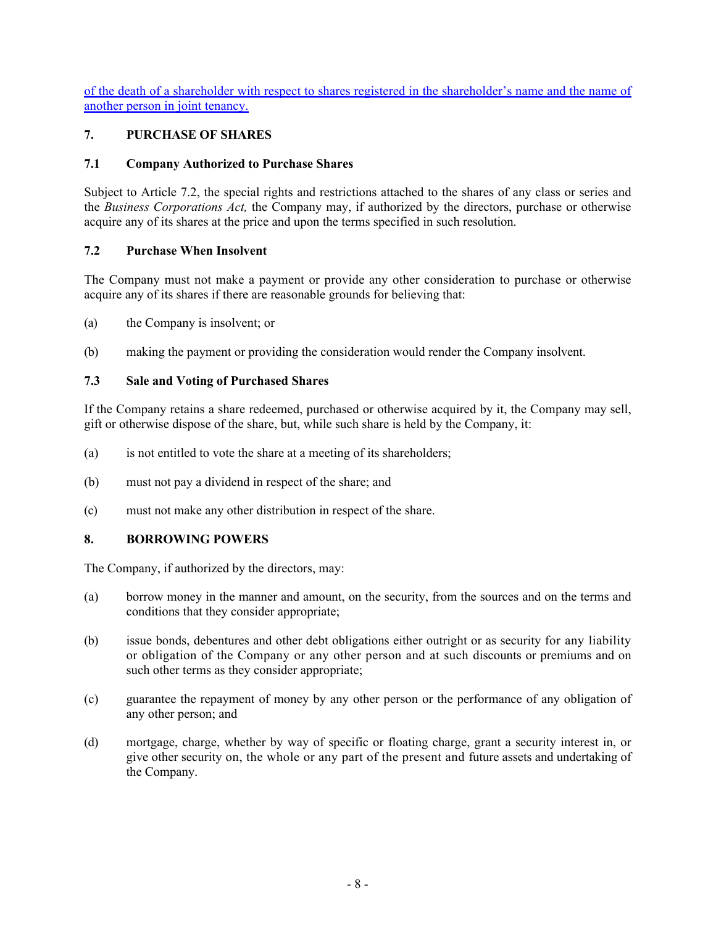of the death of a shareholder with respect to shares registered in the shareholder's name and the name of another person in joint tenancy.

# <span id="page-12-0"></span>**7. PURCHASE OF SHARES**

# <span id="page-12-1"></span>**7.1 Company Authorized to Purchase Shares**

Subject to Article [7.2](#page-12-2), the special rights and restrictions attached to the shares of any class or series and the *Business Corporations Act,* the Company may, if authorized by the directors, purchase or otherwise acquire any of its shares at the price and upon the terms specified in such resolution.

### <span id="page-12-2"></span>**7.2 Purchase When Insolvent**

The Company must not make a payment or provide any other consideration to purchase or otherwise acquire any of its shares if there are reasonable grounds for believing that:

- (a) the Company is insolvent; or
- (b) making the payment or providing the consideration would render the Company insolvent.

### <span id="page-12-3"></span>**7.3 Sale and Voting of Purchased Shares**

If the Company retains a share redeemed, purchased or otherwise acquired by it, the Company may sell, gift or otherwise dispose of the share, but, while such share is held by the Company, it:

- (a) is not entitled to vote the share at a meeting of its shareholders;
- (b) must not pay a dividend in respect of the share; and
- (c) must not make any other distribution in respect of the share.

# <span id="page-12-4"></span>**8. BORROWING POWERS**

The Company, if authorized by the directors, may:

- (a) borrow money in the manner and amount, on the security, from the sources and on the terms and conditions that they consider appropriate;
- (b) issue bonds, debentures and other debt obligations either outright or as security for any liability or obligation of the Company or any other person and at such discounts or premiums and on such other terms as they consider appropriate;
- (c) guarantee the repayment of money by any other person or the performance of any obligation of any other person; and
- (d) mortgage, charge, whether by way of specific or floating charge, grant a security interest in, or give other security on, the whole or any part of the present and future assets and undertaking of the Company.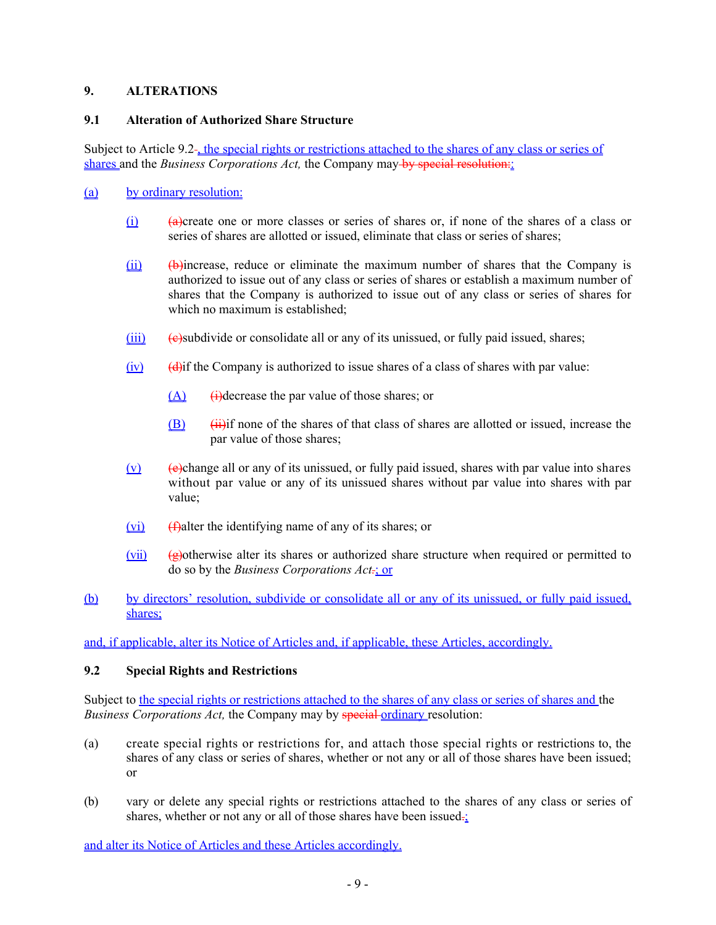### <span id="page-13-0"></span>**9. ALTERATIONS**

### <span id="page-13-1"></span>**9.1 Alteration of Authorized Share Structure**

Subject to Article [9.2](#page-13-2)<sup>-</sup>, the special rights or restrictions attached to the shares of any class or series of shares and the *Business Corporations Act*, the Company may by special resolution:

### (a) by ordinary resolution:

- (i)  $\theta$  (a)create one or more classes or series of shares or, if none of the shares of a class or series of shares are allotted or issued, eliminate that class or series of shares;
- $(iii)$  (b)  $(iii)$  (b)  $(iii)$  (b)  $(iii)$  (b)  $(iiii)$  (b)  $(iiv)$  (b)  $(iiv)$  (b)  $(iiv)$  (b)  $(iiv)$  (b)  $(iv)$  (b)  $(iv)$  (c)  $(iv)$  (c)  $(iv)$  (c)  $(iv)$  (c)  $(iv)$  (c)  $(iv)$  (c)  $(iv)$  (c)  $(iv)$  (c)  $(iv)$  (c)  $(iv)$  (c)  $(iv)$  (c)  $(iv)$  (c) authorized to issue out of any class or series of shares or establish a maximum number of shares that the Company is authorized to issue out of any class or series of shares for which no maximum is established;
- $(iii)$  (e)subdivide or consolidate all or any of its unissued, or fully paid issued, shares;
- $(iv)$  (d) (d) (d) (d) if the Company is authorized to issue shares of a class of shares with par value:
	- $(A)$  (i)decrease the par value of those shares; or
	- $(B)$  (iii)if none of the shares of that class of shares are allotted or issued, increase the par value of those shares;
- $(v)$  (e)change all or any of its unissued, or fully paid issued, shares with par value into shares without par value or any of its unissued shares without par value into shares with par value;
- $(vi)$  (f)alter the identifying name of any of its shares; or
- $(vii)$  ( $\theta$ )otherwise alter its shares or authorized share structure when required or permitted to do so by the *Business Corporations Act.*; or
- (b) by directors' resolution, subdivide or consolidate all or any of its unissued, or fully paid issued, shares;

and, if applicable, alter its Notice of Articles and, if applicable, these Articles, accordingly.

# <span id="page-13-2"></span>**9.2 Special Rights and Restrictions**

Subject to the special rights or restrictions attached to the shares of any class or series of shares and the *Business Corporations Act, the Company may by special ordinary resolution:* 

- (a) create special rights or restrictions for, and attach those special rights or restrictions to, the shares of any class or series of shares, whether or not any or all of those shares have been issued; or
- (b) vary or delete any special rights or restrictions attached to the shares of any class or series of shares, whether or not any or all of those shares have been issued $\frac{1}{2}$ .

and alter its Notice of Articles and these Articles accordingly.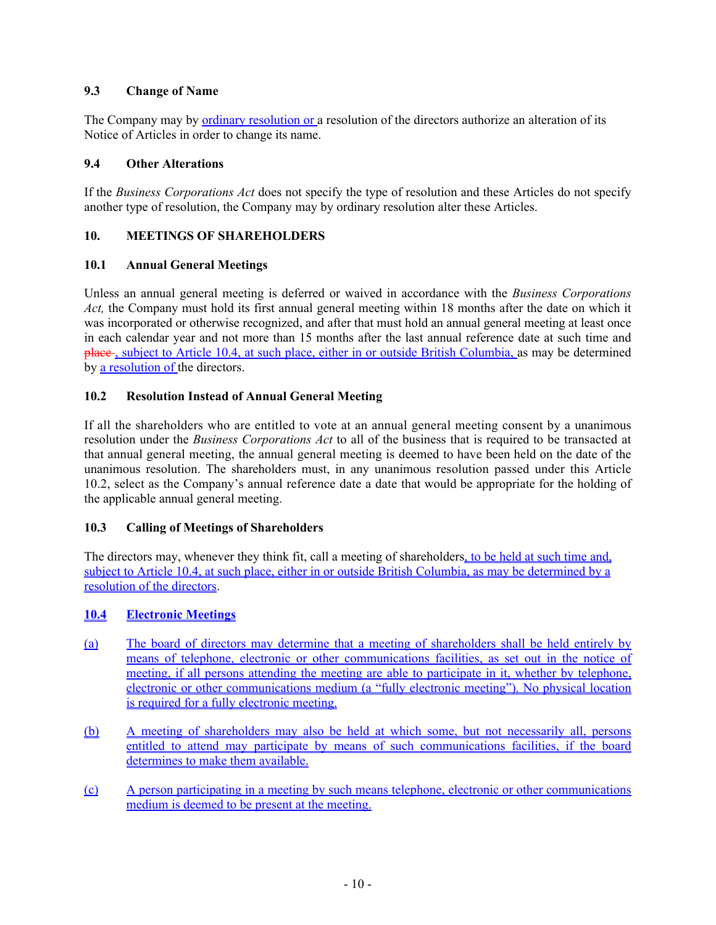# <span id="page-14-0"></span>**9.3 Change of Name**

The Company may by <u>ordinary resolution or</u> a resolution of the directors authorize an alteration of its Notice of Articles in order to change its name.

### <span id="page-14-1"></span>**9.4 Other Alterations**

If the *Business Corporations Act* does not specify the type of resolution and these Articles do not specify another type of resolution, the Company may by ordinary resolution alter these Articles.

### <span id="page-14-2"></span>**10. MEETINGS OF SHAREHOLDERS**

### <span id="page-14-3"></span>**10.1 Annual General Meetings**

Unless an annual general meeting is deferred or waived in accordance with the *Business Corporations Act,* the Company must hold its first annual general meeting within 18 months after the date on which it was incorporated or otherwise recognized, and after that must hold an annual general meeting at least once in each calendar year and not more than 15 months after the last annual reference date at such time and place , subject to Article [10.4](#page-14-6), at such place, either in or outside British Columbia, as may be determined by a resolution of the directors.

# <span id="page-14-4"></span>**10.2 Resolution Instead of Annual General Meeting**

If all the shareholders who are entitled to vote at an annual general meeting consent by a unanimous resolution under the *Business Corporations Act* to all of the business that is required to be transacted at that annual general meeting, the annual general meeting is deemed to have been held on the date of the unanimous resolution. The shareholders must, in any unanimous resolution passed under this Article [10.2,](#page-14-4) select as the Company's annual reference date a date that would be appropriate for the holding of the applicable annual general meeting.

# <span id="page-14-5"></span>**10.3 Calling of Meetings of Shareholders**

The directors may, whenever they think fit, call a meeting of shareholders, to be held at such time and, subject to Article [10.4,](#page-14-6) at such place, either in or outside British Columbia, as may be determined by a resolution of the directors.

### <span id="page-14-6"></span>**10.4 Electronic Meetings**

- (a) The board of directors may determine that a meeting of shareholders shall be held entirely by means of telephone, electronic or other communications facilities, as set out in the notice of meeting, if all persons attending the meeting are able to participate in it, whether by telephone, electronic or other communications medium (a "fully electronic meeting"). No physical location is required for a fully electronic meeting.
- (b) A meeting of shareholders may also be held at which some, but not necessarily all, persons entitled to attend may participate by means of such communications facilities, if the board determines to make them available.
- (c) A person participating in a meeting by such means telephone, electronic or other communications medium is deemed to be present at the meeting.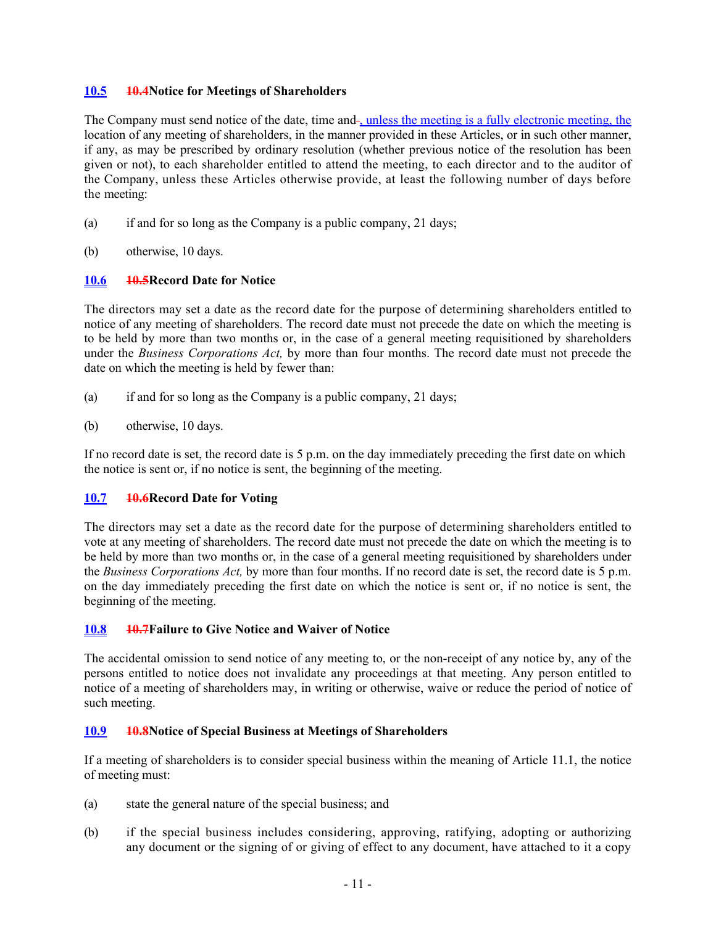### <span id="page-15-0"></span>**10.5 10.4Notice for Meetings of Shareholders**

The Company must send notice of the date, time and-, unless the meeting is a fully electronic meeting, the location of any meeting of shareholders, in the manner provided in these Articles, or in such other manner, if any, as may be prescribed by ordinary resolution (whether previous notice of the resolution has been given or not), to each shareholder entitled to attend the meeting, to each director and to the auditor of the Company, unless these Articles otherwise provide, at least the following number of days before the meeting:

- (a) if and for so long as the Company is a public company, 21 days;
- (b) otherwise, 10 days.

### <span id="page-15-1"></span>**10.6 10.5Record Date for Notice**

The directors may set a date as the record date for the purpose of determining shareholders entitled to notice of any meeting of shareholders. The record date must not precede the date on which the meeting is to be held by more than two months or, in the case of a general meeting requisitioned by shareholders under the *Business Corporations Act,* by more than four months. The record date must not precede the date on which the meeting is held by fewer than:

- (a) if and for so long as the Company is a public company, 21 days;
- (b) otherwise, 10 days.

If no record date is set, the record date is 5 p.m. on the day immediately preceding the first date on which the notice is sent or, if no notice is sent, the beginning of the meeting.

# <span id="page-15-2"></span>**10.7 10.6Record Date for Voting**

The directors may set a date as the record date for the purpose of determining shareholders entitled to vote at any meeting of shareholders. The record date must not precede the date on which the meeting is to be held by more than two months or, in the case of a general meeting requisitioned by shareholders under the *Business Corporations Act,* by more than four months. If no record date is set, the record date is 5 p.m. on the day immediately preceding the first date on which the notice is sent or, if no notice is sent, the beginning of the meeting.

### <span id="page-15-3"></span>**10.8 10.7Failure to Give Notice and Waiver of Notice**

The accidental omission to send notice of any meeting to, or the non-receipt of any notice by, any of the persons entitled to notice does not invalidate any proceedings at that meeting. Any person entitled to notice of a meeting of shareholders may, in writing or otherwise, waive or reduce the period of notice of such meeting.

### <span id="page-15-4"></span>**10.9 10.8Notice of Special Business at Meetings of Shareholders**

If a meeting of shareholders is to consider special business within the meaning of Article [11.1](#page-16-1), the notice of meeting must:

- (a) state the general nature of the special business; and
- (b) if the special business includes considering, approving, ratifying, adopting or authorizing any document or the signing of or giving of effect to any document, have attached to it a copy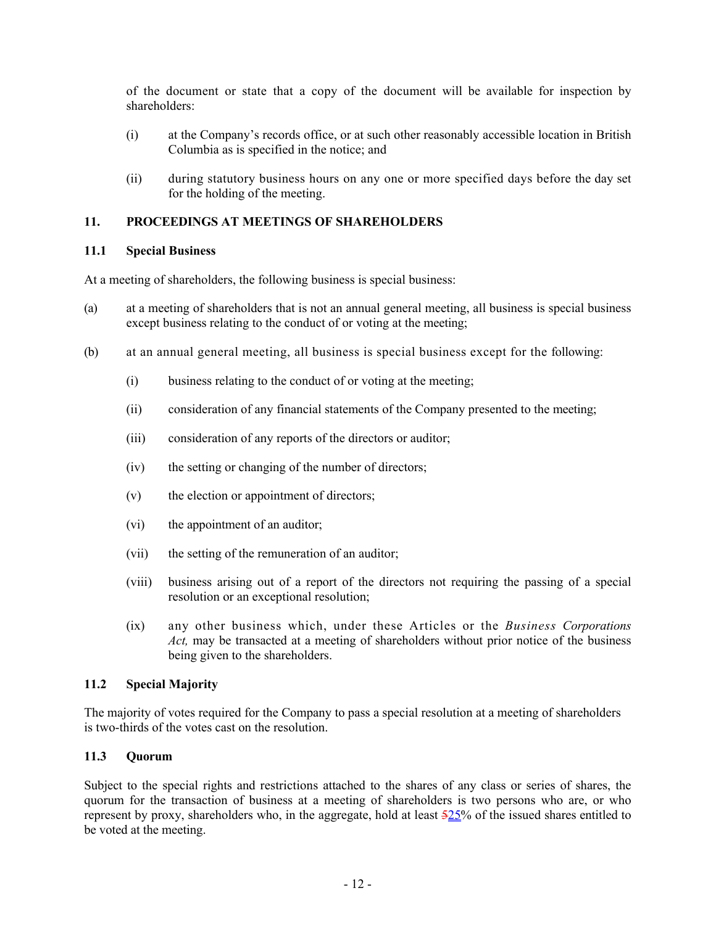of the document or state that a copy of the document will be available for inspection by shareholders:

- (i) at the Company's records office, or at such other reasonably accessible location in British Columbia as is specified in the notice; and
- (ii) during statutory business hours on any one or more specified days before the day set for the holding of the meeting.

### <span id="page-16-0"></span>**11. PROCEEDINGS AT MEETINGS OF SHAREHOLDERS**

### <span id="page-16-1"></span>**11.1 Special Business**

At a meeting of shareholders, the following business is special business:

- (a) at a meeting of shareholders that is not an annual general meeting, all business is special business except business relating to the conduct of or voting at the meeting;
- (b) at an annual general meeting, all business is special business except for the following:
	- (i) business relating to the conduct of or voting at the meeting;
	- (ii) consideration of any financial statements of the Company presented to the meeting;
	- (iii) consideration of any reports of the directors or auditor;
	- (iv) the setting or changing of the number of directors;
	- (v) the election or appointment of directors;
	- (vi) the appointment of an auditor;
	- (vii) the setting of the remuneration of an auditor;
	- (viii) business arising out of a report of the directors not requiring the passing of a special resolution or an exceptional resolution;
	- (ix) any other business which, under these Articles or the *Business Corporations Act,* may be transacted at a meeting of shareholders without prior notice of the business being given to the shareholders.

### <span id="page-16-2"></span>**11.2 Special Majority**

The majority of votes required for the Company to pass a special resolution at a meeting of shareholders is two-thirds of the votes cast on the resolution.

#### <span id="page-16-3"></span>**11.3 Quorum**

Subject to the special rights and restrictions attached to the shares of any class or series of shares, the quorum for the transaction of business at a meeting of shareholders is two persons who are, or who represent by proxy, shareholders who, in the aggregate, hold at least  $\frac{525}{%}$  of the issued shares entitled to be voted at the meeting.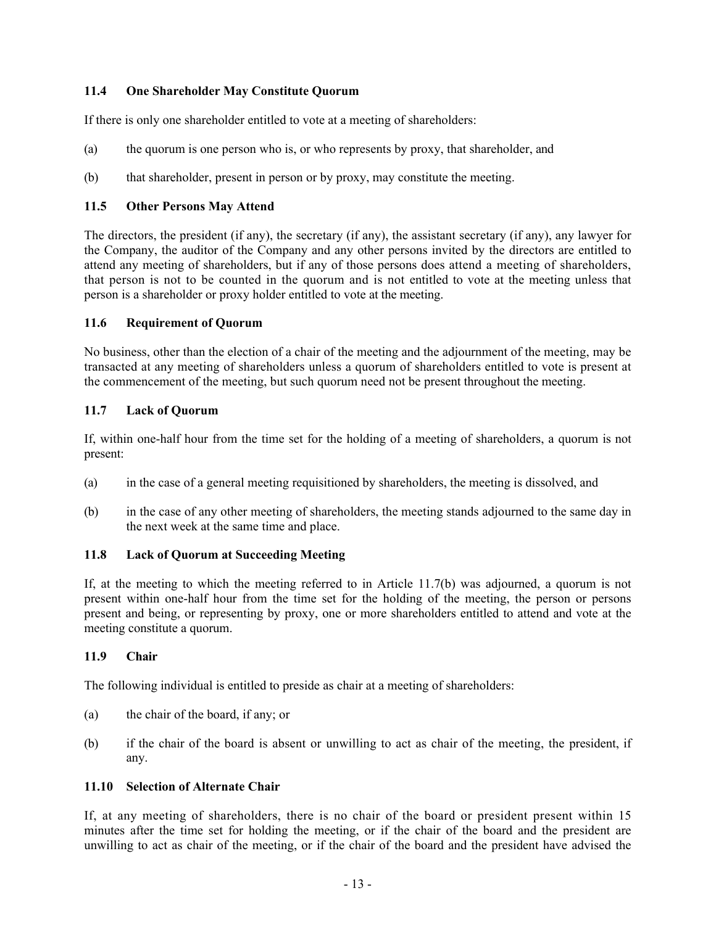### <span id="page-17-0"></span>**11.4 One Shareholder May Constitute Quorum**

If there is only one shareholder entitled to vote at a meeting of shareholders:

- (a) the quorum is one person who is, or who represents by proxy, that shareholder, and
- (b) that shareholder, present in person or by proxy, may constitute the meeting.

### <span id="page-17-1"></span>**11.5 Other Persons May Attend**

The directors, the president (if any), the secretary (if any), the assistant secretary (if any), any lawyer for the Company, the auditor of the Company and any other persons invited by the directors are entitled to attend any meeting of shareholders, but if any of those persons does attend a meeting of shareholders, that person is not to be counted in the quorum and is not entitled to vote at the meeting unless that person is a shareholder or proxy holder entitled to vote at the meeting.

### <span id="page-17-2"></span>**11.6 Requirement of Quorum**

No business, other than the election of a chair of the meeting and the adjournment of the meeting, may be transacted at any meeting of shareholders unless a quorum of shareholders entitled to vote is present at the commencement of the meeting, but such quorum need not be present throughout the meeting.

### <span id="page-17-3"></span>**11.7 Lack of Quorum**

If, within one-half hour from the time set for the holding of a meeting of shareholders, a quorum is not present:

- (a) in the case of a general meeting requisitioned by shareholders, the meeting is dissolved, and
- <span id="page-17-7"></span>(b) in the case of any other meeting of shareholders, the meeting stands adjourned to the same day in the next week at the same time and place.

### <span id="page-17-4"></span>**11.8 Lack of Quorum at Succeeding Meeting**

If, at the meeting to which the meeting referred to in Article [11.7\(b\)](#page-17-7) was adjourned, a quorum is not present within one-half hour from the time set for the holding of the meeting, the person or persons present and being, or representing by proxy, one or more shareholders entitled to attend and vote at the meeting constitute a quorum.

### <span id="page-17-5"></span>**11.9 Chair**

The following individual is entitled to preside as chair at a meeting of shareholders:

- (a) the chair of the board, if any; or
- (b) if the chair of the board is absent or unwilling to act as chair of the meeting, the president, if any.

### <span id="page-17-6"></span>**11.10 Selection of Alternate Chair**

If, at any meeting of shareholders, there is no chair of the board or president present within 15 minutes after the time set for holding the meeting, or if the chair of the board and the president are unwilling to act as chair of the meeting, or if the chair of the board and the president have advised the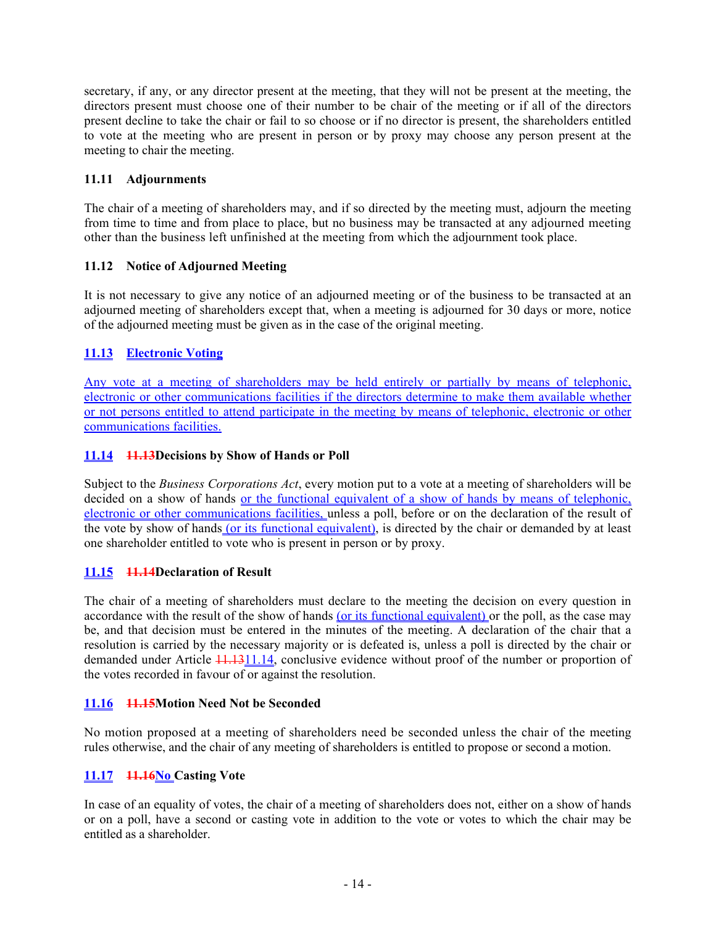secretary, if any, or any director present at the meeting, that they will not be present at the meeting, the directors present must choose one of their number to be chair of the meeting or if all of the directors present decline to take the chair or fail to so choose or if no director is present, the shareholders entitled to vote at the meeting who are present in person or by proxy may choose any person present at the meeting to chair the meeting.

### <span id="page-18-0"></span>**11.11 Adjournments**

The chair of a meeting of shareholders may, and if so directed by the meeting must, adjourn the meeting from time to time and from place to place, but no business may be transacted at any adjourned meeting other than the business left unfinished at the meeting from which the adjournment took place.

# <span id="page-18-1"></span>**11.12 Notice of Adjourned Meeting**

It is not necessary to give any notice of an adjourned meeting or of the business to be transacted at an adjourned meeting of shareholders except that, when a meeting is adjourned for 30 days or more, notice of the adjourned meeting must be given as in the case of the original meeting.

# <span id="page-18-2"></span>**11.13 Electronic Voting**

Any vote at a meeting of shareholders may be held entirely or partially by means of telephonic, electronic or other communications facilities if the directors determine to make them available whether or not persons entitled to attend participate in the meeting by means of telephonic, electronic or other communications facilities.

### <span id="page-18-3"></span>**11.14 11.13Decisions by Show of Hands or Poll**

Subject to the *Business Corporations Act*, every motion put to a vote at a meeting of shareholders will be decided on a show of hands or the functional equivalent of a show of hands by means of telephonic, electronic or other communications facilities, unless a poll, before or on the declaration of the result of the vote by show of hands (or its functional equivalent), is directed by the chair or demanded by at least one shareholder entitled to vote who is present in person or by proxy.

# <span id="page-18-4"></span>**11.15 11.14Declaration of Result**

The chair of a meeting of shareholders must declare to the meeting the decision on every question in accordance with the result of the show of hands (or its functional equivalent) or the poll, as the case may be, and that decision must be entered in the minutes of the meeting. A declaration of the chair that a resolution is carried by the necessary majority or is defeated is, unless a poll is directed by the chair or demanded under Article  $\frac{11.1311.14}{11.131.14}$  $\frac{11.1311.14}{11.131.14}$  $\frac{11.1311.14}{11.131.14}$ , conclusive evidence without proof of the number or proportion of the votes recorded in favour of or against the resolution.

### <span id="page-18-5"></span>**11.16 11.15Motion Need Not be Seconded**

No motion proposed at a meeting of shareholders need be seconded unless the chair of the meeting rules otherwise, and the chair of any meeting of shareholders is entitled to propose or second a motion.

### <span id="page-18-6"></span>**11.17 11.16No Casting Vote**

In case of an equality of votes, the chair of a meeting of shareholders does not, either on a show of hands or on a poll, have a second or casting vote in addition to the vote or votes to which the chair may be entitled as a shareholder.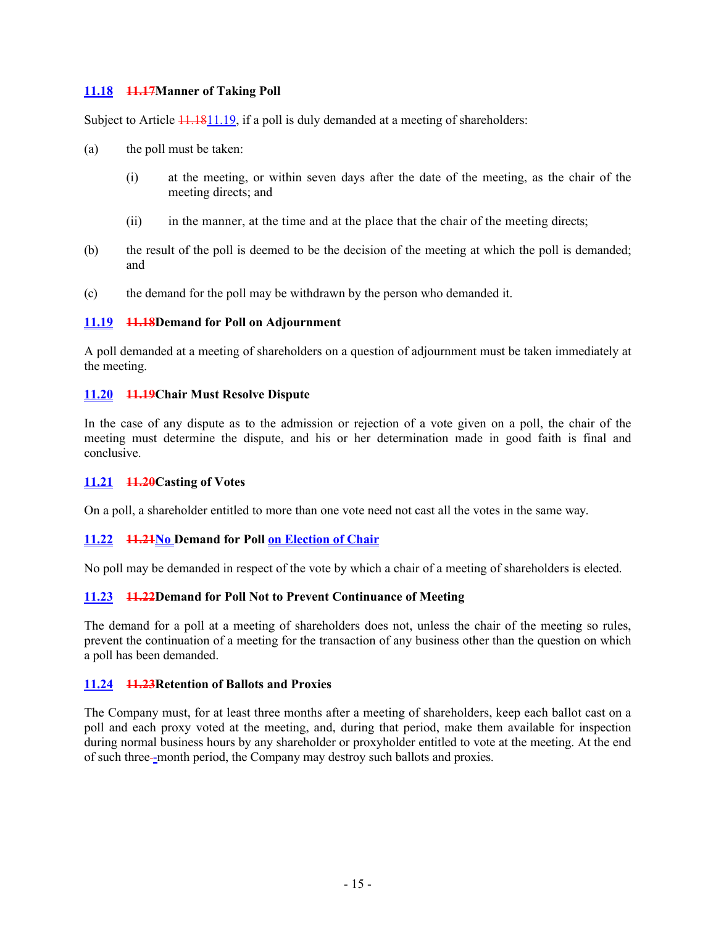### <span id="page-19-0"></span>**11.18 11.17Manner of Taking Poll**

Subject to Article  $\frac{11.1811.19}{1.19}$ , if a poll is duly demanded at a meeting of shareholders:

- (a) the poll must be taken:
	- (i) at the meeting, or within seven days after the date of the meeting, as the chair of the meeting directs; and
	- (ii) in the manner, at the time and at the place that the chair of the meeting directs;
- (b) the result of the poll is deemed to be the decision of the meeting at which the poll is demanded; and
- (c) the demand for the poll may be withdrawn by the person who demanded it.

### <span id="page-19-1"></span>**11.19 11.18Demand for Poll on Adjournment**

A poll demanded at a meeting of shareholders on a question of adjournment must be taken immediately at the meeting.

### <span id="page-19-2"></span>**11.20 11.19Chair Must Resolve Dispute**

In the case of any dispute as to the admission or rejection of a vote given on a poll, the chair of the meeting must determine the dispute, and his or her determination made in good faith is final and conclusive.

### <span id="page-19-3"></span>**11.21 11.20Casting of Votes**

On a poll, a shareholder entitled to more than one vote need not cast all the votes in the same way.

# <span id="page-19-4"></span>**11.22 11.21No Demand for Poll on Election of Chair**

No poll may be demanded in respect of the vote by which a chair of a meeting of shareholders is elected.

# <span id="page-19-5"></span>**11.23 11.22Demand for Poll Not to Prevent Continuance of Meeting**

The demand for a poll at a meeting of shareholders does not, unless the chair of the meeting so rules, prevent the continuation of a meeting for the transaction of any business other than the question on which a poll has been demanded.

### <span id="page-19-6"></span>**11.24 11.23Retention of Ballots and Proxies**

The Company must, for at least three months after a meeting of shareholders, keep each ballot cast on a poll and each proxy voted at the meeting, and, during that period, make them available for inspection during normal business hours by any shareholder or proxyholder entitled to vote at the meeting. At the end of such three -month period, the Company may destroy such ballots and proxies.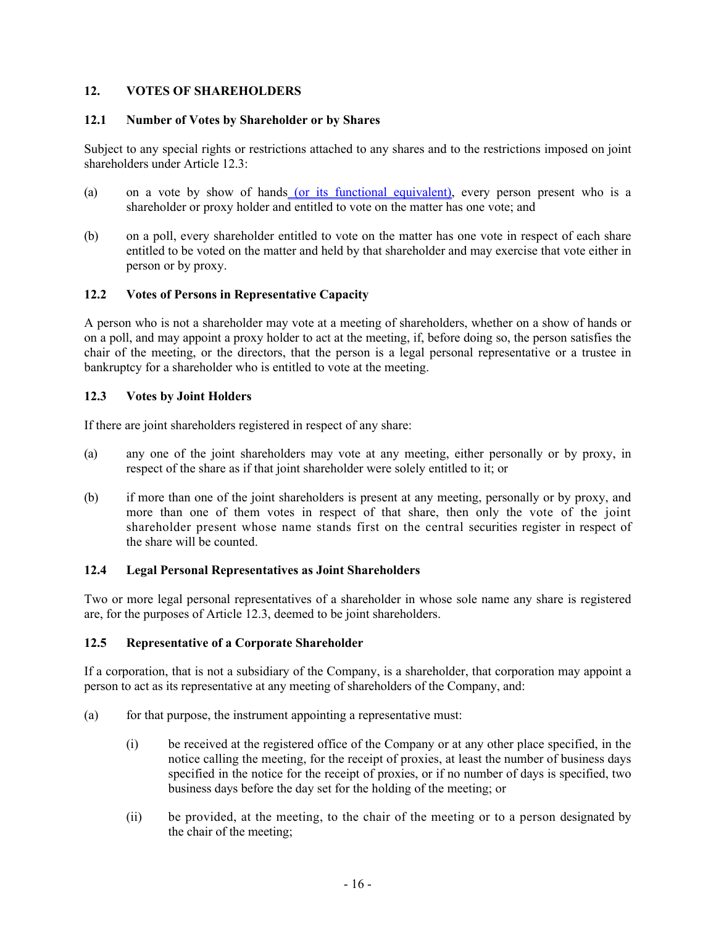### <span id="page-20-0"></span>**12. VOTES OF SHAREHOLDERS**

### <span id="page-20-1"></span>**12.1 Number of Votes by Shareholder or by Shares**

Subject to any special rights or restrictions attached to any shares and to the restrictions imposed on joint shareholders under Article [12.3](#page-20-3):

- (a) on a vote by show of hands (or its functional equivalent), every person present who is a shareholder or proxy holder and entitled to vote on the matter has one vote; and
- (b) on a poll, every shareholder entitled to vote on the matter has one vote in respect of each share entitled to be voted on the matter and held by that shareholder and may exercise that vote either in person or by proxy.

### <span id="page-20-2"></span>**12.2 Votes of Persons in Representative Capacity**

A person who is not a shareholder may vote at a meeting of shareholders, whether on a show of hands or on a poll, and may appoint a proxy holder to act at the meeting, if, before doing so, the person satisfies the chair of the meeting, or the directors, that the person is a legal personal representative or a trustee in bankruptcy for a shareholder who is entitled to vote at the meeting.

### <span id="page-20-3"></span>**12.3 Votes by Joint Holders**

If there are joint shareholders registered in respect of any share:

- (a) any one of the joint shareholders may vote at any meeting, either personally or by proxy, in respect of the share as if that joint shareholder were solely entitled to it; or
- (b) if more than one of the joint shareholders is present at any meeting, personally or by proxy, and more than one of them votes in respect of that share, then only the vote of the joint shareholder present whose name stands first on the central securities register in respect of the share will be counted.

### <span id="page-20-4"></span>**12.4 Legal Personal Representatives as Joint Shareholders**

Two or more legal personal representatives of a shareholder in whose sole name any share is registered are, for the purposes of Article [12.3](#page-20-3), deemed to be joint shareholders.

### <span id="page-20-5"></span>**12.5 Representative of a Corporate Shareholder**

If a corporation, that is not a subsidiary of the Company, is a shareholder, that corporation may appoint a person to act as its representative at any meeting of shareholders of the Company, and:

- $(a)$  for that purpose, the instrument appointing a representative must:
	- (i) be received at the registered office of the Company or at any other place specified, in the notice calling the meeting, for the receipt of proxies, at least the number of business days specified in the notice for the receipt of proxies, or if no number of days is specified, two business days before the day set for the holding of the meeting; or
	- (ii) be provided, at the meeting, to the chair of the meeting or to a person designated by the chair of the meeting;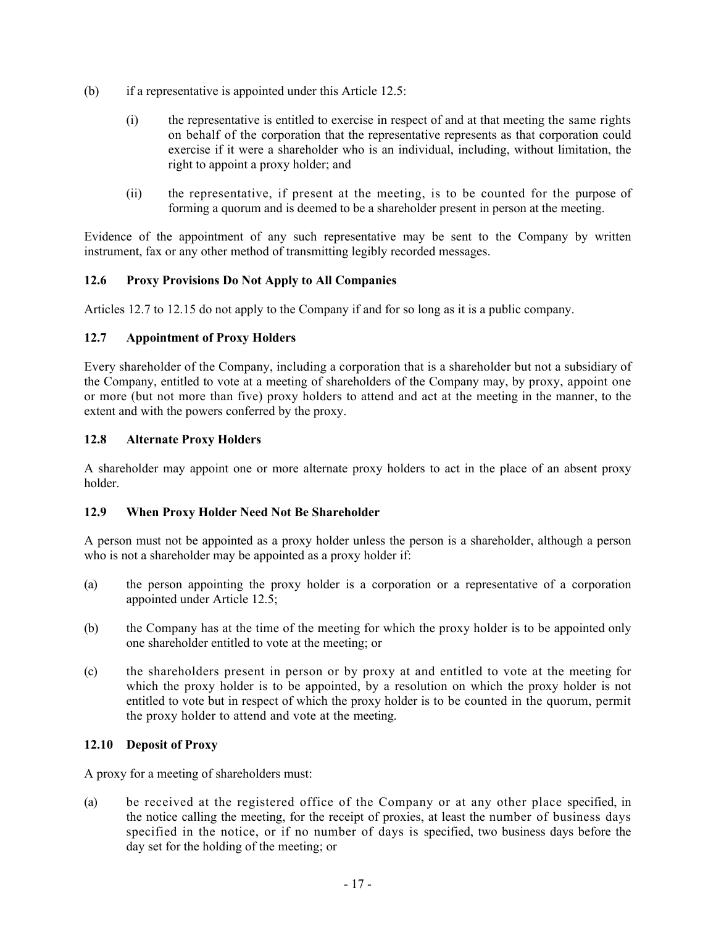- (b) if a representative is appointed under this Article [12.5:](#page-20-5)
	- (i) the representative is entitled to exercise in respect of and at that meeting the same rights on behalf of the corporation that the representative represents as that corporation could exercise if it were a shareholder who is an individual, including, without limitation, the right to appoint a proxy holder; and
	- (ii) the representative, if present at the meeting, is to be counted for the purpose of forming a quorum and is deemed to be a shareholder present in person at the meeting.

Evidence of the appointment of any such representative may be sent to the Company by written instrument, fax or any other method of transmitting legibly recorded messages.

### <span id="page-21-0"></span>**12.6 Proxy Provisions Do Not Apply to All Companies**

Articles [12.7](#page-21-1) to [12.15](#page-23-1) do not apply to the Company if and for so long as it is a public company.

### <span id="page-21-1"></span>**12.7 Appointment of Proxy Holders**

Every shareholder of the Company, including a corporation that is a shareholder but not a subsidiary of the Company, entitled to vote at a meeting of shareholders of the Company may, by proxy, appoint one or more (but not more than five) proxy holders to attend and act at the meeting in the manner, to the extent and with the powers conferred by the proxy.

### <span id="page-21-2"></span>**12.8 Alternate Proxy Holders**

A shareholder may appoint one or more alternate proxy holders to act in the place of an absent proxy holder.

### <span id="page-21-3"></span>**12.9 When Proxy Holder Need Not Be Shareholder**

A person must not be appointed as a proxy holder unless the person is a shareholder, although a person who is not a shareholder may be appointed as a proxy holder if:

- (a) the person appointing the proxy holder is a corporation or a representative of a corporation appointed under Article [12.5](#page-20-5);
- (b) the Company has at the time of the meeting for which the proxy holder is to be appointed only one shareholder entitled to vote at the meeting; or
- (c) the shareholders present in person or by proxy at and entitled to vote at the meeting for which the proxy holder is to be appointed, by a resolution on which the proxy holder is not entitled to vote but in respect of which the proxy holder is to be counted in the quorum, permit the proxy holder to attend and vote at the meeting.

### <span id="page-21-4"></span>**12.10 Deposit of Proxy**

A proxy for a meeting of shareholders must:

(a) be received at the registered office of the Company or at any other place specified, in the notice calling the meeting, for the receipt of proxies, at least the number of business days specified in the notice, or if no number of days is specified, two business days before the day set for the holding of the meeting; or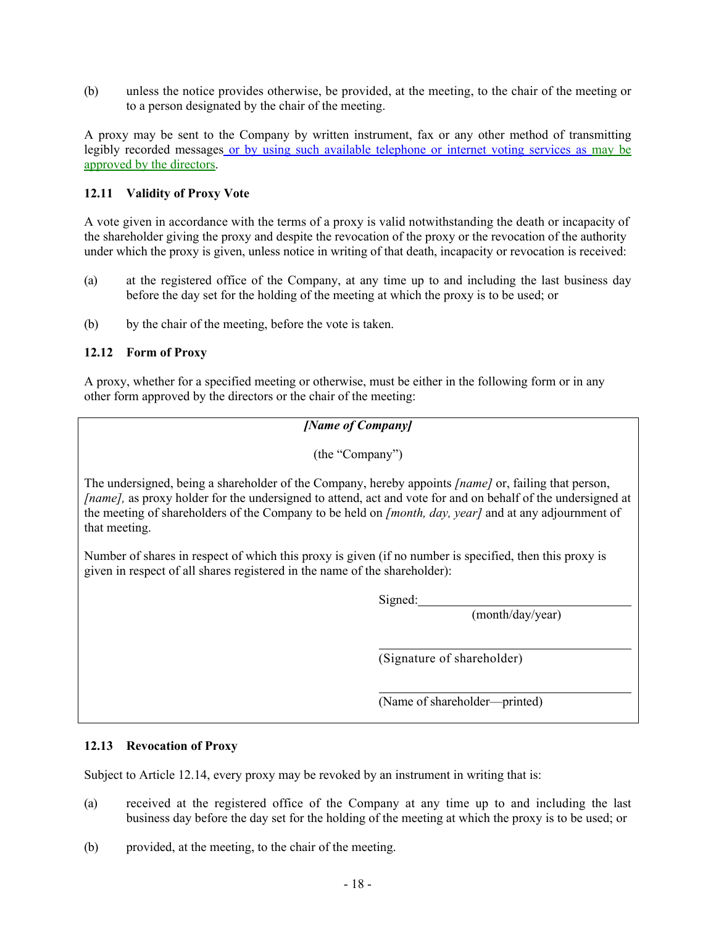(b) unless the notice provides otherwise, be provided, at the meeting, to the chair of the meeting or to a person designated by the chair of the meeting.

A proxy may be sent to the Company by written instrument, fax or any other method of transmitting legibly recorded messages or by using such available telephone or internet voting services as may be approved by the directors.

### <span id="page-22-0"></span>**12.11 Validity of Proxy Vote**

A vote given in accordance with the terms of a proxy is valid notwithstanding the death or incapacity of the shareholder giving the proxy and despite the revocation of the proxy or the revocation of the authority under which the proxy is given, unless notice in writing of that death, incapacity or revocation is received:

- (a) at the registered office of the Company, at any time up to and including the last business day before the day set for the holding of the meeting at which the proxy is to be used; or
- (b) by the chair of the meeting, before the vote is taken.

### <span id="page-22-1"></span>**12.12 Form of Proxy**

A proxy, whether for a specified meeting or otherwise, must be either in the following form or in any other form approved by the directors or the chair of the meeting:

*[Name of Company]*

(the "Company")

The undersigned, being a shareholder of the Company, hereby appoints *[name]* or, failing that person, *[name],* as proxy holder for the undersigned to attend, act and vote for and on behalf of the undersigned at the meeting of shareholders of the Company to be held on *[month, day, year]* and at any adjournment of that meeting.

Number of shares in respect of which this proxy is given (if no number is specified, then this proxy is given in respect of all shares registered in the name of the shareholder):

Signed:

(month/day/year)

(Signature of shareholder)

(Name of shareholder—printed)

# <span id="page-22-2"></span>**12.13 Revocation of Proxy**

Subject to Article [12.14](#page-23-0), every proxy may be revoked by an instrument in writing that is:

- (a) received at the registered office of the Company at any time up to and including the last business day before the day set for the holding of the meeting at which the proxy is to be used; or
- (b) provided, at the meeting, to the chair of the meeting.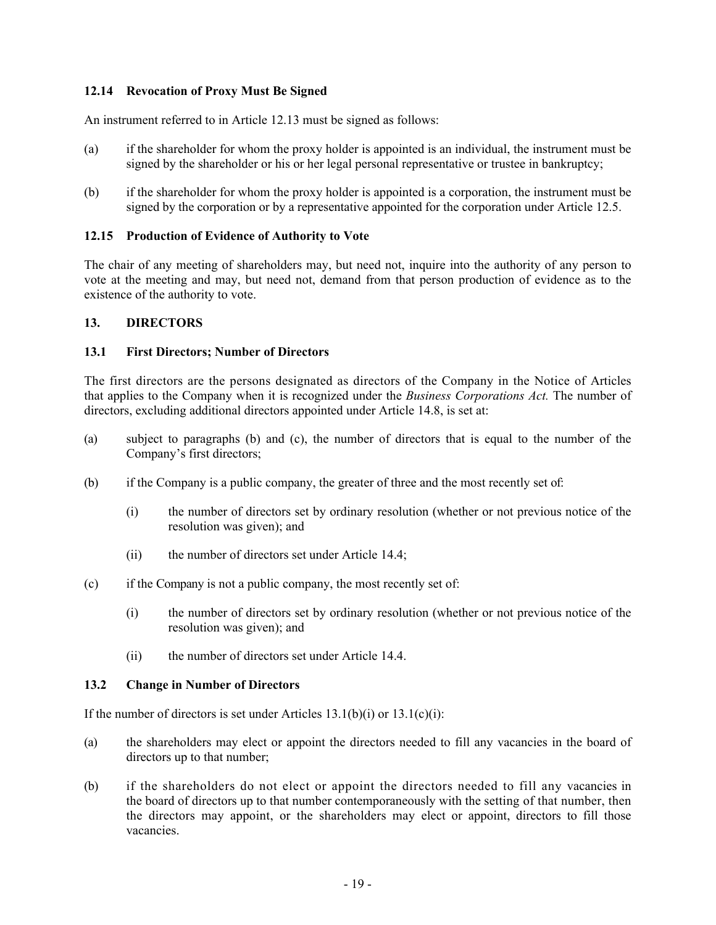### <span id="page-23-0"></span>**12.14 Revocation of Proxy Must Be Signed**

An instrument referred to in Article [12.13](#page-22-2) must be signed as follows:

- (a) if the shareholder for whom the proxy holder is appointed is an individual, the instrument must be signed by the shareholder or his or her legal personal representative or trustee in bankruptcy;
- (b) if the shareholder for whom the proxy holder is appointed is a corporation, the instrument must be signed by the corporation or by a representative appointed for the corporation under Article [12.5](#page-20-5).

### <span id="page-23-1"></span>**12.15 Production of Evidence of Authority to Vote**

The chair of any meeting of shareholders may, but need not, inquire into the authority of any person to vote at the meeting and may, but need not, demand from that person production of evidence as to the existence of the authority to vote.

### <span id="page-23-2"></span>**13. DIRECTORS**

### <span id="page-23-3"></span>**13.1 First Directors; Number of Directors**

The first directors are the persons designated as directors of the Company in the Notice of Articles that applies to the Company when it is recognized under the *Business Corporations Act.* The number of directors, excluding additional directors appointed under Article [14.8,](#page-26-1) is set at:

- (a) subject to paragraphs [\(b\)](#page-23-5) and [\(c\)](#page-23-6), the number of directors that is equal to the number of the Company's first directors;
- <span id="page-23-7"></span><span id="page-23-5"></span>(b) if the Company is a public company, the greater of three and the most recently set of:
	- (i) the number of directors set by ordinary resolution (whether or not previous notice of the resolution was given); and
	- (ii) the number of directors set under Article [14.4;](#page-25-2)
- <span id="page-23-8"></span><span id="page-23-6"></span>(c) if the Company is not a public company, the most recently set of:
	- (i) the number of directors set by ordinary resolution (whether or not previous notice of the resolution was given); and
	- (ii) the number of directors set under Article [14.4.](#page-25-2)

### <span id="page-23-4"></span>**13.2 Change in Number of Directors**

If the number of directors is set under Articles  $13.1(b)(i)$  or  $13.1(c)(i)$ :

- (a) the shareholders may elect or appoint the directors needed to fill any vacancies in the board of directors up to that number;
- (b) if the shareholders do not elect or appoint the directors needed to fill any vacancies in the board of directors up to that number contemporaneously with the setting of that number, then the directors may appoint, or the shareholders may elect or appoint, directors to fill those vacancies.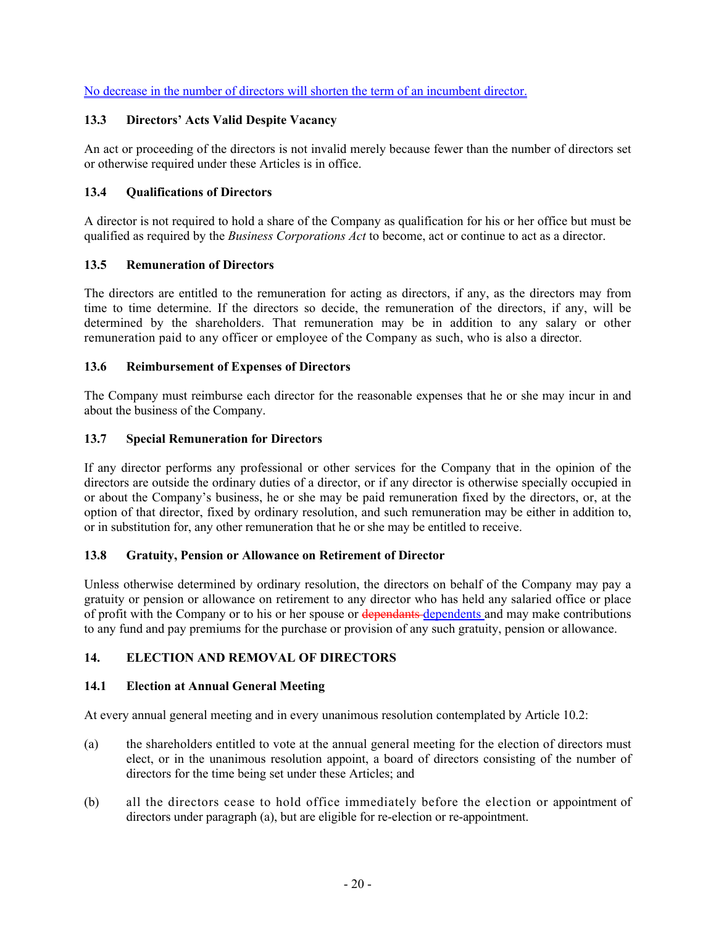No decrease in the number of directors will shorten the term of an incumbent director.

# <span id="page-24-0"></span>**13.3 Directors' Acts Valid Despite Vacancy**

An act or proceeding of the directors is not invalid merely because fewer than the number of directors set or otherwise required under these Articles is in office.

# <span id="page-24-1"></span>**13.4 Qualifications of Directors**

A director is not required to hold a share of the Company as qualification for his or her office but must be qualified as required by the *Business Corporations Act* to become, act or continue to act as a director.

# <span id="page-24-2"></span>**13.5 Remuneration of Directors**

The directors are entitled to the remuneration for acting as directors, if any, as the directors may from time to time determine. If the directors so decide, the remuneration of the directors, if any, will be determined by the shareholders. That remuneration may be in addition to any salary or other remuneration paid to any officer or employee of the Company as such, who is also a director.

# <span id="page-24-3"></span>**13.6 Reimbursement of Expenses of Directors**

The Company must reimburse each director for the reasonable expenses that he or she may incur in and about the business of the Company.

### <span id="page-24-4"></span>**13.7 Special Remuneration for Directors**

If any director performs any professional or other services for the Company that in the opinion of the directors are outside the ordinary duties of a director, or if any director is otherwise specially occupied in or about the Company's business, he or she may be paid remuneration fixed by the directors, or, at the option of that director, fixed by ordinary resolution, and such remuneration may be either in addition to, or in substitution for, any other remuneration that he or she may be entitled to receive.

# <span id="page-24-5"></span>**13.8 Gratuity, Pension or Allowance on Retirement of Director**

Unless otherwise determined by ordinary resolution, the directors on behalf of the Company may pay a gratuity or pension or allowance on retirement to any director who has held any salaried office or place of profit with the Company or to his or her spouse or dependants dependents and may make contributions to any fund and pay premiums for the purchase or provision of any such gratuity, pension or allowance.

# <span id="page-24-6"></span>**14. ELECTION AND REMOVAL OF DIRECTORS**

# <span id="page-24-7"></span>**14.1 Election at Annual General Meeting**

At every annual general meeting and in every unanimous resolution contemplated by Article [10.2](#page-14-4):

- <span id="page-24-8"></span>(a) the shareholders entitled to vote at the annual general meeting for the election of directors must elect, or in the unanimous resolution appoint, a board of directors consisting of the number of directors for the time being set under these Articles; and
- (b) all the directors cease to hold office immediately before the election or appointment of directors under paragraph [\(a\),](#page-24-8) but are eligible for re-election or re-appointment.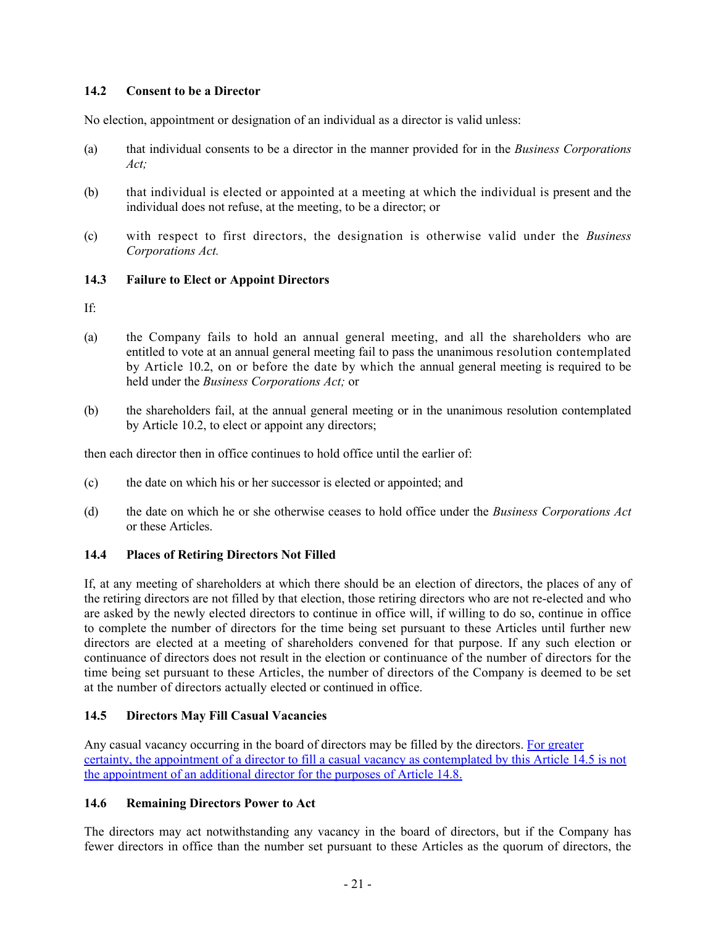### <span id="page-25-0"></span>**14.2 Consent to be a Director**

No election, appointment or designation of an individual as a director is valid unless:

- (a) that individual consents to be a director in the manner provided for in the *Business Corporations Act;*
- (b) that individual is elected or appointed at a meeting at which the individual is present and the individual does not refuse, at the meeting, to be a director; or
- (c) with respect to first directors, the designation is otherwise valid under the *Business Corporations Act.*

### <span id="page-25-1"></span>**14.3 Failure to Elect or Appoint Directors**

If:

- (a) the Company fails to hold an annual general meeting, and all the shareholders who are entitled to vote at an annual general meeting fail to pass the unanimous resolution contemplated by Article [10.2,](#page-14-4) on or before the date by which the annual general meeting is required to be held under the *Business Corporations Act;* or
- (b) the shareholders fail, at the annual general meeting or in the unanimous resolution contemplated by Article [10.2,](#page-14-4) to elect or appoint any directors;

then each director then in office continues to hold office until the earlier of:

- (c) the date on which his or her successor is elected or appointed; and
- (d) the date on which he or she otherwise ceases to hold office under the *Business Corporations Act*  or these Articles.

# <span id="page-25-2"></span>**14.4 Places of Retiring Directors Not Filled**

If, at any meeting of shareholders at which there should be an election of directors, the places of any of the retiring directors are not filled by that election, those retiring directors who are not re-elected and who are asked by the newly elected directors to continue in office will, if willing to do so, continue in office to complete the number of directors for the time being set pursuant to these Articles until further new directors are elected at a meeting of shareholders convened for that purpose. If any such election or continuance of directors does not result in the election or continuance of the number of directors for the time being set pursuant to these Articles, the number of directors of the Company is deemed to be set at the number of directors actually elected or continued in office.

# <span id="page-25-3"></span>**14.5 Directors May Fill Casual Vacancies**

Any casual vacancy occurring in the board of directors may be filled by the directors. For greater certainty, the appointment of a director to fill a casual vacancy as contemplated by this Article [14.5](#page-25-3) is not the appointment of an additional director for the purposes of Article [14.8.](#page-26-1)

# <span id="page-25-4"></span>**14.6 Remaining Directors Power to Act**

The directors may act notwithstanding any vacancy in the board of directors, but if the Company has fewer directors in office than the number set pursuant to these Articles as the quorum of directors, the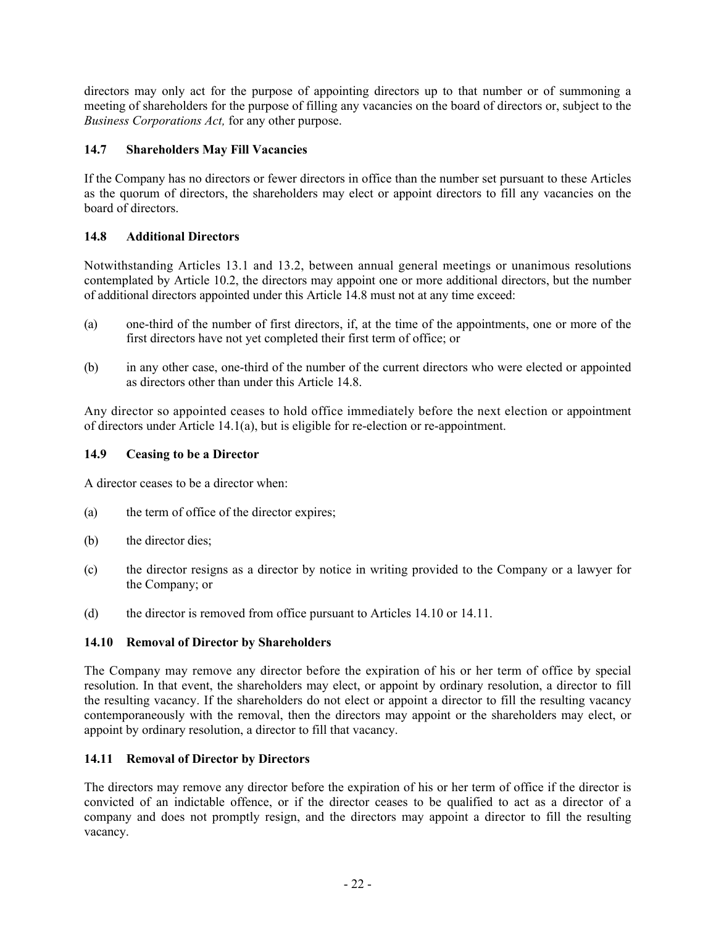directors may only act for the purpose of appointing directors up to that number or of summoning a meeting of shareholders for the purpose of filling any vacancies on the board of directors or, subject to the *Business Corporations Act,* for any other purpose.

# <span id="page-26-0"></span>**14.7 Shareholders May Fill Vacancies**

If the Company has no directors or fewer directors in office than the number set pursuant to these Articles as the quorum of directors, the shareholders may elect or appoint directors to fill any vacancies on the board of directors.

### <span id="page-26-1"></span>**14.8 Additional Directors**

Notwithstanding Articles [13.1](#page-23-3) and [13.2](#page-23-4), between annual general meetings or unanimous resolutions contemplated by Article [10.2](#page-14-4), the directors may appoint one or more additional directors, but the number of additional directors appointed under this Article [14.8](#page-26-1) must not at any time exceed:

- (a) one-third of the number of first directors, if, at the time of the appointments, one or more of the first directors have not yet completed their first term of office; or
- (b) in any other case, one-third of the number of the current directors who were elected or appointed as directors other than under this Article [14.8.](#page-26-1)

Any director so appointed ceases to hold office immediately before the next election or appointment of directors under Article [14.1\(a\),](#page-24-8) but is eligible for re-election or re-appointment.

### <span id="page-26-2"></span>**14.9 Ceasing to be a Director**

A director ceases to be a director when:

- (a) the term of office of the director expires;
- (b) the director dies;
- (c) the director resigns as a director by notice in writing provided to the Company or a lawyer for the Company; or
- (d) the director is removed from office pursuant to Articles [14.10](#page-26-3) or [14.11.](#page-26-4)

# <span id="page-26-3"></span>**14.10 Removal of Director by Shareholders**

The Company may remove any director before the expiration of his or her term of office by special resolution. In that event, the shareholders may elect, or appoint by ordinary resolution, a director to fill the resulting vacancy. If the shareholders do not elect or appoint a director to fill the resulting vacancy contemporaneously with the removal, then the directors may appoint or the shareholders may elect, or appoint by ordinary resolution, a director to fill that vacancy.

### <span id="page-26-4"></span>**14.11 Removal of Director by Directors**

The directors may remove any director before the expiration of his or her term of office if the director is convicted of an indictable offence, or if the director ceases to be qualified to act as a director of a company and does not promptly resign, and the directors may appoint a director to fill the resulting vacancy.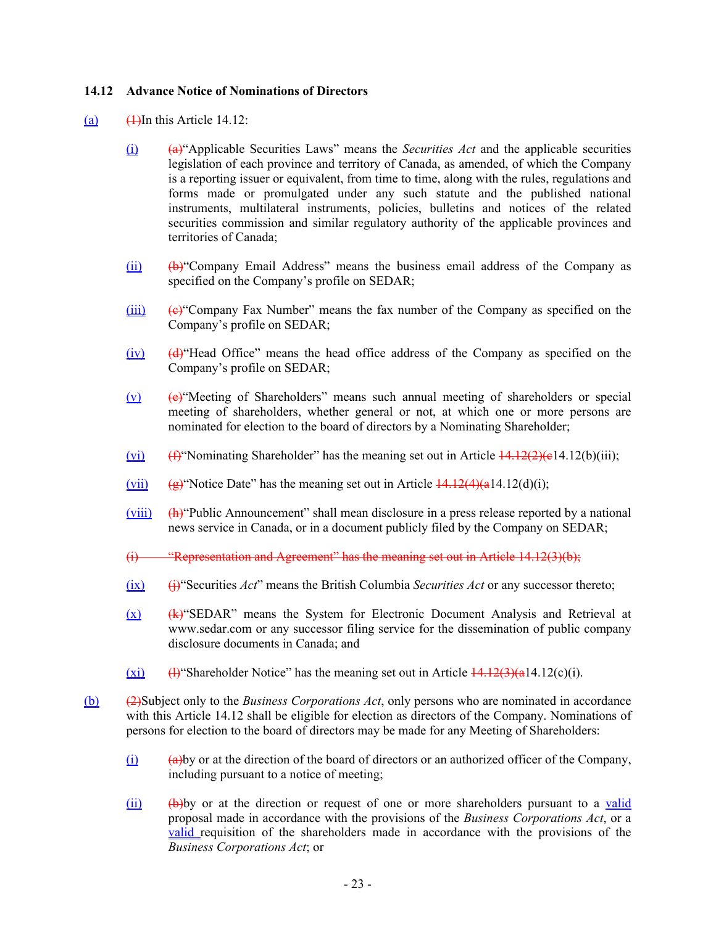### <span id="page-27-0"></span>**14.12 Advance Notice of Nominations of Directors**

- (a)  $\bigoplus$  (1)In this Article 14.12:
	- (i) (a)"Applicable Securities Laws" means the *Securities Act* and the applicable securities legislation of each province and territory of Canada, as amended, of which the Company is a reporting issuer or equivalent, from time to time, along with the rules, regulations and forms made or promulgated under any such statute and the published national instruments, multilateral instruments, policies, bulletins and notices of the related securities commission and similar regulatory authority of the applicable provinces and territories of Canada;
	- (ii) (b)"Company Email Address" means the business email address of the Company as specified on the Company's profile on SEDAR;
	- $(iii)$   $(e)$ <sup>"</sup>Company Fax Number" means the fax number of the Company as specified on the Company's profile on SEDAR;
	- $(iv)$  (d) "Head Office" means the head office address of the Company as specified on the Company's profile on SEDAR;
	- $(v)$  (e) "Meeting of Shareholders" means such annual meeting of shareholders or special meeting of shareholders, whether general or not, at which one or more persons are nominated for election to the board of directors by a Nominating Shareholder;
	- (vi)  $(\theta^*)$  Nominating Shareholder" has the meaning set out in Article  $\frac{14.12(2)(e14.12(b)(iii))}{2}$ ;
	- (vii)  $\left(\frac{1}{2}\right)^{10}$  ( $\left(\frac{1}{2}\right)^{10}$ ) (b) the meaning set out in Article  $\frac{14.12(4)}{4.12(4)}$ (a)(i);
	- (viii) (h)"Public Announcement" shall mean disclosure in a press release reported by a national news service in Canada, or in a document publicly filed by the Company on SEDAR;
	- (i) "Representation and Agreement" has the meaning set out in Article 14.12(3)(b);
	- $(ix)$  (ix)  $(i)$  Securities *Act*" means the British Columbia *Securities Act* or any successor thereto;
	- $(x)$  (k) "SEDAR" means the System for Electronic Document Analysis and Retrieval at www.sedar.com or any successor filing service for the dissemination of public company disclosure documents in Canada; and
	- $(xi)$  (H) Shareholder Notice" has the meaning set out in Article  $\frac{14.12(3)(a14.12(c)(i))}{2}$  $\frac{14.12(3)(a14.12(c)(i))}{2}$  $\frac{14.12(3)(a14.12(c)(i))}{2}$ .
- (b) (2)Subject only to the *Business Corporations Act*, only persons who are nominated in accordance with this Article 14.12 shall be eligible for election as directors of the Company. Nominations of persons for election to the board of directors may be made for any Meeting of Shareholders:
	- $(i)$  (a)  $\theta$  (a)by or at the direction of the board of directors or an authorized officer of the Company, including pursuant to a notice of meeting;
	- $(iii)$  (b) by or at the direction or request of one or more shareholders pursuant to a valid proposal made in accordance with the provisions of the *Business Corporations Act*, or a valid requisition of the shareholders made in accordance with the provisions of the *Business Corporations Act*; or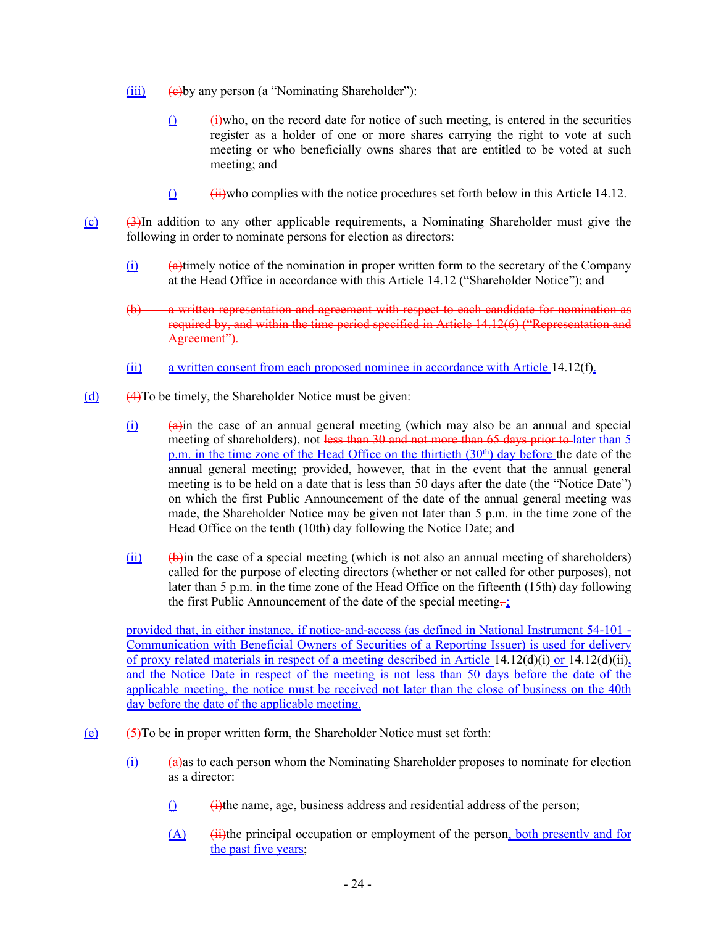- <span id="page-28-0"></span> $(iii)$  (e)by any person (a "Nominating Shareholder"):
	- $\hat{p}$  (i)who, on the record date for notice of such meeting, is entered in the securities register as a holder of one or more shares carrying the right to vote at such meeting or who beneficially owns shares that are entitled to be voted at such meeting; and
	- $\hat{u}$  (iii)who complies with the notice procedures set forth below in this Article 14.12.
- <span id="page-28-2"></span>(c) (3)In addition to any other applicable requirements, a Nominating Shareholder must give the following in order to nominate persons for election as directors:
	- $(i)$  (a) (a) (a) (a)timely notice of the nomination in proper written form to the secretary of the Company at the Head Office in accordance with this Article 14.12 ("Shareholder Notice"); and
	- (b) a written representation and agreement with respect to each candidate for nomination as required by, and within the time period specified in Article 14.12(6) ("Representation and Agreement").
	- (ii) a written consent from each proposed nominee in accordance with Article [14.12\(f\)](#page-29-0).
- <span id="page-28-1"></span>(d) (4)To be timely, the Shareholder Notice must be given:
	- $(i)$  (a)  $\overline{a}$  (a) (a) the case of an annual general meeting (which may also be an annual and special meeting of shareholders), not less than 30 and not more than 65 days prior to later than 5 p.m. in the time zone of the Head Office on the thirtieth  $(30<sup>th</sup>)$  day before the date of the annual general meeting; provided, however, that in the event that the annual general meeting is to be held on a date that is less than 50 days after the date (the "Notice Date") on which the first Public Announcement of the date of the annual general meeting was made, the Shareholder Notice may be given not later than 5 p.m. in the time zone of the Head Office on the tenth (10th) day following the Notice Date; and
	- $(iii)$  (b)  $(iii)$  (b) the case of a special meeting (which is not also an annual meeting of shareholders) called for the purpose of electing directors (whether or not called for other purposes), not later than 5 p.m. in the time zone of the Head Office on the fifteenth (15th) day following the first Public Announcement of the date of the special meeting $\frac{1}{\sqrt{2}}$ .

<span id="page-28-3"></span>provided that, in either instance, if notice-and-access (as defined in National Instrument 54-101 - Communication with Beneficial Owners of Securities of a Reporting Issuer) is used for delivery of proxy related materials in respect of a meeting described in Article [14.12\(d\)\(i\)](#page-28-1) or [14.12\(d\)\(ii\)](#page-28-3), and the Notice Date in respect of the meeting is not less than 50 days before the date of the applicable meeting, the notice must be received not later than the close of business on the 40th day before the date of the applicable meeting.

- $(e)$  (5)To be in proper written form, the Shareholder Notice must set forth:
	- $(i)$  (a)  $\theta$  (a) (a) (a) (a) as to each person whom the Nominating Shareholder proposes to nominate for election as a director:
		- $\hat{u}$  (i)the name, age, business address and residential address of the person;
		- $(A)$  (ii)the principal occupation or employment of the person, both presently and for the past five years;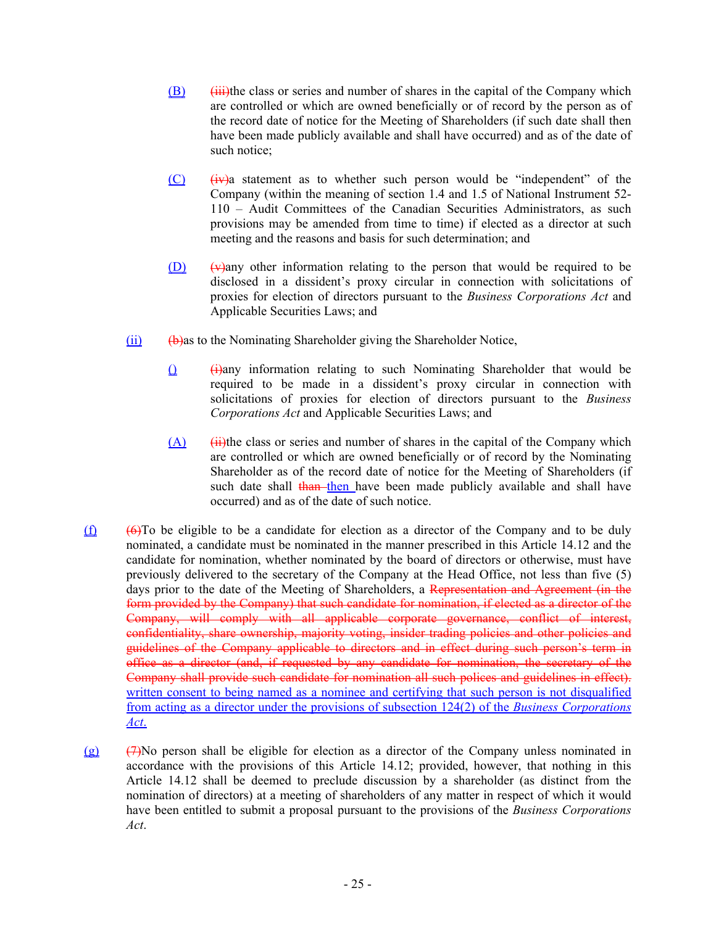- $(B)$  (iii)the class or series and number of shares in the capital of the Company which are controlled or which are owned beneficially or of record by the person as of the record date of notice for the Meeting of Shareholders (if such date shall then have been made publicly available and shall have occurred) and as of the date of such notice;
- $(C)$   $(iv)$  a statement as to whether such person would be "independent" of the Company (within the meaning of section 1.4 and 1.5 of National Instrument 52- 110 – Audit Committees of the Canadian Securities Administrators, as such provisions may be amended from time to time) if elected as a director at such meeting and the reasons and basis for such determination; and
- $(D)$  (v)any other information relating to the person that would be required to be disclosed in a dissident's proxy circular in connection with solicitations of proxies for election of directors pursuant to the *Business Corporations Act* and Applicable Securities Laws; and
- $(iii)$  (b)as to the Nominating Shareholder giving the Shareholder Notice,
	- $\hat{u}$  (i)any information relating to such Nominating Shareholder that would be required to be made in a dissident's proxy circular in connection with solicitations of proxies for election of directors pursuant to the *Business Corporations Act* and Applicable Securities Laws; and
	- $(A)$  (ii)the class or series and number of shares in the capital of the Company which are controlled or which are owned beneficially or of record by the Nominating Shareholder as of the record date of notice for the Meeting of Shareholders (if such date shall than then have been made publicly available and shall have occurred) and as of the date of such notice.
- <span id="page-29-0"></span> $(f)$  (6)To be eligible to be a candidate for election as a director of the Company and to be duly nominated, a candidate must be nominated in the manner prescribed in this Article 14.12 and the candidate for nomination, whether nominated by the board of directors or otherwise, must have previously delivered to the secretary of the Company at the Head Office, not less than five (5) days prior to the date of the Meeting of Shareholders, a Representation and Agreement (in the form provided by the Company) that such candidate for nomination, if elected as a director of the Company, will comply with all applicable corporate governance, conflict of interest, confidentiality, share ownership, majority voting, insider trading policies and other policies and guidelines of the Company applicable to directors and in effect during such person's term in office as a director (and, if requested by any candidate for nomination, the secretary of the Company shall provide such candidate for nomination all such polices and guidelines in effect). written consent to being named as a nominee and certifying that such person is not disqualified from acting as a director under the provisions of subsection 124(2) of the *Business Corporations Act*.
- (g) (7)No person shall be eligible for election as a director of the Company unless nominated in accordance with the provisions of this Article 14.12; provided, however, that nothing in this Article 14.12 shall be deemed to preclude discussion by a shareholder (as distinct from the nomination of directors) at a meeting of shareholders of any matter in respect of which it would have been entitled to submit a proposal pursuant to the provisions of the *Business Corporations Act*.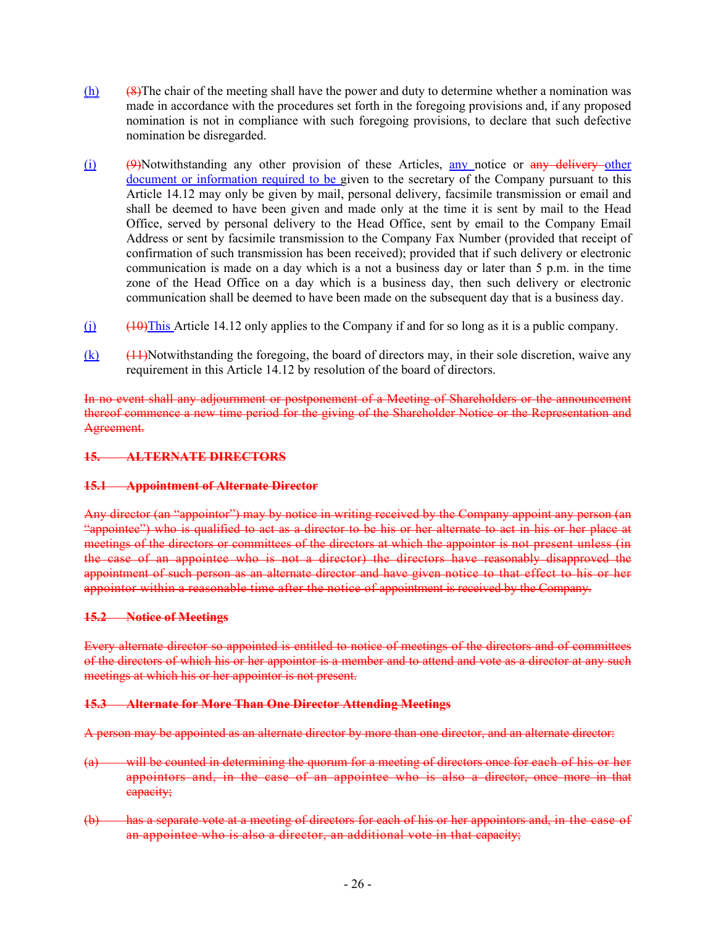- (h) (8)The chair of the meeting shall have the power and duty to determine whether a nomination was made in accordance with the procedures set forth in the foregoing provisions and, if any proposed nomination is not in compliance with such foregoing provisions, to declare that such defective nomination be disregarded.
- $(i)$  (9)Notwithstanding any other provision of these Articles, any notice or any delivery other document or information required to be given to the secretary of the Company pursuant to this Article 14.12 may only be given by mail, personal delivery, facsimile transmission or email and shall be deemed to have been given and made only at the time it is sent by mail to the Head Office, served by personal delivery to the Head Office, sent by email to the Company Email Address or sent by facsimile transmission to the Company Fax Number (provided that receipt of confirmation of such transmission has been received); provided that if such delivery or electronic communication is made on a day which is a not a business day or later than 5 p.m. in the time zone of the Head Office on a day which is a business day, then such delivery or electronic communication shall be deemed to have been made on the subsequent day that is a business day.
- $(i)$  (i) (10) (10) (10) (140) (140) (140) (140) (140) (140) (140) (140) (140) (140) (140) (140) (140) (140) (140) (140) (140) (140) (140) (140) (140) (140) (140) (140) (140) (140) (140) (140) (140) (140) (140) (140) (140)
- $(k)$  (11)Notwithstanding the foregoing, the board of directors may, in their sole discretion, waive any requirement in this Article 14.12 by resolution of the board of directors.

In no event shall any adjournment or postponement of a Meeting of Shareholders or the announcement thereof commence a new time period for the giving of the Shareholder Notice or the Representation and Agreement.

### **15. ALTERNATE DIRECTORS**

### **15.1 Appointment of Alternate Director**

Any director (an "appointor") may by notice in writing received by the Company appoint any person (an "appointee") who is qualified to act as a director to be his or her alternate to act in his or her place at meetings of the directors or committees of the directors at which the appointor is not present unless (in the case of an appointee who is not a director) the directors have reasonably disapproved the appointment of such person as an alternate director and have given notice to that effect to his or her appointor within a reasonable time after the notice of appointment is received by the Company.

### **15.2 Notice of Meetings**

Every alternate director so appointed is entitled to notice of meetings of the directors and of committees of the directors of which his or her appointor is a member and to attend and vote as a director at any such meetings at which his or her appointor is not present.

### **15.3 Alternate for More Than One Director Attending Meetings**

A person may be appointed as an alternate director by more than one director, and an alternate director:

- (a) will be counted in determining the quorum for a meeting of directors once for each of his or her appointors and, in the case of an appointee who is also a director, once more in that capacity;
- (b) has a separate vote at a meeting of directors for each of his or her appointors and, in the case of an appointee who is also a director, an additional vote in that capacity;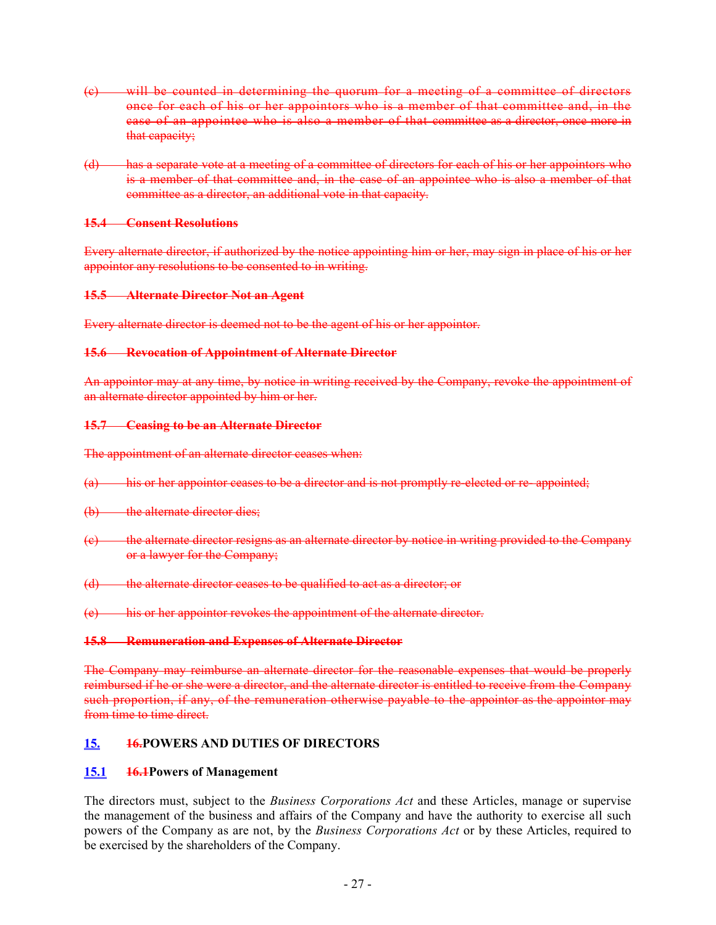- (c) will be counted in determining the quorum for a meeting of a committee of directors once for each of his or her appointors who is a member of that committee and, in the case of an appointee who is also a member of that committee as a director, once more in that capacity;
- (d) has a separate vote at a meeting of a committee of directors for each of his or her appointors who is a member of that committee and, in the case of an appointee who is also a member of that committee as a director, an additional vote in that capacity.

#### **15.4 Consent Resolutions**

Every alternate director, if authorized by the notice appointing him or her, may sign in place of his or her appointor any resolutions to be consented to in writing.

#### **15.5 Alternate Director Not an Agent**

Every alternate director is deemed not to be the agent of his or her appointor.

#### **15.6 Revocation of Appointment of Alternate Director**

An appointor may at any time, by notice in writing received by the Company, revoke the appointment of an alternate director appointed by him or her.

#### **15.7 Ceasing to be an Alternate Director**

The appointment of an alternate director ceases when:

- (a) his or her appointor ceases to be a director and is not promptly re-elected or re- appointed;
- (b) the alternate director dies;
- (c) the alternate director resigns as an alternate director by notice in writing provided to the Company or a lawyer for the Company;
- (d) the alternate director ceases to be qualified to act as a director; or
- (e) his or her appointor revokes the appointment of the alternate director.

#### **15.8 Remuneration and Expenses of Alternate Director**

The Company may reimburse an alternate director for the reasonable expenses that would be properly reimbursed if he or she were a director, and the alternate director is entitled to receive from the Company such proportion, if any, of the remuneration otherwise payable to the appointor as the appointor may from time to time direct.

### <span id="page-31-0"></span>**15. 16.POWERS AND DUTIES OF DIRECTORS**

### <span id="page-31-1"></span>**15.1 16.1Powers of Management**

The directors must, subject to the *Business Corporations Act* and these Articles, manage or supervise the management of the business and affairs of the Company and have the authority to exercise all such powers of the Company as are not, by the *Business Corporations Act* or by these Articles, required to be exercised by the shareholders of the Company.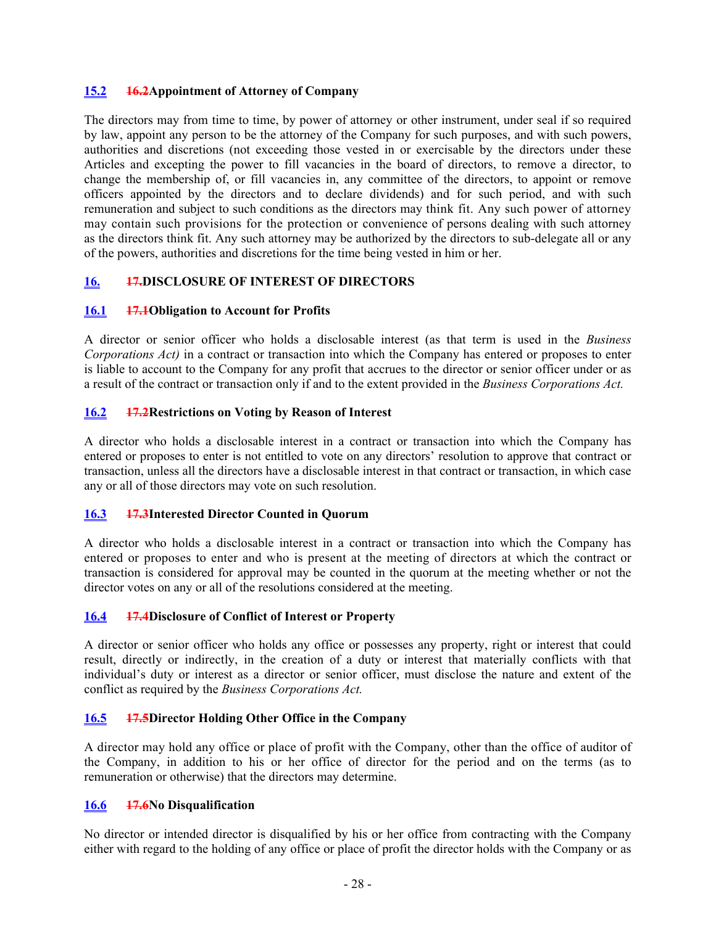### <span id="page-32-0"></span>**15.2 16.2Appointment of Attorney of Company**

The directors may from time to time, by power of attorney or other instrument, under seal if so required by law, appoint any person to be the attorney of the Company for such purposes, and with such powers, authorities and discretions (not exceeding those vested in or exercisable by the directors under these Articles and excepting the power to fill vacancies in the board of directors, to remove a director, to change the membership of, or fill vacancies in, any committee of the directors, to appoint or remove officers appointed by the directors and to declare dividends) and for such period, and with such remuneration and subject to such conditions as the directors may think fit. Any such power of attorney may contain such provisions for the protection or convenience of persons dealing with such attorney as the directors think fit. Any such attorney may be authorized by the directors to sub-delegate all or any of the powers, authorities and discretions for the time being vested in him or her.

# <span id="page-32-1"></span>**16. 17.DISCLOSURE OF INTEREST OF DIRECTORS**

### <span id="page-32-2"></span>**16.1 17.1Obligation to Account for Profits**

A director or senior officer who holds a disclosable interest (as that term is used in the *Business Corporations Act)* in a contract or transaction into which the Company has entered or proposes to enter is liable to account to the Company for any profit that accrues to the director or senior officer under or as a result of the contract or transaction only if and to the extent provided in the *Business Corporations Act.*

### <span id="page-32-3"></span>**16.2 17.2Restrictions on Voting by Reason of Interest**

A director who holds a disclosable interest in a contract or transaction into which the Company has entered or proposes to enter is not entitled to vote on any directors' resolution to approve that contract or transaction, unless all the directors have a disclosable interest in that contract or transaction, in which case any or all of those directors may vote on such resolution.

### <span id="page-32-4"></span>**16.3 17.3Interested Director Counted in Quorum**

A director who holds a disclosable interest in a contract or transaction into which the Company has entered or proposes to enter and who is present at the meeting of directors at which the contract or transaction is considered for approval may be counted in the quorum at the meeting whether or not the director votes on any or all of the resolutions considered at the meeting.

# <span id="page-32-5"></span>**16.4 17.4Disclosure of Conflict of Interest or Property**

A director or senior officer who holds any office or possesses any property, right or interest that could result, directly or indirectly, in the creation of a duty or interest that materially conflicts with that individual's duty or interest as a director or senior officer, must disclose the nature and extent of the conflict as required by the *Business Corporations Act.*

# <span id="page-32-6"></span>**16.5 17.5Director Holding Other Office in the Company**

A director may hold any office or place of profit with the Company, other than the office of auditor of the Company, in addition to his or her office of director for the period and on the terms (as to remuneration or otherwise) that the directors may determine.

### <span id="page-32-7"></span>**16.6 17.6No Disqualification**

No director or intended director is disqualified by his or her office from contracting with the Company either with regard to the holding of any office or place of profit the director holds with the Company or as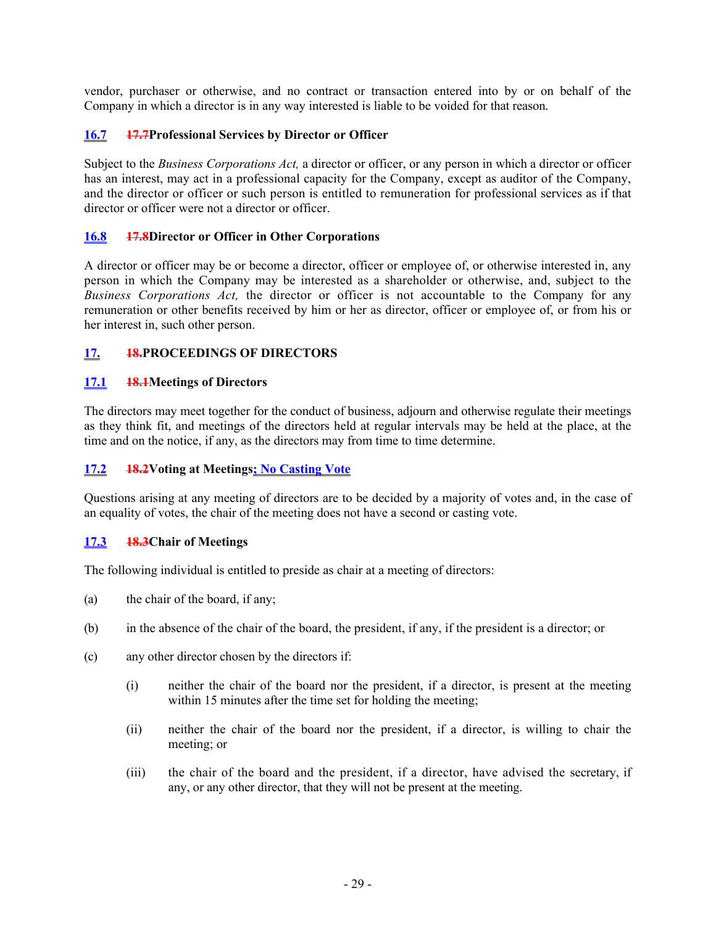vendor, purchaser or otherwise, and no contract or transaction entered into by or on behalf of the Company in which a director is in any way interested is liable to be voided for that reason.

### <span id="page-33-0"></span>**16.7 17.7Professional Services by Director or Officer**

Subject to the *Business Corporations Act,* a director or officer, or any person in which a director or officer has an interest, may act in a professional capacity for the Company, except as auditor of the Company, and the director or officer or such person is entitled to remuneration for professional services as if that director or officer were not a director or officer.

### <span id="page-33-1"></span>**16.8 17.8Director or Officer in Other Corporations**

A director or officer may be or become a director, officer or employee of, or otherwise interested in, any person in which the Company may be interested as a shareholder or otherwise, and, subject to the *Business Corporations Act,* the director or officer is not accountable to the Company for any remuneration or other benefits received by him or her as director, officer or employee of, or from his or her interest in, such other person.

# <span id="page-33-2"></span>**17. 18.PROCEEDINGS OF DIRECTORS**

### <span id="page-33-3"></span>**17.1 18.1Meetings of Directors**

The directors may meet together for the conduct of business, adjourn and otherwise regulate their meetings as they think fit, and meetings of the directors held at regular intervals may be held at the place, at the time and on the notice, if any, as the directors may from time to time determine.

### <span id="page-33-4"></span>**17.2 18.2Voting at Meetings; No Casting Vote**

Questions arising at any meeting of directors are to be decided by a majority of votes and, in the case of an equality of votes, the chair of the meeting does not have a second or casting vote.

### <span id="page-33-5"></span>**17.3 18.3Chair of Meetings**

The following individual is entitled to preside as chair at a meeting of directors:

- (a) the chair of the board, if any;
- (b) in the absence of the chair of the board, the president, if any, if the president is a director; or
- (c) any other director chosen by the directors if:
	- (i) neither the chair of the board nor the president, if a director, is present at the meeting within 15 minutes after the time set for holding the meeting;
	- (ii) neither the chair of the board nor the president, if a director, is willing to chair the meeting; or
	- (iii) the chair of the board and the president, if a director, have advised the secretary, if any, or any other director, that they will not be present at the meeting.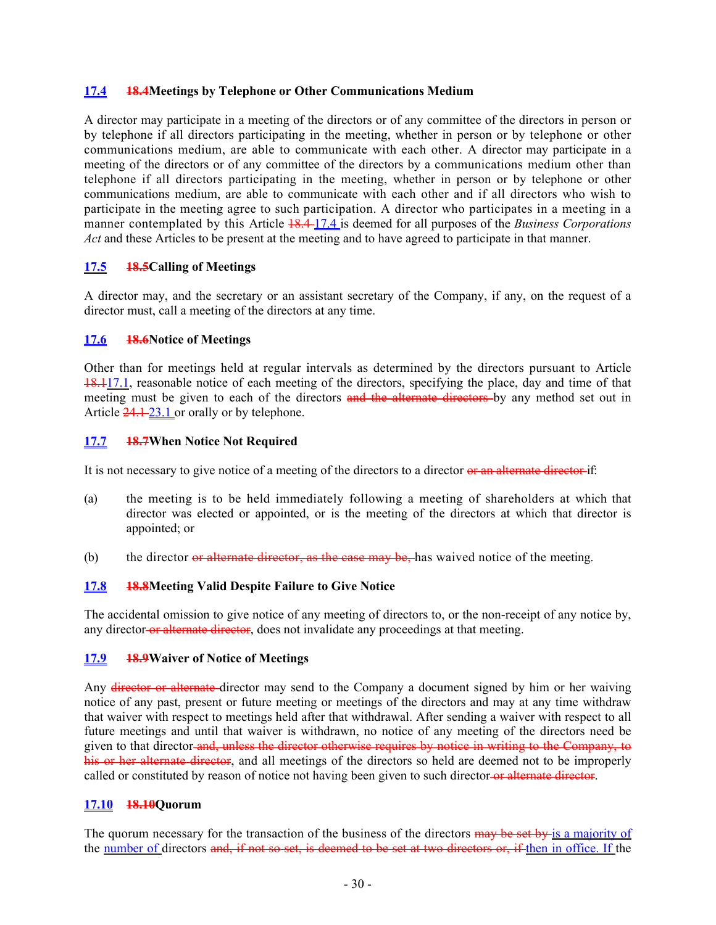#### <span id="page-34-0"></span>**17.4 18.4Meetings by Telephone or Other Communications Medium**

A director may participate in a meeting of the directors or of any committee of the directors in person or by telephone if all directors participating in the meeting, whether in person or by telephone or other communications medium, are able to communicate with each other. A director may participate in a meeting of the directors or of any committee of the directors by a communications medium other than telephone if all directors participating in the meeting, whether in person or by telephone or other communications medium, are able to communicate with each other and if all directors who wish to participate in the meeting agree to such participation. A director who participates in a meeting in a manner contemplated by this Article 18.4 [17.4](#page-34-0) is deemed for all purposes of the *Business Corporations Act* and these Articles to be present at the meeting and to have agreed to participate in that manner.

### <span id="page-34-1"></span>**17.5 18.5Calling of Meetings**

A director may, and the secretary or an assistant secretary of the Company, if any, on the request of a director must, call a meeting of the directors at any time.

#### <span id="page-34-2"></span>**17.6 18.6Notice of Meetings**

Other than for meetings held at regular intervals as determined by the directors pursuant to Article 18.[117.1](#page-33-3), reasonable notice of each meeting of the directors, specifying the place, day and time of that meeting must be given to each of the directors and the alternate directors by any method set out in Article 24.1-23.1 or orally or by telephone.

#### <span id="page-34-3"></span>**17.7 18.7When Notice Not Required**

It is not necessary to give notice of a meeting of the directors to a director or an alternate director if:

- (a) the meeting is to be held immediately following a meeting of shareholders at which that director was elected or appointed, or is the meeting of the directors at which that director is appointed; or
- (b) the director or alternate director, as the case may be, has waived notice of the meeting.

### <span id="page-34-4"></span>**17.8 18.8Meeting Valid Despite Failure to Give Notice**

The accidental omission to give notice of any meeting of directors to, or the non-receipt of any notice by, any director-or alternate director, does not invalidate any proceedings at that meeting.

#### <span id="page-34-5"></span>**17.9 18.9Waiver of Notice of Meetings**

Any director or alternate director may send to the Company a document signed by him or her waiving notice of any past, present or future meeting or meetings of the directors and may at any time withdraw that waiver with respect to meetings held after that withdrawal. After sending a waiver with respect to all future meetings and until that waiver is withdrawn, no notice of any meeting of the directors need be given to that director and, unless the director otherwise requires by notice in writing to the Company, to his or her alternate director, and all meetings of the directors so held are deemed not to be improperly called or constituted by reason of notice not having been given to such director-or alternate director.

#### <span id="page-34-6"></span>**17.10 18.10Quorum**

The quorum necessary for the transaction of the business of the directors may be set by is a majority of the number of directors and, if not so set, is deemed to be set at two directors or, if then in office. If the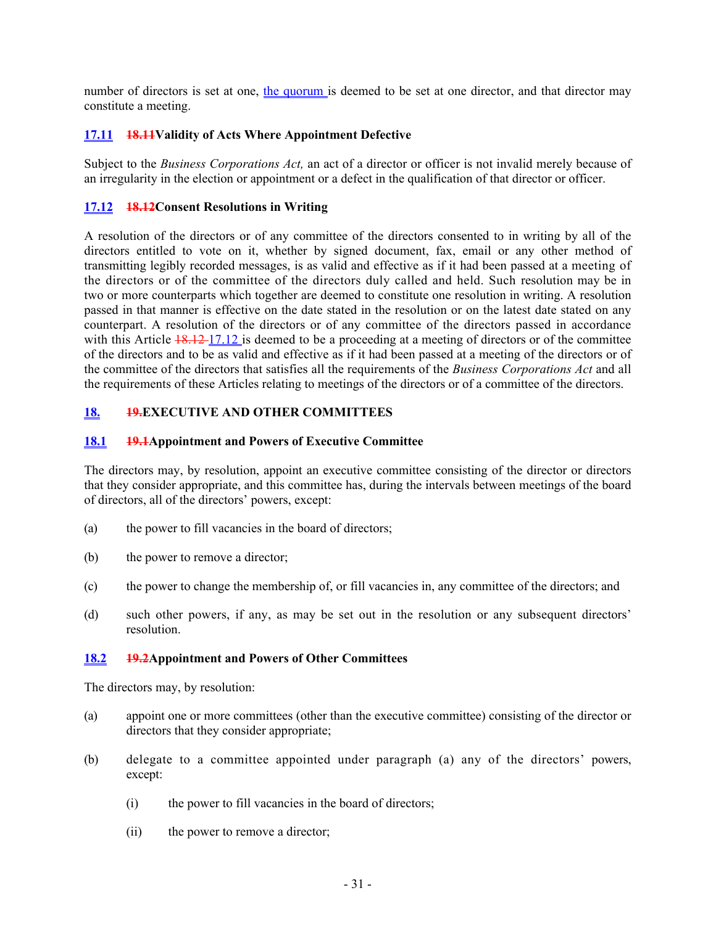number of directors is set at one, the quorum is deemed to be set at one director, and that director may constitute a meeting.

### <span id="page-35-0"></span>**17.11 18.11Validity of Acts Where Appointment Defective**

Subject to the *Business Corporations Act,* an act of a director or officer is not invalid merely because of an irregularity in the election or appointment or a defect in the qualification of that director or officer.

### <span id="page-35-1"></span>**17.12 18.12Consent Resolutions in Writing**

A resolution of the directors or of any committee of the directors consented to in writing by all of the directors entitled to vote on it, whether by signed document, fax, email or any other method of transmitting legibly recorded messages, is as valid and effective as if it had been passed at a meeting of the directors or of the committee of the directors duly called and held. Such resolution may be in two or more counterparts which together are deemed to constitute one resolution in writing. A resolution passed in that manner is effective on the date stated in the resolution or on the latest date stated on any counterpart. A resolution of the directors or of any committee of the directors passed in accordance with this Article  $\frac{18.12}{17.12}$  is deemed to be a proceeding at a meeting of directors or of the committee of the directors and to be as valid and effective as if it had been passed at a meeting of the directors or of the committee of the directors that satisfies all the requirements of the *Business Corporations Act* and all the requirements of these Articles relating to meetings of the directors or of a committee of the directors.

### <span id="page-35-2"></span>**18. 19.EXECUTIVE AND OTHER COMMITTEES**

#### <span id="page-35-3"></span>**18.1 19.1Appointment and Powers of Executive Committee**

The directors may, by resolution, appoint an executive committee consisting of the director or directors that they consider appropriate, and this committee has, during the intervals between meetings of the board of directors, all of the directors' powers, except:

- (a) the power to fill vacancies in the board of directors;
- (b) the power to remove a director;
- (c) the power to change the membership of, or fill vacancies in, any committee of the directors; and
- (d) such other powers, if any, as may be set out in the resolution or any subsequent directors' resolution.

#### <span id="page-35-4"></span>**18.2 19.2Appointment and Powers of Other Committees**

The directors may, by resolution:

- <span id="page-35-5"></span>(a) appoint one or more committees (other than the executive committee) consisting of the director or directors that they consider appropriate;
- <span id="page-35-6"></span>(b) delegate to a committee appointed under paragraph [\(a\)](#page-35-5) any of the directors' powers, except:
	- (i) the power to fill vacancies in the board of directors;
	- (ii) the power to remove a director;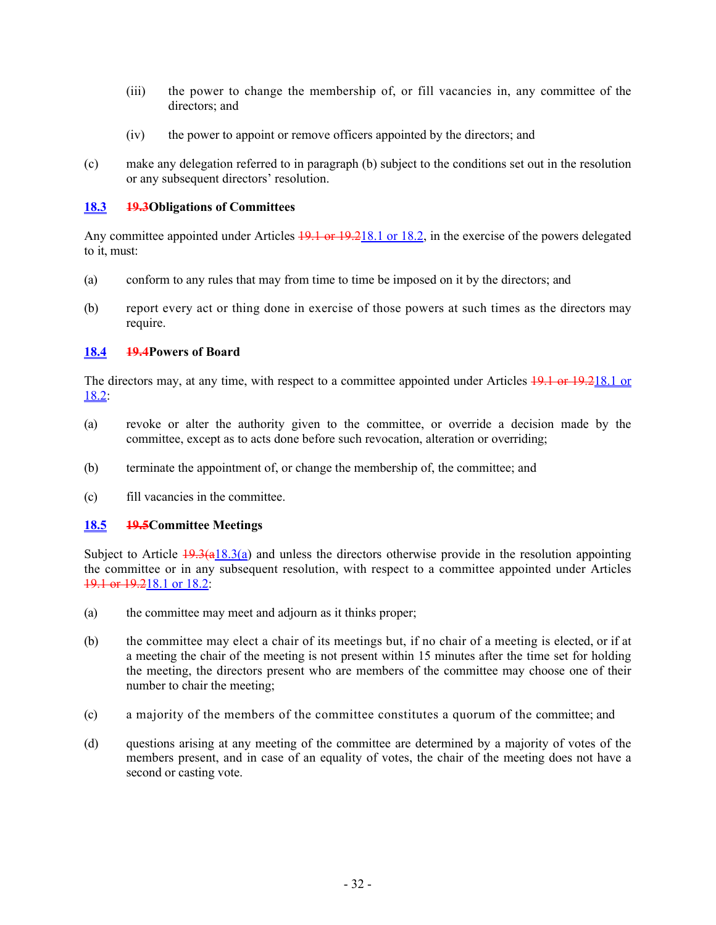- (iii) the power to change the membership of, or fill vacancies in, any committee of the directors; and
- (iv) the power to appoint or remove officers appointed by the directors; and
- (c) make any delegation referred to in paragraph [\(b\)](#page-35-6) subject to the conditions set out in the resolution or any subsequent directors' resolution.

### <span id="page-36-0"></span>**18.3 19.3Obligations of Committees**

Any committee appointed under Articles  $19.1$  or  $19.218.1$  or  $18.2$ , in the exercise of the powers delegated to it, must:

- <span id="page-36-3"></span>(a) conform to any rules that may from time to time be imposed on it by the directors; and
- (b) report every act or thing done in exercise of those powers at such times as the directors may require.

# <span id="page-36-1"></span>**18.4 19.4Powers of Board**

The directors may, at any time, with respect to a committee appointed under Articles 19.1 or 19.[218.1](#page-35-3) or  $18.2$ :

- (a) revoke or alter the authority given to the committee, or override a decision made by the committee, except as to acts done before such revocation, alteration or overriding;
- (b) terminate the appointment of, or change the membership of, the committee; and
- (c) fill vacancies in the committee.

### <span id="page-36-2"></span>**18.5 19.5Committee Meetings**

Subject to Article  $\frac{19.3}{a18.3}$ (a) and unless the directors otherwise provide in the resolution appointing the committee or in any subsequent resolution, with respect to a committee appointed under Articles 19.1 or 19.[218.1](#page-35-3) or [18.2](#page-35-4):

- (a) the committee may meet and adjourn as it thinks proper;
- (b) the committee may elect a chair of its meetings but, if no chair of a meeting is elected, or if at a meeting the chair of the meeting is not present within 15 minutes after the time set for holding the meeting, the directors present who are members of the committee may choose one of their number to chair the meeting;
- (c) a majority of the members of the committee constitutes a quorum of the committee; and
- (d) questions arising at any meeting of the committee are determined by a majority of votes of the members present, and in case of an equality of votes, the chair of the meeting does not have a second or casting vote.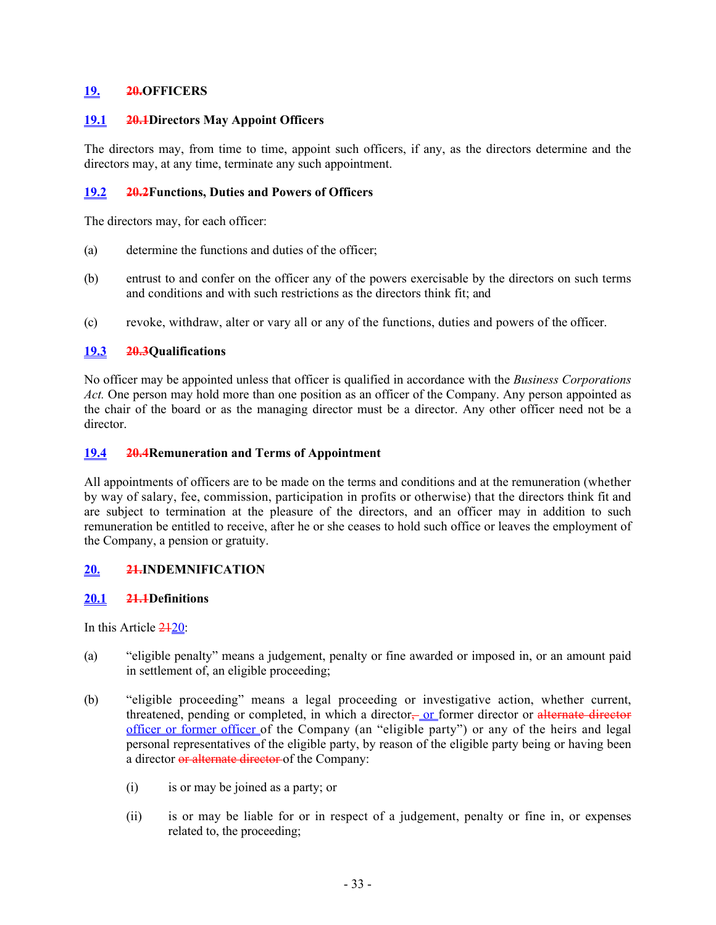### <span id="page-37-0"></span>**19. 20.OFFICERS**

### <span id="page-37-1"></span>**19.1 20.1Directors May Appoint Officers**

The directors may, from time to time, appoint such officers, if any, as the directors determine and the directors may, at any time, terminate any such appointment.

### <span id="page-37-2"></span>**19.2 20.2Functions, Duties and Powers of Officers**

The directors may, for each officer:

- (a) determine the functions and duties of the officer;
- (b) entrust to and confer on the officer any of the powers exercisable by the directors on such terms and conditions and with such restrictions as the directors think fit; and
- (c) revoke, withdraw, alter or vary all or any of the functions, duties and powers of the officer.

### <span id="page-37-3"></span>**19.3 20.3Qualifications**

No officer may be appointed unless that officer is qualified in accordance with the *Business Corporations Act.* One person may hold more than one position as an officer of the Company. Any person appointed as the chair of the board or as the managing director must be a director. Any other officer need not be a director.

### <span id="page-37-4"></span>**19.4 20.4Remuneration and Terms of Appointment**

All appointments of officers are to be made on the terms and conditions and at the remuneration (whether by way of salary, fee, commission, participation in profits or otherwise) that the directors think fit and are subject to termination at the pleasure of the directors, and an officer may in addition to such remuneration be entitled to receive, after he or she ceases to hold such office or leaves the employment of the Company, a pension or gratuity.

# <span id="page-37-5"></span>**20. 21.INDEMNIFICATION**

# <span id="page-37-6"></span>**20.1 21.1Definitions**

In this Article 21[20:](#page-37-5)

- (a) "eligible penalty" means a judgement, penalty or fine awarded or imposed in, or an amount paid in settlement of, an eligible proceeding;
- (b) "eligible proceeding" means a legal proceeding or investigative action, whether current, threatened, pending or completed, in which a director, or former director or alternate director officer or former officer of the Company (an "eligible party") or any of the heirs and legal personal representatives of the eligible party, by reason of the eligible party being or having been a director or alternate director of the Company:
	- (i) is or may be joined as a party; or
	- (ii) is or may be liable for or in respect of a judgement, penalty or fine in, or expenses related to, the proceeding;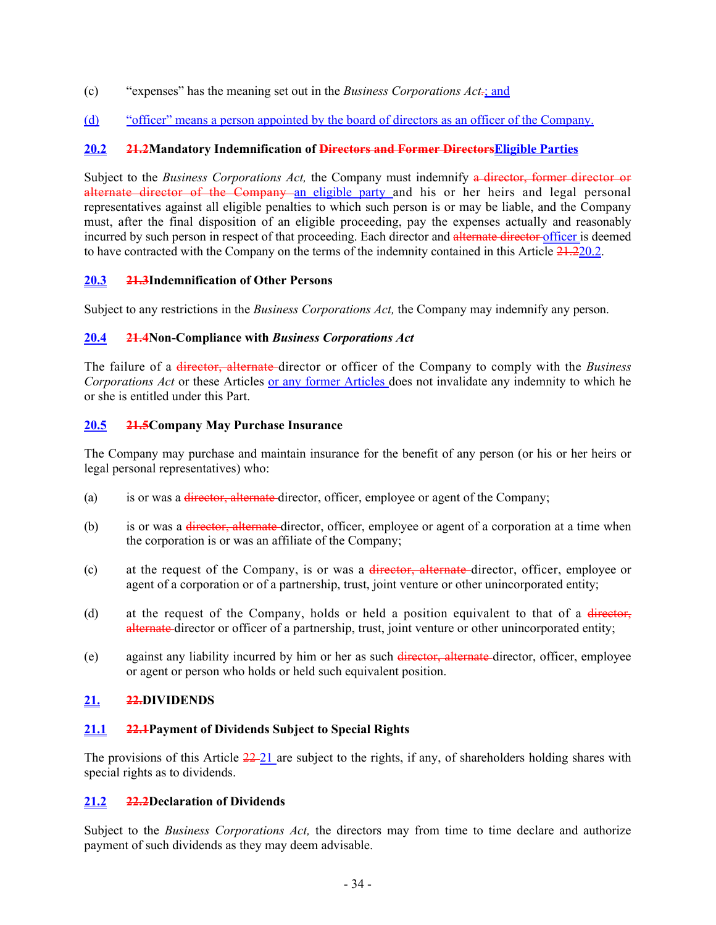- (c) "expenses" has the meaning set out in the *Business Corporations Act.*; and
- (d) "officer" means a person appointed by the board of directors as an officer of the Company.

### <span id="page-38-0"></span>**20.2 21.2Mandatory Indemnification of Directors and Former DirectorsEligible Parties**

Subject to the *Business Corporations Act,* the Company must indemnify a director, former director or alternate director of the Company an eligible party and his or her heirs and legal personal representatives against all eligible penalties to which such person is or may be liable, and the Company must, after the final disposition of an eligible proceeding, pay the expenses actually and reasonably incurred by such person in respect of that proceeding. Each director and alternate director officer is deemed to have contracted with the Company on the terms of the indemnity contained in this Article 21.[220.2](#page-38-0).

### <span id="page-38-1"></span>**20.3 21.3Indemnification of Other Persons**

Subject to any restrictions in the *Business Corporations Act,* the Company may indemnify any person.

### <span id="page-38-2"></span>**20.4 21.4Non-Compliance with** *Business Corporations Act*

The failure of a director, alternate director or officer of the Company to comply with the *Business Corporations Act* or these Articles or any former Articles does not invalidate any indemnity to which he or she is entitled under this Part.

### <span id="page-38-3"></span>**20.5 21.5Company May Purchase Insurance**

The Company may purchase and maintain insurance for the benefit of any person (or his or her heirs or legal personal representatives) who:

- (a) is or was a <del>director, alternate</del> director, officer, employee or agent of the Company;
- (b) is or was a <del>director, alternate</del> director, officer, employee or agent of a corporation at a time when the corporation is or was an affiliate of the Company;
- (c) at the request of the Company, is or was a director, alternate director, officer, employee or agent of a corporation or of a partnership, trust, joint venture or other unincorporated entity;
- (d) at the request of the Company, holds or held a position equivalent to that of a director, alternate director or officer of a partnership, trust, joint venture or other unincorporated entity;
- (e) against any liability incurred by him or her as such director, alternate director, officer, employee or agent or person who holds or held such equivalent position.

# <span id="page-38-4"></span>**21. 22.DIVIDENDS**

# <span id="page-38-5"></span>**21.1 22.1Payment of Dividends Subject to Special Rights**

The provisions of this Article  $\frac{22-21}{2}$  $\frac{22-21}{2}$  $\frac{22-21}{2}$  are subject to the rights, if any, of shareholders holding shares with special rights as to dividends.

### <span id="page-38-6"></span>**21.2 22.2Declaration of Dividends**

Subject to the *Business Corporations Act,* the directors may from time to time declare and authorize payment of such dividends as they may deem advisable.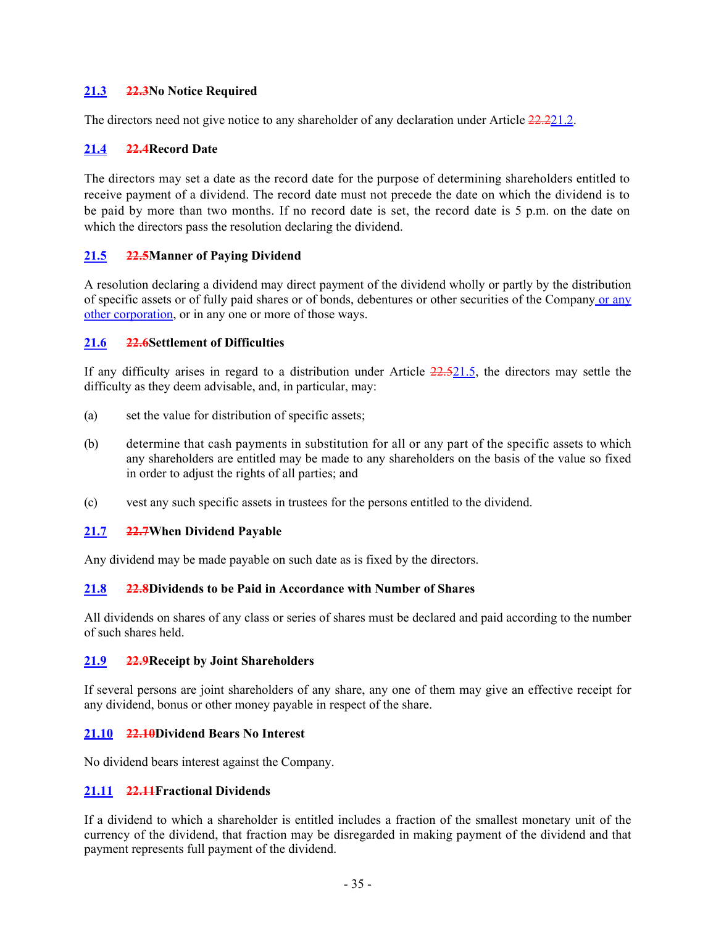### <span id="page-39-0"></span>**21.3 22.3No Notice Required**

The directors need not give notice to any shareholder of any declaration under Article 22.[221.2](#page-38-6).

### <span id="page-39-1"></span>**21.4 22.4Record Date**

The directors may set a date as the record date for the purpose of determining shareholders entitled to receive payment of a dividend. The record date must not precede the date on which the dividend is to be paid by more than two months. If no record date is set, the record date is 5 p.m. on the date on which the directors pass the resolution declaring the dividend.

### <span id="page-39-2"></span>**21.5 22.5Manner of Paying Dividend**

A resolution declaring a dividend may direct payment of the dividend wholly or partly by the distribution of specific assets or of fully paid shares or of bonds, debentures or other securities of the Company or any other corporation, or in any one or more of those ways.

### <span id="page-39-3"></span>**21.6 22.6Settlement of Difficulties**

If any difficulty arises in regard to a distribution under Article 22.[521.5,](#page-39-2) the directors may settle the difficulty as they deem advisable, and, in particular, may:

- (a) set the value for distribution of specific assets;
- (b) determine that cash payments in substitution for all or any part of the specific assets to which any shareholders are entitled may be made to any shareholders on the basis of the value so fixed in order to adjust the rights of all parties; and
- (c) vest any such specific assets in trustees for the persons entitled to the dividend.

### <span id="page-39-4"></span>**21.7 22.7When Dividend Payable**

Any dividend may be made payable on such date as is fixed by the directors.

### <span id="page-39-5"></span>**21.8 22.8Dividends to be Paid in Accordance with Number of Shares**

All dividends on shares of any class or series of shares must be declared and paid according to the number of such shares held.

### <span id="page-39-6"></span>**21.9 22.9Receipt by Joint Shareholders**

If several persons are joint shareholders of any share, any one of them may give an effective receipt for any dividend, bonus or other money payable in respect of the share.

### <span id="page-39-7"></span>**21.10 22.10Dividend Bears No Interest**

No dividend bears interest against the Company.

### <span id="page-39-8"></span>**21.11 22.11Fractional Dividends**

If a dividend to which a shareholder is entitled includes a fraction of the smallest monetary unit of the currency of the dividend, that fraction may be disregarded in making payment of the dividend and that payment represents full payment of the dividend.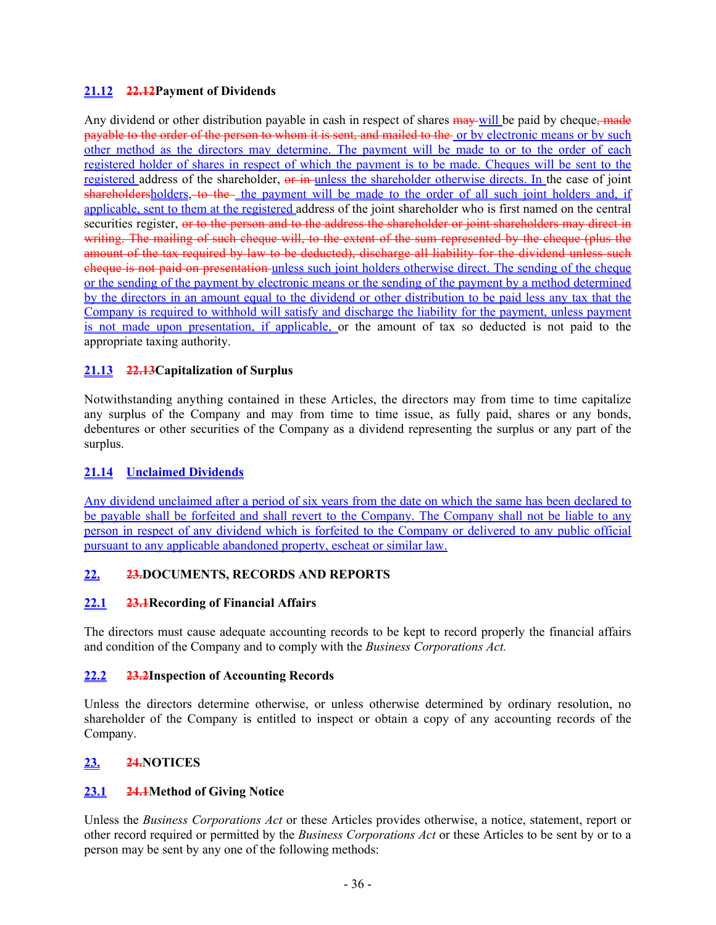# <span id="page-40-0"></span>**21.12 22.12Payment of Dividends**

Any dividend or other distribution payable in cash in respect of shares  $\frac{m}{m}$  will be paid by cheque, made payable to the order of the person to whom it is sent, and mailed to the or by electronic means or by such other method as the directors may determine. The payment will be made to or to the order of each registered holder of shares in respect of which the payment is to be made. Cheques will be sent to the registered address of the shareholder, or in unless the shareholder otherwise directs. In the case of joint shareholdersholders, to the the payment will be made to the order of all such joint holders and, if applicable, sent to them at the registered address of the joint shareholder who is first named on the central securities register, or to the person and to the address the shareholder or joint shareholders may direct in writing. The mailing of such cheque will, to the extent of the sum represented by the cheque (plus the amount of the tax required by law to be deducted), discharge all liability for the dividend unless such cheque is not paid on presentation unless such joint holders otherwise direct. The sending of the cheque or the sending of the payment by electronic means or the sending of the payment by a method determined by the directors in an amount equal to the dividend or other distribution to be paid less any tax that the Company is required to withhold will satisfy and discharge the liability for the payment, unless payment is not made upon presentation, if applicable, or the amount of tax so deducted is not paid to the appropriate taxing authority.

# <span id="page-40-1"></span>**21.13 22.13Capitalization of Surplus**

Notwithstanding anything contained in these Articles, the directors may from time to time capitalize any surplus of the Company and may from time to time issue, as fully paid, shares or any bonds, debentures or other securities of the Company as a dividend representing the surplus or any part of the surplus.

# <span id="page-40-2"></span>**21.14 Unclaimed Dividends**

Any dividend unclaimed after a period of six years from the date on which the same has been declared to be payable shall be forfeited and shall revert to the Company. The Company shall not be liable to any person in respect of any dividend which is forfeited to the Company or delivered to any public official pursuant to any applicable abandoned property, escheat or similar law.

# <span id="page-40-3"></span>**22. 23.DOCUMENTS, RECORDS AND REPORTS**

# <span id="page-40-4"></span>**22.1 23.1Recording of Financial Affairs**

The directors must cause adequate accounting records to be kept to record properly the financial affairs and condition of the Company and to comply with the *Business Corporations Act.*

# <span id="page-40-5"></span>**22.2 23.2Inspection of Accounting Records**

Unless the directors determine otherwise, or unless otherwise determined by ordinary resolution, no shareholder of the Company is entitled to inspect or obtain a copy of any accounting records of the Company.

# <span id="page-40-6"></span>**23. 24.NOTICES**

# <span id="page-40-7"></span>**23.1 24.1Method of Giving Notice**

Unless the *Business Corporations Act* or these Articles provides otherwise, a notice, statement, report or other record required or permitted by the *Business Corporations Act* or these Articles to be sent by or to a person may be sent by any one of the following methods: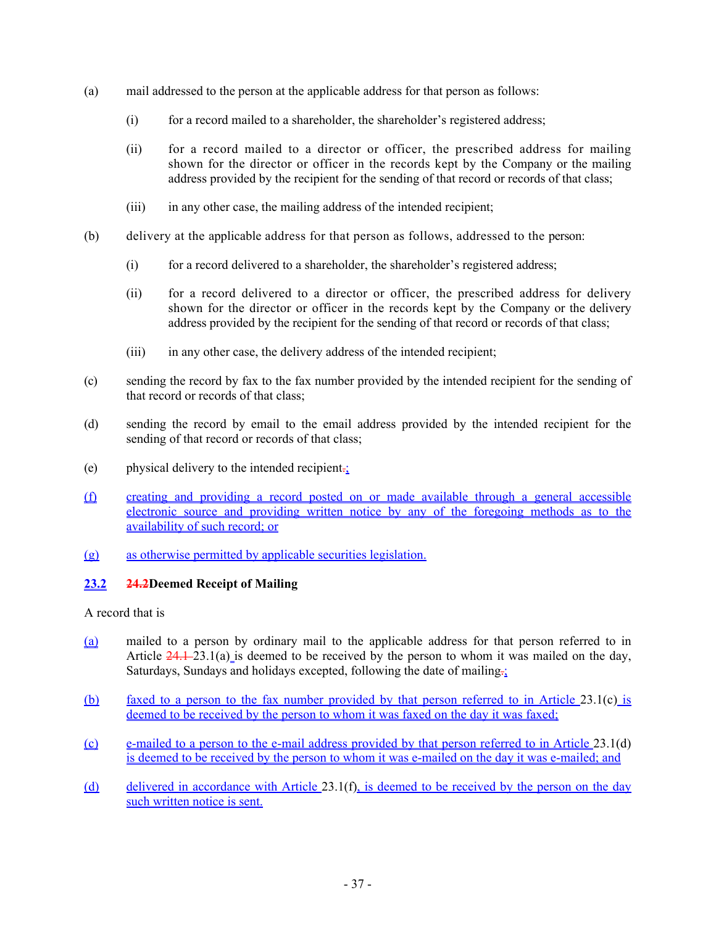- <span id="page-41-1"></span>(a) mail addressed to the person at the applicable address for that person as follows:
	- (i) for a record mailed to a shareholder, the shareholder's registered address;
	- (ii) for a record mailed to a director or officer, the prescribed address for mailing shown for the director or officer in the records kept by the Company or the mailing address provided by the recipient for the sending of that record or records of that class;
	- (iii) in any other case, the mailing address of the intended recipient;
- (b) delivery at the applicable address for that person as follows, addressed to the person:
	- (i) for a record delivered to a shareholder, the shareholder's registered address;
	- (ii) for a record delivered to a director or officer, the prescribed address for delivery shown for the director or officer in the records kept by the Company or the delivery address provided by the recipient for the sending of that record or records of that class;
	- (iii) in any other case, the delivery address of the intended recipient;
- <span id="page-41-2"></span>(c) sending the record by fax to the fax number provided by the intended recipient for the sending of that record or records of that class;
- <span id="page-41-3"></span>(d) sending the record by email to the email address provided by the intended recipient for the sending of that record or records of that class;
- (e) physical delivery to the intended recipient. $\frac{1}{2}$
- <span id="page-41-4"></span>(f) creating and providing a record posted on or made available through a general accessible electronic source and providing written notice by any of the foregoing methods as to the availability of such record; or
- (g) as otherwise permitted by applicable securities legislation.

# <span id="page-41-0"></span>**23.2 24.2Deemed Receipt of Mailing**

A record that is

- (a) mailed to a person by ordinary mail to the applicable address for that person referred to in Article  $24.1-23.1(a)$  $24.1-23.1(a)$  is deemed to be received by the person to whom it was mailed on the day, Saturdays, Sundays and holidays excepted, following the date of mailing $\frac{1}{2}$
- (b) faxed to a person to the fax number provided by that person referred to in Article [23.1\(c\)](#page-41-2) is deemed to be received by the person to whom it was faxed on the day it was faxed;
- (c) e-mailed to a person to the e-mail address provided by that person referred to in Article [23.1\(d\)](#page-41-3) is deemed to be received by the person to whom it was e-mailed on the day it was e-mailed; and
- (d) delivered in accordance with Article [23.1\(f\)](#page-41-4), is deemed to be received by the person on the day such written notice is sent.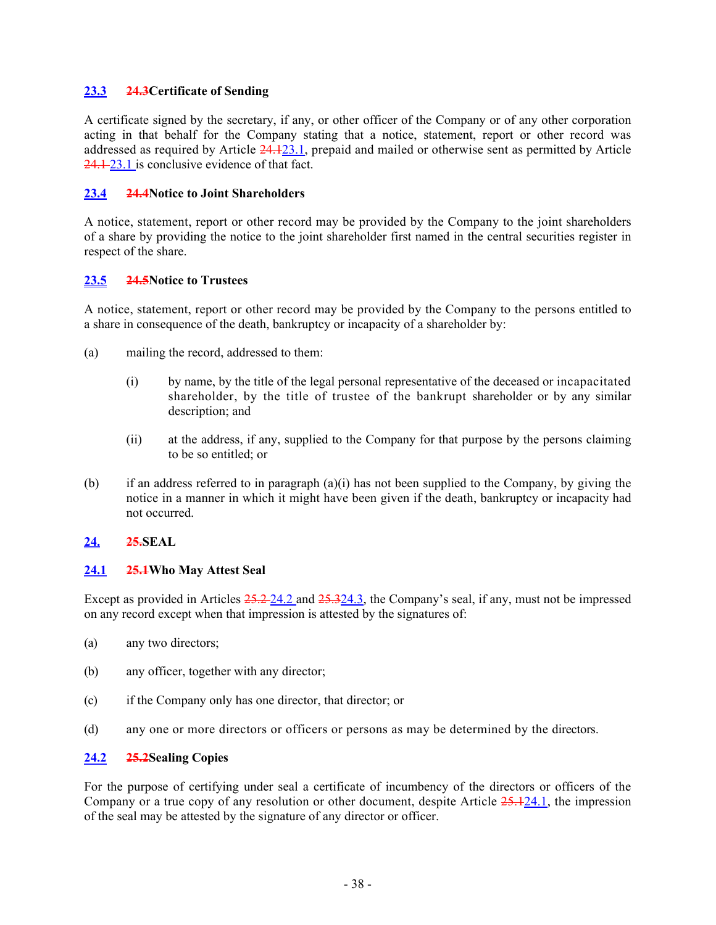### <span id="page-42-0"></span>**23.3 24.3Certificate of Sending**

A certificate signed by the secretary, if any, or other officer of the Company or of any other corporation acting in that behalf for the Company stating that a notice, statement, report or other record was addressed as required by Article 24.[123.1,](#page-40-7) prepaid and mailed or otherwise sent as permitted by Article 24.1-[23.1](#page-40-7) is conclusive evidence of that fact.

### <span id="page-42-1"></span>**23.4 24.4Notice to Joint Shareholders**

A notice, statement, report or other record may be provided by the Company to the joint shareholders of a share by providing the notice to the joint shareholder first named in the central securities register in respect of the share.

### <span id="page-42-2"></span>**23.5 24.5Notice to Trustees**

A notice, statement, report or other record may be provided by the Company to the persons entitled to a share in consequence of the death, bankruptcy or incapacity of a shareholder by:

- <span id="page-42-7"></span><span id="page-42-6"></span>(a) mailing the record, addressed to them:
	- (i) by name, by the title of the legal personal representative of the deceased or incapacitated shareholder, by the title of trustee of the bankrupt shareholder or by any similar description; and
	- (ii) at the address, if any, supplied to the Company for that purpose by the persons claiming to be so entitled; or
- (b) if an address referred to in paragraph  $(a)(i)$  $(a)(i)$  has not been supplied to the Company, by giving the notice in a manner in which it might have been given if the death, bankruptcy or incapacity had not occurred.

# <span id="page-42-3"></span>**24. 25.SEAL**

### <span id="page-42-4"></span>**24.1 25.1Who May Attest Seal**

Except as provided in Articles  $25.2 - 24.2$  $25.2 - 24.2$  and  $25.3 - 24.3$ , the Company's seal, if any, must not be impressed on any record except when that impression is attested by the signatures of:

- (a) any two directors;
- (b) any officer, together with any director;
- (c) if the Company only has one director, that director; or
- (d) any one or more directors or officers or persons as may be determined by the directors.

# <span id="page-42-5"></span>**24.2 25.2Sealing Copies**

For the purpose of certifying under seal a certificate of incumbency of the directors or officers of the Company or a true copy of any resolution or other document, despite Article 25.[124.1](#page-42-4), the impression of the seal may be attested by the signature of any director or officer.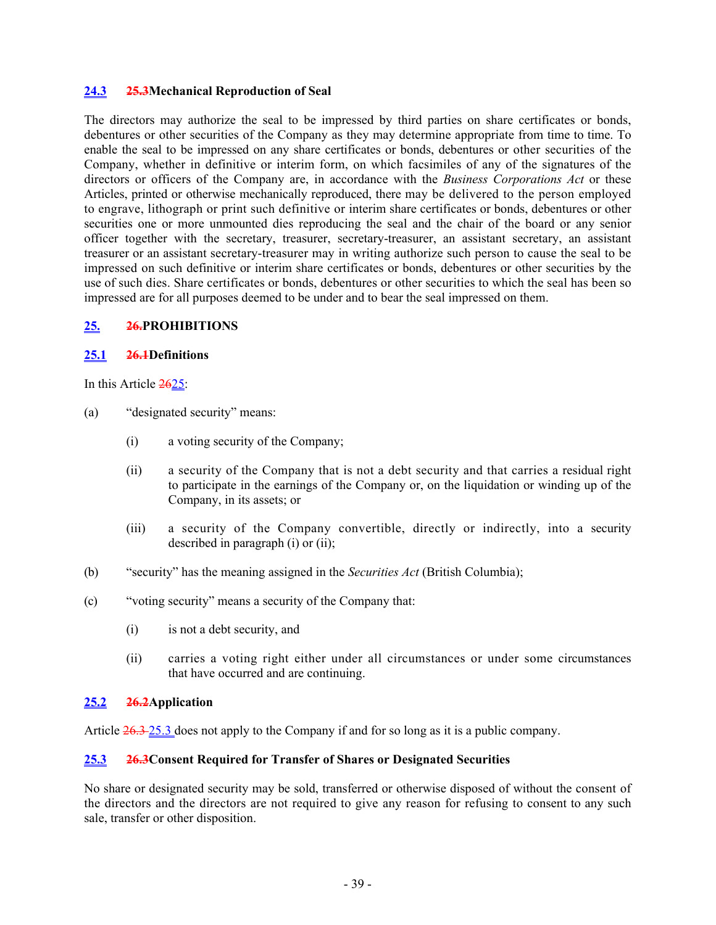### <span id="page-43-0"></span>**24.3 25.3Mechanical Reproduction of Seal**

The directors may authorize the seal to be impressed by third parties on share certificates or bonds, debentures or other securities of the Company as they may determine appropriate from time to time. To enable the seal to be impressed on any share certificates or bonds, debentures or other securities of the Company, whether in definitive or interim form, on which facsimiles of any of the signatures of the directors or officers of the Company are, in accordance with the *Business Corporations Act* or these Articles, printed or otherwise mechanically reproduced, there may be delivered to the person employed to engrave, lithograph or print such definitive or interim share certificates or bonds, debentures or other securities one or more unmounted dies reproducing the seal and the chair of the board or any senior officer together with the secretary, treasurer, secretary-treasurer, an assistant secretary, an assistant treasurer or an assistant secretary-treasurer may in writing authorize such person to cause the seal to be impressed on such definitive or interim share certificates or bonds, debentures or other securities by the use of such dies. Share certificates or bonds, debentures or other securities to which the seal has been so impressed are for all purposes deemed to be under and to bear the seal impressed on them.

#### <span id="page-43-1"></span>**25. 26.PROHIBITIONS**

#### <span id="page-43-2"></span>**25.1 26.1Definitions**

In this Article  $2625$ :

- <span id="page-43-6"></span><span id="page-43-5"></span>(a) "designated security" means:
	- (i) a voting security of the Company;
	- (ii) a security of the Company that is not a debt security and that carries a residual right to participate in the earnings of the Company or, on the liquidation or winding up of the Company, in its assets; or
	- (iii) a security of the Company convertible, directly or indirectly, into a security described in paragraph [\(i\)](#page-43-5) or [\(ii\);](#page-43-6)
- (b) "security" has the meaning assigned in the *Securities Act* (British Columbia);
- (c) "voting security" means a security of the Company that:
	- (i) is not a debt security, and
	- (ii) carries a voting right either under all circumstances or under some circumstances that have occurred and are continuing.

# <span id="page-43-3"></span>**25.2 26.2Application**

Article 26.3 [25.3](#page-43-4) does not apply to the Company if and for so long as it is a public company.

### <span id="page-43-4"></span>**25.3 26.3Consent Required for Transfer of Shares or Designated Securities**

No share or designated security may be sold, transferred or otherwise disposed of without the consent of the directors and the directors are not required to give any reason for refusing to consent to any such sale, transfer or other disposition.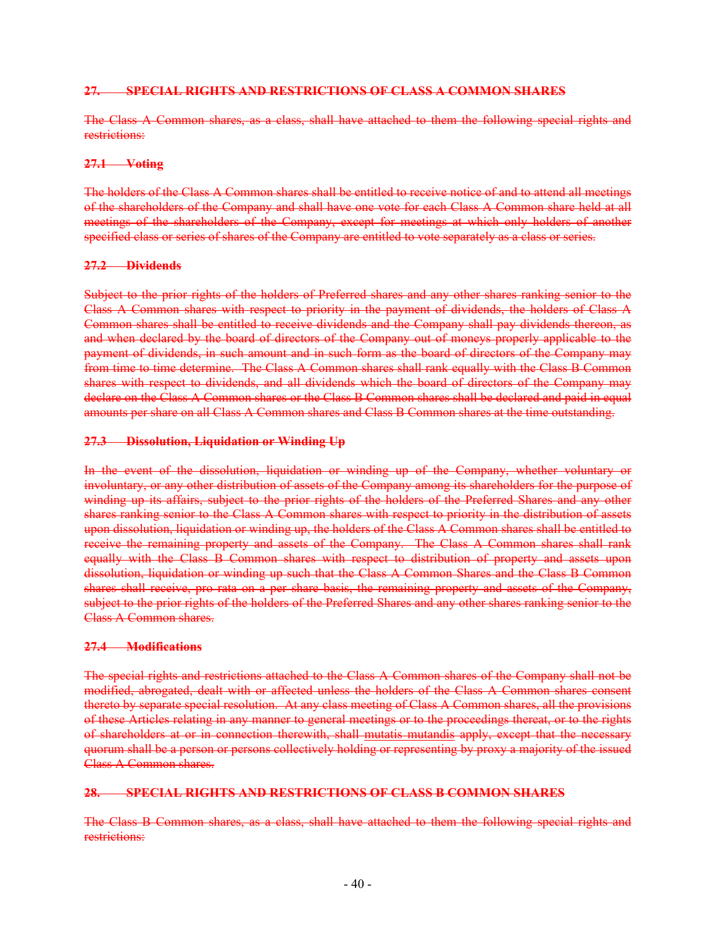#### **27. SPECIAL RIGHTS AND RESTRICTIONS OF CLASS A COMMON SHARES**

The Class A Common shares, as a class, shall have attached to them the following special rights and restrictions:

#### **27.1 Voting**

The holders of the Class A Common shares shall be entitled to receive notice of and to attend all meetings of the shareholders of the Company and shall have one vote for each Class A Common share held at all meetings of the shareholders of the Company, except for meetings at which only holders of another specified class or series of shares of the Company are entitled to vote separately as a class or series.

#### **27.2 Dividends**

Subject to the prior rights of the holders of Preferred shares and any other shares ranking senior to the Class A Common shares with respect to priority in the payment of dividends, the holders of Class A Common shares shall be entitled to receive dividends and the Company shall pay dividends thereon, as and when declared by the board of directors of the Company out of moneys properly applicable to the payment of dividends, in such amount and in such form as the board of directors of the Company may from time to time determine. The Class A Common shares shall rank equally with the Class B Common shares with respect to dividends, and all dividends which the board of directors of the Company may declare on the Class A Common shares or the Class B Common shares shall be declared and paid in equal amounts per share on all Class A Common shares and Class B Common shares at the time outstanding.

#### **27.3 Dissolution, Liquidation or Winding Up**

In the event of the dissolution, liquidation or winding up of the Company, whether voluntary or involuntary, or any other distribution of assets of the Company among its shareholders for the purpose of winding up its affairs, subject to the prior rights of the holders of the Preferred Shares and any other shares ranking senior to the Class A Common shares with respect to priority in the distribution of assets upon dissolution, liquidation or winding up, the holders of the Class A Common shares shall be entitled to receive the remaining property and assets of the Company. The Class A Common shares shall rank equally with the Class B Common shares with respect to distribution of property and assets upon dissolution, liquidation or winding up such that the Class A Common Shares and the Class B Common shares shall receive, pro rata on a per share basis, the remaining property and assets of the Company, subject to the prior rights of the holders of the Preferred Shares and any other shares ranking senior to the Class A Common shares.

#### **27.4 Modifications**

The special rights and restrictions attached to the Class A Common shares of the Company shall not be modified, abrogated, dealt with or affected unless the holders of the Class A Common shares consent thereto by separate special resolution. At any class meeting of Class A Common shares, all the provisions of these Articles relating in any manner to general meetings or to the proceedings thereat, or to the rights of shareholders at or in connection therewith, shall mutatis mutandis apply, except that the necessary quorum shall be a person or persons collectively holding or representing by proxy a majority of the issued Class A Common shares.

#### **28. SPECIAL RIGHTS AND RESTRICTIONS OF CLASS B COMMON SHARES**

The Class B Common shares, as a class, shall have attached to them the following special rights and restrictions: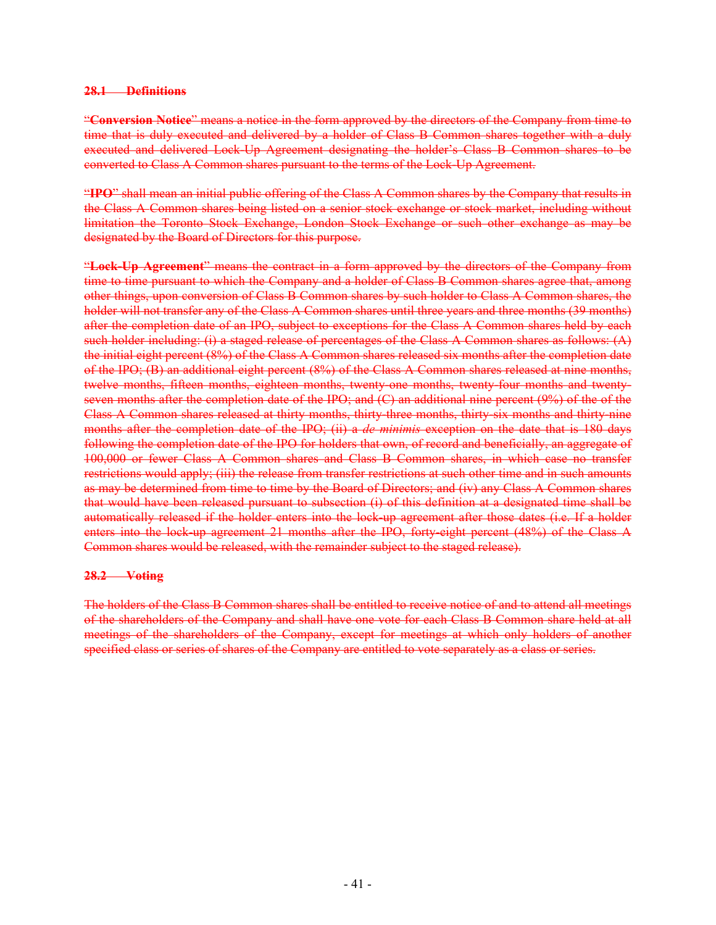#### **28.1 Definitions**

"**Conversion Notice**" means a notice in the form approved by the directors of the Company from time to time that is duly executed and delivered by a holder of Class B Common shares together with a duly executed and delivered Lock-Up Agreement designating the holder's Class B Common shares to be converted to Class A Common shares pursuant to the terms of the Lock-Up Agreement.

"**IPO**" shall mean an initial public offering of the Class A Common shares by the Company that results in the Class A Common shares being listed on a senior stock exchange or stock market, including without limitation the Toronto Stock Exchange, London Stock Exchange or such other exchange as may be designated by the Board of Directors for this purpose.

"**Lock-Up Agreement**" means the contract in a form approved by the directors of the Company from time to time pursuant to which the Company and a holder of Class B Common shares agree that, among other things, upon conversion of Class B Common shares by such holder to Class A Common shares, the holder will not transfer any of the Class A Common shares until three years and three months (39 months) after the completion date of an IPO, subject to exceptions for the Class A Common shares held by each such holder including: (i) a staged release of percentages of the Class A Common shares as follows: (A) the initial eight percent (8%) of the Class A Common shares released six months after the completion date of the IPO; (B) an additional eight percent (8%) of the Class A Common shares released at nine months, twelve months, fifteen months, eighteen months, twenty-one months, twenty-four months and twentyseven months after the completion date of the IPO; and (C) an additional nine percent (9%) of the of the Class A Common shares released at thirty months, thirty-three months, thirty-six months and thirty-nine months after the completion date of the IPO; (ii) a *de minimis* exception on the date that is 180 days following the completion date of the IPO for holders that own, of record and beneficially, an aggregate of 100,000 or fewer Class A Common shares and Class B Common shares, in which case no transfer restrictions would apply; (iii) the release from transfer restrictions at such other time and in such amounts as may be determined from time to time by the Board of Directors; and (iv) any Class A Common shares that would have been released pursuant to subsection (i) of this definition at a designated time shall be automatically released if the holder enters into the lock-up agreement after those dates (i.e. If a holder enters into the lock-up agreement 21 months after the IPO, forty-eight percent (48%) of the Class A Common shares would be released, with the remainder subject to the staged release).

#### **28.2 Voting**

The holders of the Class B Common shares shall be entitled to receive notice of and to attend all meetings of the shareholders of the Company and shall have one vote for each Class B Common share held at all meetings of the shareholders of the Company, except for meetings at which only holders of another specified class or series of shares of the Company are entitled to vote separately as a class or series.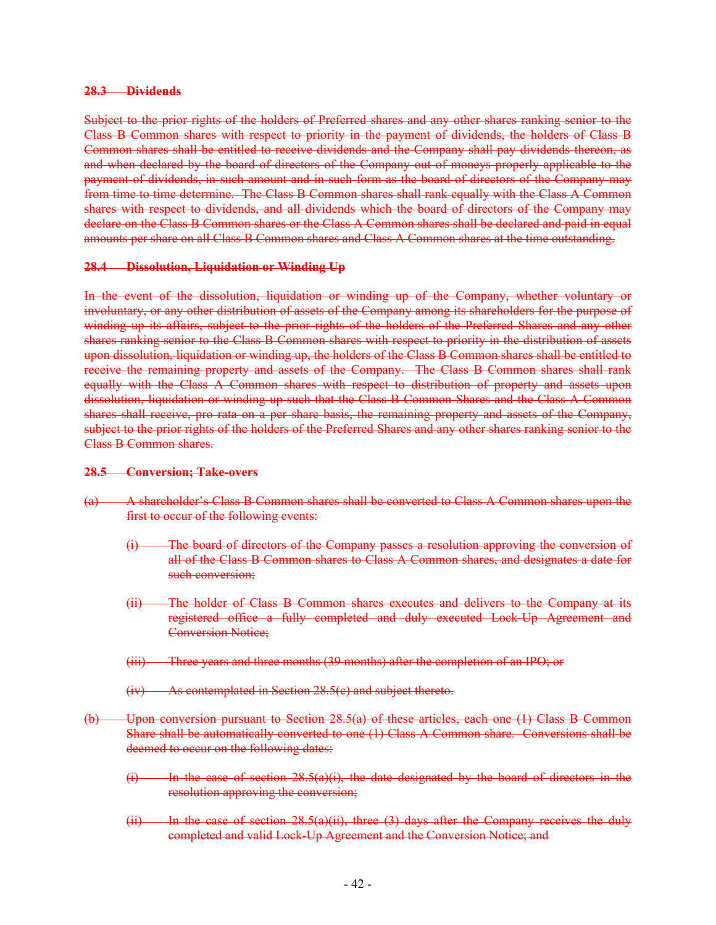#### **28.3 Dividends**

Subject to the prior rights of the holders of Preferred shares and any other shares ranking senior to the Class B Common shares with respect to priority in the payment of dividends, the holders of Class B Common shares shall be entitled to receive dividends and the Company shall pay dividends thereon, as and when declared by the board of directors of the Company out of moneys properly applicable to the payment of dividends, in such amount and in such form as the board of directors of the Company may from time to time determine. The Class B Common shares shall rank equally with the Class A Common shares with respect to dividends, and all dividends which the board of directors of the Company may declare on the Class B Common shares or the Class A Common shares shall be declared and paid in equal amounts per share on all Class B Common shares and Class A Common shares at the time outstanding.

### **28.4 Dissolution, Liquidation or Winding Up**

In the event of the dissolution, liquidation or winding up of the Company, whether voluntary or involuntary, or any other distribution of assets of the Company among its shareholders for the purpose of winding up its affairs, subject to the prior rights of the holders of the Preferred Shares and any other shares ranking senior to the Class B Common shares with respect to priority in the distribution of assets upon dissolution, liquidation or winding up, the holders of the Class B Common shares shall be entitled to receive the remaining property and assets of the Company. The Class B Common shares shall rank equally with the Class A Common shares with respect to distribution of property and assets upon dissolution, liquidation or winding up such that the Class B Common Shares and the Class A Common shares shall receive, pro rata on a per share basis, the remaining property and assets of the Company, subject to the prior rights of the holders of the Preferred Shares and any other shares ranking senior to the Class B Common shares.

#### **28.5 Conversion; Take-overs**

- (a) A shareholder's Class B Common shares shall be converted to Class A Common shares upon the first to occur of the following events:
	- (i) The board of directors of the Company passes a resolution approving the conversion of all of the Class B Common shares to Class A Common shares, and designates a date for such conversion;
	- (ii) The holder of Class B Common shares executes and delivers to the Company at its registered office a fully completed and duly executed Lock-Up Agreement and Conversion Notice;
	- (iii) Three years and three months (39 months) after the completion of an IPO; or
	- (iv) As contemplated in Section 28.5(c) and subject thereto.
- (b) Upon conversion pursuant to Section 28.5(a) of these articles, each one (1) Class B Common Share shall be automatically converted to one (1) Class A Common share. Conversions shall be deemed to occur on the following dates:
	- $(i)$  In the case of section 28.5(a)(i), the date designated by the board of directors in the resolution approving the conversion;
	- $(ii)$  In the case of section 28.5(a)(ii), three (3) days after the Company receives the duly completed and valid Lock-Up Agreement and the Conversion Notice; and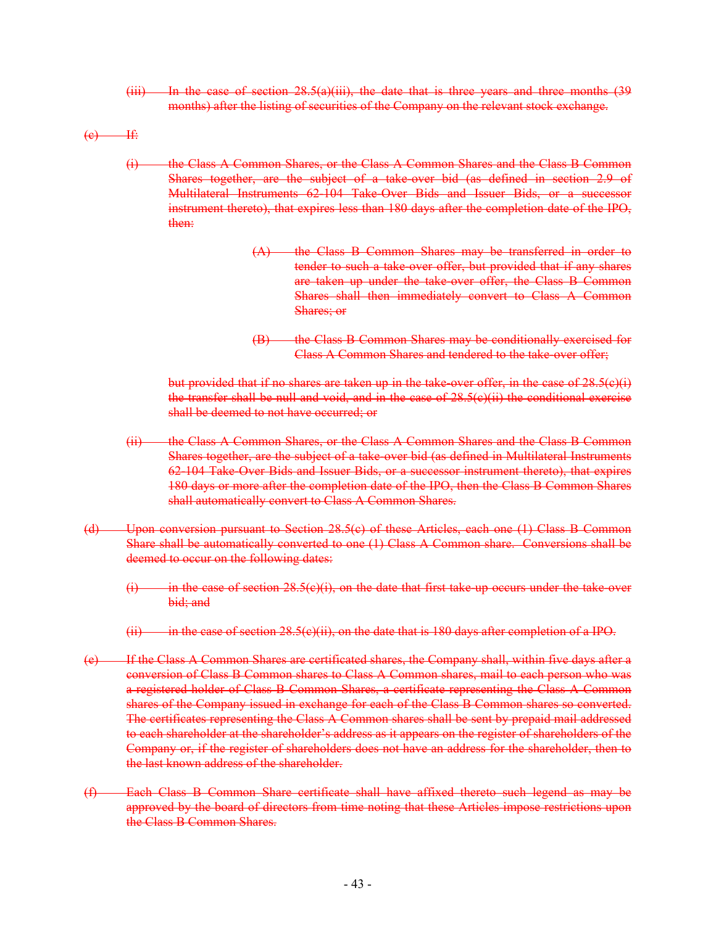$(iii)$  In the case of section 28.5(a)(iii), the date that is three years and three months  $(39)$ months) after the listing of securities of the Company on the relevant stock exchange.

 $(e)$  If:

- (i) the Class A Common Shares, or the Class A Common Shares and the Class B Common Shares together, are the subject of a take-over bid (as defined in section 2.9 of Multilateral Instruments 62-104 Take-Over Bids and Issuer Bids, or a successor instrument thereto), that expires less than 180 days after the completion date of the IPO, then:
	- (A) the Class B Common Shares may be transferred in order to tender to such a take-over offer, but provided that if any shares are taken up under the take-over offer, the Class B Common Shares shall then immediately convert to Class A Common Shares; or
	- (B) the Class B Common Shares may be conditionally exercised for Class A Common Shares and tendered to the take-over offer;

but provided that if no shares are taken up in the take-over offer, in the case of  $28.5(e)(i)$ the transfer shall be null and void, and in the case of  $28.5(e)(ii)$  the conditional exercise shall be deemed to not have occurred; or

- (ii) the Class A Common Shares, or the Class A Common Shares and the Class B Common Shares together, are the subject of a take-over bid (as defined in Multilateral Instruments 62-104 Take-Over Bids and Issuer Bids, or a successor instrument thereto), that expires 180 days or more after the completion date of the IPO, then the Class B Common Shares shall automatically convert to Class A Common Shares.
- (d) Upon conversion pursuant to Section 28.5(c) of these Articles, each one (1) Class B Common Share shall be automatically converted to one (1) Class A Common share. Conversions shall be deemed to occur on the following dates:
	- $(i)$  in the case of section 28.5(e)(i), on the date that first take-up occurs under the take-over bid; and
	- $(iii)$  in the case of section 28.5(c)(ii), on the date that is 180 days after completion of a IPO.
- (e) If the Class A Common Shares are certificated shares, the Company shall, within five days after a conversion of Class B Common shares to Class A Common shares, mail to each person who was a registered holder of Class B Common Shares, a certificate representing the Class A Common shares of the Company issued in exchange for each of the Class B Common shares so converted. The certificates representing the Class A Common shares shall be sent by prepaid mail addressed to each shareholder at the shareholder's address as it appears on the register of shareholders of the Company or, if the register of shareholders does not have an address for the shareholder, then to the last known address of the shareholder.
- (f) Each Class B Common Share certificate shall have affixed thereto such legend as may be approved by the board of directors from time noting that these Articles impose restrictions upon the Class B Common Shares.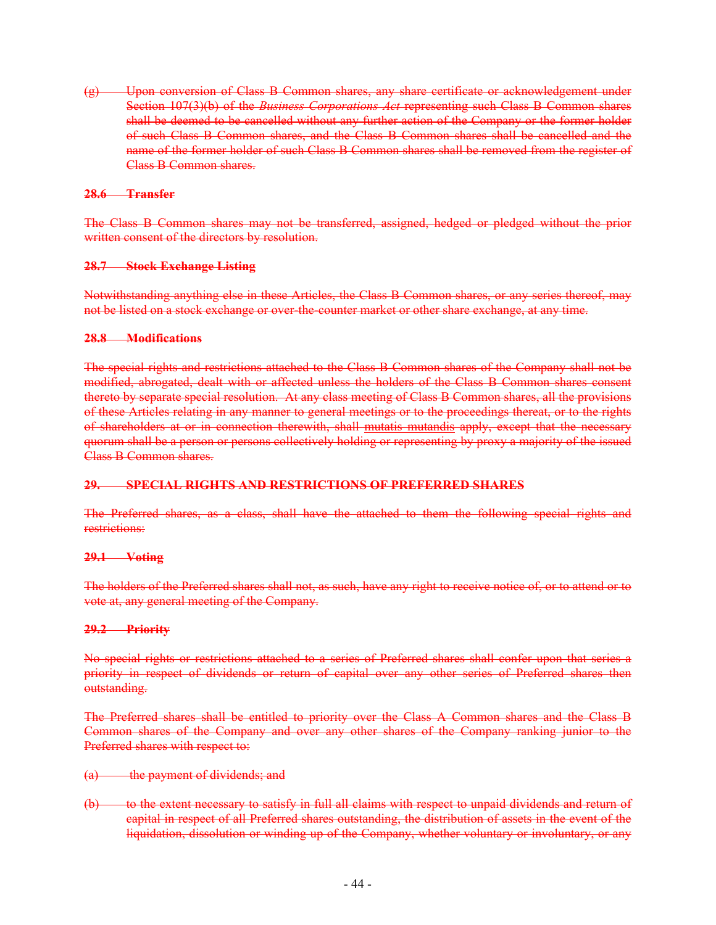(g) Upon conversion of Class B Common shares, any share certificate or acknowledgement under Section 107(3)(b) of the *Business Corporations Act* representing such Class B Common shares shall be deemed to be cancelled without any further action of the Company or the former holder of such Class B Common shares, and the Class B Common shares shall be cancelled and the name of the former holder of such Class B Common shares shall be removed from the register of Class B Common shares.

#### **28.6 Transfer**

The Class B Common shares may not be transferred, assigned, hedged or pledged without the prior written consent of the directors by resolution.

#### **28.7 Stock Exchange Listing**

Notwithstanding anything else in these Articles, the Class B Common shares, or any series thereof, may not be listed on a stock exchange or over-the-counter market or other share exchange, at any time.

#### **28.8 Modifications**

The special rights and restrictions attached to the Class B Common shares of the Company shall not be modified, abrogated, dealt with or affected unless the holders of the Class B Common shares consent thereto by separate special resolution. At any class meeting of Class B Common shares, all the provisions of these Articles relating in any manner to general meetings or to the proceedings thereat, or to the rights of shareholders at or in connection therewith, shall mutatis mutandis apply, except that the necessary quorum shall be a person or persons collectively holding or representing by proxy a majority of the issued Class B Common shares.

### **29. SPECIAL RIGHTS AND RESTRICTIONS OF PREFERRED SHARES**

The Preferred shares, as a class, shall have the attached to them the following special rights and restrictions:

#### **29.1 Voting**

The holders of the Preferred shares shall not, as such, have any right to receive notice of, or to attend or to vote at, any general meeting of the Company.

#### **29.2 Priority**

No special rights or restrictions attached to a series of Preferred shares shall confer upon that series a priority in respect of dividends or return of capital over any other series of Preferred shares then outstanding.

The Preferred shares shall be entitled to priority over the Class A Common shares and the Class B Common shares of the Company and over any other shares of the Company ranking junior to the Preferred shares with respect to:

- (a) the payment of dividends; and
- (b) to the extent necessary to satisfy in full all claims with respect to unpaid dividends and return of capital in respect of all Preferred shares outstanding, the distribution of assets in the event of the liquidation, dissolution or winding up of the Company, whether voluntary or involuntary, or any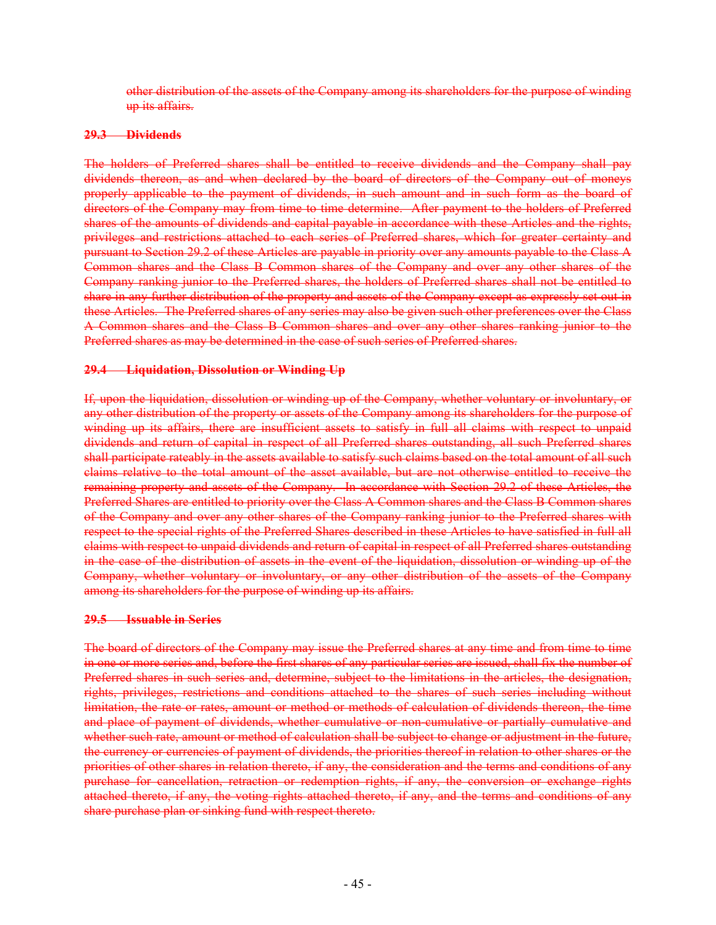other distribution of the assets of the Company among its shareholders for the purpose of winding up its affairs.

#### **29.3 Dividends**

The holders of Preferred shares shall be entitled to receive dividends and the Company shall pay dividends thereon, as and when declared by the board of directors of the Company out of moneys properly applicable to the payment of dividends, in such amount and in such form as the board of directors of the Company may from time to time determine. After payment to the holders of Preferred shares of the amounts of dividends and capital payable in accordance with these Articles and the rights, privileges and restrictions attached to each series of Preferred shares, which for greater certainty and pursuant to Section 29.2 of these Articles are payable in priority over any amounts payable to the Class A Common shares and the Class B Common shares of the Company and over any other shares of the Company ranking junior to the Preferred shares, the holders of Preferred shares shall not be entitled to share in any further distribution of the property and assets of the Company except as expressly set out in these Articles. The Preferred shares of any series may also be given such other preferences over the Class A Common shares and the Class B Common shares and over any other shares ranking junior to the Preferred shares as may be determined in the case of such series of Preferred shares.

#### **29.4 Liquidation, Dissolution or Winding Up**

If, upon the liquidation, dissolution or winding up of the Company, whether voluntary or involuntary, or any other distribution of the property or assets of the Company among its shareholders for the purpose of winding up its affairs, there are insufficient assets to satisfy in full all claims with respect to unpaid dividends and return of capital in respect of all Preferred shares outstanding, all such Preferred shares shall participate rateably in the assets available to satisfy such claims based on the total amount of all such claims relative to the total amount of the asset available, but are not otherwise entitled to receive the remaining property and assets of the Company. In accordance with Section 29.2 of these Articles, the Preferred Shares are entitled to priority over the Class A Common shares and the Class B Common shares of the Company and over any other shares of the Company ranking junior to the Preferred shares with respect to the special rights of the Preferred Shares described in these Articles to have satisfied in full all claims with respect to unpaid dividends and return of capital in respect of all Preferred shares outstanding in the case of the distribution of assets in the event of the liquidation, dissolution or winding up of the Company, whether voluntary or involuntary, or any other distribution of the assets of the Company among its shareholders for the purpose of winding up its affairs.

#### **29.5 Issuable in Series**

The board of directors of the Company may issue the Preferred shares at any time and from time to time in one or more series and, before the first shares of any particular series are issued, shall fix the number of Preferred shares in such series and, determine, subject to the limitations in the articles, the designation, rights, privileges, restrictions and conditions attached to the shares of such series including without limitation, the rate or rates, amount or method or methods of calculation of dividends thereon, the time and place of payment of dividends, whether cumulative or non-cumulative or partially cumulative and whether such rate, amount or method of calculation shall be subject to change or adjustment in the future, the currency or currencies of payment of dividends, the priorities thereof in relation to other shares or the priorities of other shares in relation thereto, if any, the consideration and the terms and conditions of any purchase for cancellation, retraction or redemption rights, if any, the conversion or exchange rights attached thereto, if any, the voting rights attached thereto, if any, and the terms and conditions of any share purchase plan or sinking fund with respect thereto.